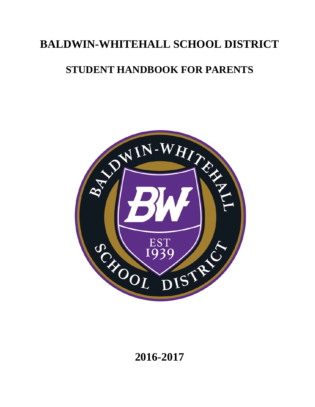# **BALDWIN-WHITEHALL SCHOOL DISTRICT**

# **STUDENT HANDBOOK FOR PARENTS**



# **2016-2017**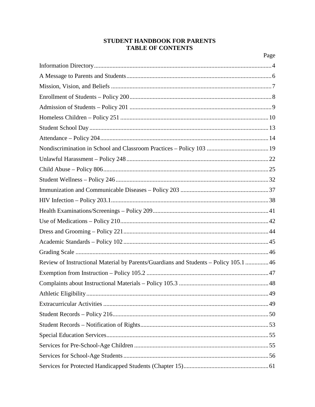# STUDENT HANDBOOK FOR PARENTS **TABLE OF CONTENTS**

| Review of Instructional Material by Parents/Guardians and Students - Policy 105.1  46 |  |
|---------------------------------------------------------------------------------------|--|
|                                                                                       |  |
|                                                                                       |  |
|                                                                                       |  |
|                                                                                       |  |
|                                                                                       |  |
|                                                                                       |  |
|                                                                                       |  |
|                                                                                       |  |
|                                                                                       |  |
|                                                                                       |  |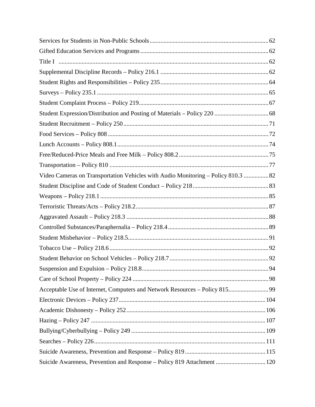| Video Cameras on Transportation Vehicles with Audio Monitoring - Policy 810.3 82 |  |
|----------------------------------------------------------------------------------|--|
|                                                                                  |  |
|                                                                                  |  |
|                                                                                  |  |
|                                                                                  |  |
|                                                                                  |  |
|                                                                                  |  |
|                                                                                  |  |
|                                                                                  |  |
|                                                                                  |  |
|                                                                                  |  |
|                                                                                  |  |
|                                                                                  |  |
|                                                                                  |  |
|                                                                                  |  |
|                                                                                  |  |
|                                                                                  |  |
|                                                                                  |  |
| Suicide Awareness, Prevention and Response - Policy 819 Attachment  120          |  |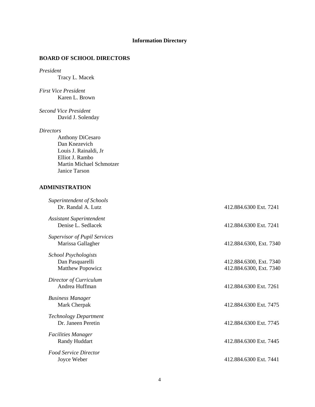#### **Information Directory**

#### **BOARD OF SCHOOL DIRECTORS**

# *President*

Tracy L. Macek

#### *First Vice President* Karen L. Brown

*Second Vice President* David J. Solenday

#### *Directors*

Anthony DiCesaro Dan Knezevich Louis J. Rainaldi, Jr Elliot J. Rambo Martin Michael Schmotzer Janice Tarson

#### **ADMINISTRATION**

| Superintendent of Schools<br>Dr. Randal A. Lutz             | 412.884.6300 Ext. 7241                             |
|-------------------------------------------------------------|----------------------------------------------------|
| <b>Assistant Superintendent</b><br>Denise L. Sedlacek       | 412.884.6300 Ext. 7241                             |
| <b>Supervisor of Pupil Services</b><br>Marissa Gallagher    | 412.884.6300, Ext. 7340                            |
| School Psychologists<br>Dan Pasquarelli<br>Matthew Popowicz | 412.884.6300, Ext. 7340<br>412.884.6300, Ext. 7340 |
| Director of Curriculum<br>Andrea Huffman                    | 412.884.6300 Ext. 7261                             |
| <b>Business Manager</b><br>Mark Cherpak                     | 412.884.6300 Ext. 7475                             |
| Technology Department<br>Dr. Janeen Peretin                 | 412.884.6300 Ext. 7745                             |
| <b>Facilities Manager</b><br>Randy Huddart                  | 412.884.6300 Ext. 7445                             |
| <b>Food Service Director</b><br>Joyce Weber                 | 412.884.6300 Ext. 7441                             |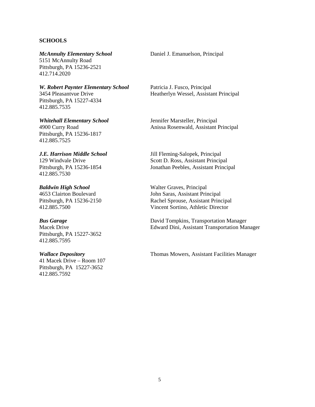#### **SCHOOLS**

5151 McAnnulty Road Pittsburgh, PA 15236-2521 412.714.2020

# *W. Robert Paynter Elementary School* Patricia J. Fusco, Principal 3454 Pleasantvue Drive **Patricia** Heatherlyn Wessel, Assista

Pittsburgh, PA 15227-4334 412.885.7535

*Whitehall Elementary School* Jennifer Marsteller, Principal Pittsburgh, PA 15236-1817 412.885.7525

# *J.E. Harrison Middle School* Jill Fleming-Salopek, Principal 412.885.7530

*Baldwin High School* Walter Graves, Principal

Pittsburgh, PA 15227-3652 412.885.7595

# 41 Macek Drive – Room 107 Pittsburgh, PA 15227-3652 412.885.7592

*McAnnulty Elementary School* Daniel J. Emanuelson, Principal

Heatherlyn Wessel, Assistant Principal

4900 Curry Road Anissa Rosenwald, Assistant Principal

129 Windvale Drive Scott D. Ross, Assistant Principal Pittsburgh, PA 15236-1854 Jonathan Peebles, Assistant Principal

4653 Clairton Boulevard John Saras, Assistant Principal Pittsburgh, PA 15236-2150 Rachel Sprouse, Assistant Principal 412.885.7500 Vincent Sortino, Athletic Director

**Bus Garage** David Tompkins, Transportation Manager Macek Drive Edward Dini, Assistant Transportation Manager

*Wallace Depository* Thomas Mowers, Assistant Facilities Manager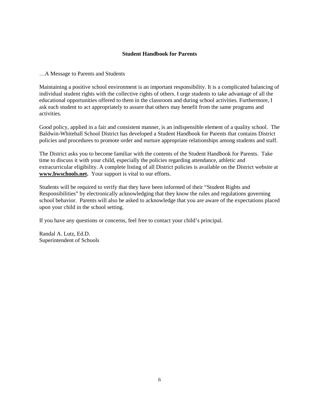#### **Student Handbook for Parents**

…A Message to Parents and Students

Maintaining a positive school environment is an important responsibility. It is a complicated balancing of individual student rights with the collective rights of others. I urge students to take advantage of all the educational opportunities offered to them in the classroom and during school activities. Furthermore, I ask each student to act appropriately to assure that others may benefit from the same programs and activities.

Good policy, applied in a fair and consistent manner, is an indispensible element of a quality school. The Baldwin-Whitehall School District has developed a Student Handbook for Parents that contains District policies and procedures to promote order and nurture appropriate relationships among students and staff.

The District asks you to become familiar with the contents of the Student Handbook for Parents. Take time to discuss it with your child, especially the policies regarding attendance, athletic and extracurricular eligibility. A complete listing of all District policies is available on the District website at **[www.bwschools.net.](http://www.bwschools.net/)** Your support is vital to our efforts.

Students will be required to verify that they have been informed of their "Student Rights and Responsibilities" by electronically acknowledging that they know the rules and regulations governing school behavior. Parents will also be asked to acknowledge that you are aware of the expectations placed upon your child in the school setting.

If you have any questions or concerns, feel free to contact your child's principal.

Randal A. Lutz, Ed.D. Superintendent of Schools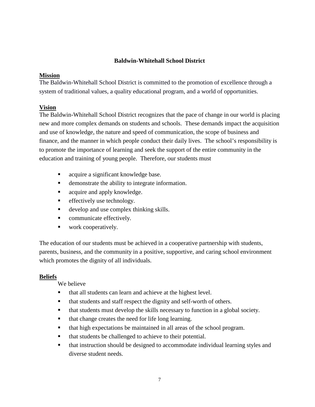# **Baldwin-Whitehall School District**

#### **Mission**

The Baldwin-Whitehall School District is committed to the promotion of excellence through a system of traditional values, a quality educational program, and a world of opportunities.

#### **Vision**

The Baldwin-Whitehall School District recognizes that the pace of change in our world is placing new and more complex demands on students and schools. These demands impact the acquisition and use of knowledge, the nature and speed of communication, the scope of business and finance, and the manner in which people conduct their daily lives. The school's responsibility is to promote the importance of learning and seek the support of the entire community in the education and training of young people. Therefore, our students must

- acquire a significant knowledge base.
- demonstrate the ability to integrate information.
- acquire and apply knowledge.
- **e** effectively use technology.
- develop and use complex thinking skills.
- **COMMUNICATE:** communicate effectively.
- work cooperatively.

The education of our students must be achieved in a cooperative partnership with students, parents, business, and the community in a positive, supportive, and caring school environment which promotes the dignity of all individuals.

#### **Beliefs**

We believe

- that all students can learn and achieve at the highest level.
- that students and staff respect the dignity and self-worth of others.
- that students must develop the skills necessary to function in a global society.
- that change creates the need for life long learning.
- that high expectations be maintained in all areas of the school program.
- that students be challenged to achieve to their potential.
- that instruction should be designed to accommodate individual learning styles and diverse student needs.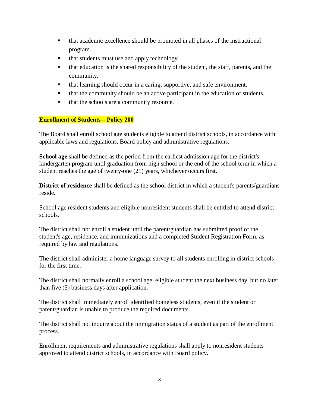- that academic excellence should be promoted in all phases of the instructional program.
- that students must use and apply technology.
- that education is the shared responsibility of the student, the staff, parents, and the community.
- that learning should occur in a caring, supportive, and safe environment.
- that the community should be an active participant in the education of students.
- $\blacksquare$  that the schools are a community resource.

# **Enrollment of Students – Policy 200**

The Board shall enroll school age students eligible to attend district schools, in accordance with applicable laws and regulations, Board policy and administrative regulations.

**School age** shall be defined as the period from the earliest admission age for the district's kindergarten program until graduation from high school or the end of the school term in which a student reaches the age of twenty-one (21) years, whichever occurs first.

**District of residence** shall be defined as the school district in which a student's parents/guardians reside.

School age resident students and eligible nonresident students shall be entitled to attend district schools.

The district shall not enroll a student until the parent/guardian has submitted proof of the student's age, residence, and immunizations and a completed Student Registration Form, as required by law and regulations.

The district shall administer a home language survey to all students enrolling in district schools for the first time.

The district shall normally enroll a school age, eligible student the next business day, but no later than five (5) business days after application.

The district shall immediately enroll identified homeless students, even if the student or parent/guardian is unable to produce the required documents.

The district shall not inquire about the immigration status of a student as part of the enrollment process.

Enrollment requirements and administrative regulations shall apply to nonresident students approved to attend district schools, in accordance with Board policy.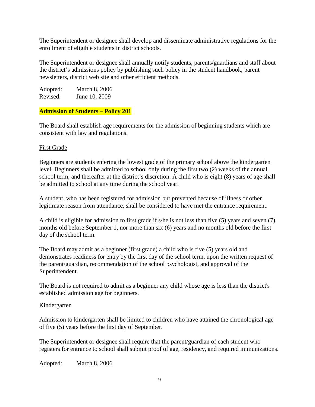The Superintendent or designee shall develop and disseminate administrative regulations for the enrollment of eligible students in district schools.

The Superintendent or designee shall annually notify students, parents/guardians and staff about the district's admissions policy by publishing such policy in the student handbook, parent newsletters, district web site and other efficient methods.

| Adopted: | March 8, 2006 |
|----------|---------------|
| Revised: | June 10, 2009 |

#### **Admission of Students – Policy 201**

The Board shall establish age requirements for the admission of beginning students which are consistent with law and regulations.

#### First Grade

Beginners are students entering the lowest grade of the primary school above the kindergarten level. Beginners shall be admitted to school only during the first two (2) weeks of the annual school term, and thereafter at the district's discretion. A child who is eight (8) years of age shall be admitted to school at any time during the school year.

A student, who has been registered for admission but prevented because of illness or other legitimate reason from attendance, shall be considered to have met the entrance requirement.

A child is eligible for admission to first grade if s/he is not less than five (5) years and seven (7) months old before September 1, nor more than six (6) years and no months old before the first day of the school term.

The Board may admit as a beginner (first grade) a child who is five (5) years old and demonstrates readiness for entry by the first day of the school term, upon the written request of the parent/guardian, recommendation of the school psychologist, and approval of the Superintendent.

The Board is not required to admit as a beginner any child whose age is less than the district's established admission age for beginners.

#### Kindergarten

Admission to kindergarten shall be limited to children who have attained the chronological age of five (5) years before the first day of September.

The Superintendent or designee shall require that the parent/guardian of each student who registers for entrance to school shall submit proof of age, residency, and required immunizations.

Adopted: March 8, 2006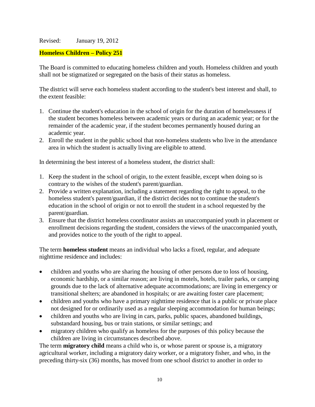Revised: January 19, 2012

#### **Homeless Children – Policy 251**

The Board is committed to educating homeless children and youth. Homeless children and youth shall not be stigmatized or segregated on the basis of their status as homeless.

The district will serve each homeless student according to the student's best interest and shall, to the extent feasible:

- 1. Continue the student's education in the school of origin for the duration of homelessness if the student becomes homeless between academic years or during an academic year; or for the remainder of the academic year, if the student becomes permanently housed during an academic year.
- 2. Enroll the student in the public school that non-homeless students who live in the attendance area in which the student is actually living are eligible to attend.

In determining the best interest of a homeless student, the district shall:

- 1. Keep the student in the school of origin, to the extent feasible, except when doing so is contrary to the wishes of the student's parent/guardian.
- 2. Provide a written explanation, including a statement regarding the right to appeal, to the homeless student's parent/guardian, if the district decides not to continue the student's education in the school of origin or not to enroll the student in a school requested by the parent/guardian.
- 3. Ensure that the district homeless coordinator assists an unaccompanied youth in placement or enrollment decisions regarding the student, considers the views of the unaccompanied youth, and provides notice to the youth of the right to appeal.

The term **homeless student** means an individual who lacks a fixed, regular, and adequate nighttime residence and includes:

- children and youths who are sharing the housing of other persons due to loss of housing, economic hardship, or a similar reason; are living in motels, hotels, trailer parks, or camping grounds due to the lack of alternative adequate accommodations; are living in emergency or transitional shelters; are abandoned in hospitals; or are awaiting foster care placement;
- children and youths who have a primary nighttime residence that is a public or private place not designed for or ordinarily used as a regular sleeping accommodation for human beings;
- children and youths who are living in cars, parks, public spaces, abandoned buildings, substandard housing, bus or train stations, or similar settings; and
- migratory children who qualify as homeless for the purposes of this policy because the children are living in circumstances described above.

The term **migratory child** means a child who is, or whose parent or spouse is, a migratory agricultural worker, including a migratory dairy worker, or a migratory fisher, and who, in the preceding thirty-six (36) months, has moved from one school district to another in order to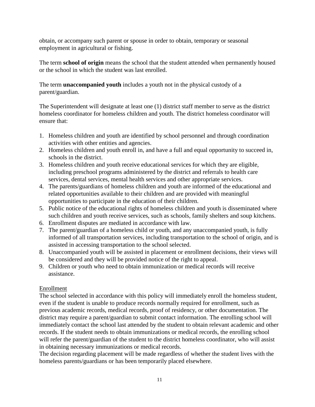obtain, or accompany such parent or spouse in order to obtain, temporary or seasonal employment in agricultural or fishing.

The term **school of origin** means the school that the student attended when permanently housed or the school in which the student was last enrolled.

The term **unaccompanied youth** includes a youth not in the physical custody of a parent/guardian.

The Superintendent will designate at least one (1) district staff member to serve as the district homeless coordinator for homeless children and youth. The district homeless coordinator will ensure that:

- 1. Homeless children and youth are identified by school personnel and through coordination activities with other entities and agencies.
- 2. Homeless children and youth enroll in, and have a full and equal opportunity to succeed in, schools in the district.
- 3. Homeless children and youth receive educational services for which they are eligible, including preschool programs administered by the district and referrals to health care services, dental services, mental health services and other appropriate services.
- 4. The parents/guardians of homeless children and youth are informed of the educational and related opportunities available to their children and are provided with meaningful opportunities to participate in the education of their children.
- 5. Public notice of the educational rights of homeless children and youth is disseminated where such children and youth receive services, such as schools, family shelters and soup kitchens.
- 6. Enrollment disputes are mediated in accordance with law.
- 7. The parent/guardian of a homeless child or youth, and any unaccompanied youth, is fully informed of all transportation services, including transportation to the school of origin, and is assisted in accessing transportation to the school selected.
- 8. Unaccompanied youth will be assisted in placement or enrollment decisions, their views will be considered and they will be provided notice of the right to appeal.
- 9. Children or youth who need to obtain immunization or medical records will receive assistance.

# Enrollment

The school selected in accordance with this policy will immediately enroll the homeless student, even if the student is unable to produce records normally required for enrollment, such as previous academic records, medical records, proof of residency, or other documentation. The district may require a parent/guardian to submit contact information. The enrolling school will immediately contact the school last attended by the student to obtain relevant academic and other records. If the student needs to obtain immunizations or medical records, the enrolling school will refer the parent/guardian of the student to the district homeless coordinator, who will assist in obtaining necessary immunizations or medical records.

The decision regarding placement will be made regardless of whether the student lives with the homeless parents/guardians or has been temporarily placed elsewhere.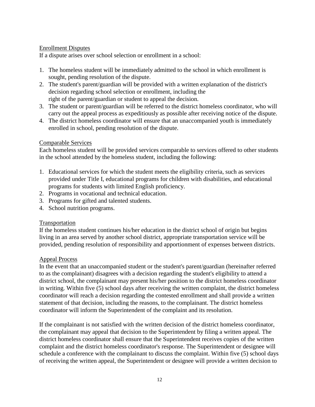#### Enrollment Disputes

If a dispute arises over school selection or enrollment in a school:

- 1. The homeless student will be immediately admitted to the school in which enrollment is sought, pending resolution of the dispute.
- 2. The student's parent/guardian will be provided with a written explanation of the district's decision regarding school selection or enrollment, including the right of the parent/guardian or student to appeal the decision.
- 3. The student or parent/guardian will be referred to the district homeless coordinator, who will carry out the appeal process as expeditiously as possible after receiving notice of the dispute.
- 4. The district homeless coordinator will ensure that an unaccompanied youth is immediately enrolled in school, pending resolution of the dispute.

#### Comparable Services

Each homeless student will be provided services comparable to services offered to other students in the school attended by the homeless student, including the following:

- 1. Educational services for which the student meets the eligibility criteria, such as services provided under Title I, educational programs for children with disabilities, and educational programs for students with limited English proficiency.
- 2. Programs in vocational and technical education.
- 3. Programs for gifted and talented students.
- 4. School nutrition programs.

#### Transportation

If the homeless student continues his/her education in the district school of origin but begins living in an area served by another school district, appropriate transportation service will be provided, pending resolution of responsibility and apportionment of expenses between districts.

#### Appeal Process

In the event that an unaccompanied student or the student's parent/guardian (hereinafter referred to as the complainant) disagrees with a decision regarding the student's eligibility to attend a district school, the complainant may present his/her position to the district homeless coordinator in writing. Within five (5) school days after receiving the written complaint, the district homeless coordinator will reach a decision regarding the contested enrollment and shall provide a written statement of that decision, including the reasons, to the complainant. The district homeless coordinator will inform the Superintendent of the complaint and its resolution.

If the complainant is not satisfied with the written decision of the district homeless coordinator, the complainant may appeal that decision to the Superintendent by filing a written appeal. The district homeless coordinator shall ensure that the Superintendent receives copies of the written complaint and the district homeless coordinator's response. The Superintendent or designee will schedule a conference with the complainant to discuss the complaint. Within five (5) school days of receiving the written appeal, the Superintendent or designee will provide a written decision to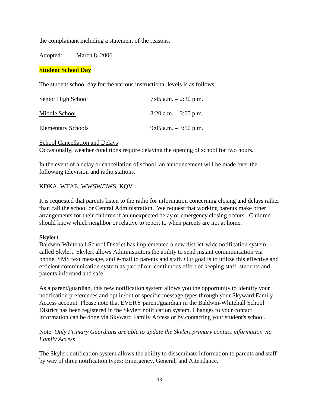the complainant including a statement of the reasons.

Adopted: March 8, 2006

#### **Student School Day**

The student school day for the various instructional levels is as follows:

| Senior High School        | 7:45 a.m. $-2:30$ p.m.   |
|---------------------------|--------------------------|
| Middle School             | $8:20$ a.m. $-3:05$ p.m. |
| <b>Elementary Schools</b> | 9:05 a.m. $-3:50$ p.m.   |

#### School Cancellation and Delays

Occasionally, weather conditions require delaying the opening of school for two hours.

In the event of a delay or cancellation of school, an announcement will be made over the following television and radio stations.

#### KDKA, WTAE, WWSW/3WS, KQV

It is requested that parents listen to the radio for information concerning closing and delays rather than call the school or Central Administration. We request that working parents make other arrangements for their children if an unexpected delay or emergency closing occurs. Children should know which neighbor or relative to report to when parents are not at home.

#### **Skylert**

Baldwin-Whitehall School District has implemented a new district-wide notification system called Skylert. Skylert allows Administrators the ability to send instant communication via phone, SMS text message, and e-mail to parents and staff. Our goal is to utilize this effective and efficient communication system as part of our continuous effort of keeping staff, students and parents informed and safe!

As a parent/guardian, this new notification system allows you the opportunity to identify your notification preferences and opt in/out of specific message types through your Skyward Family Access account. Please note that EVERY parent/guardian in the Baldwin-Whitehall School District has been registered in the Skylert notification system. Changes to your contact information can be done via Skyward Family Access or by contacting your student's school.

# Note: *Only Primary Guardians are able to update the Skylert primary contact information via Family Access*

The Skylert notification system allows the ability to disseminate information to parents and staff by way of three notification types: Emergency, General, and Attendance.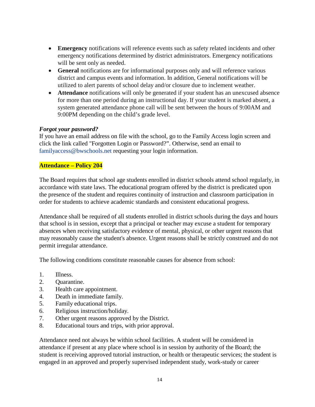- **Emergency** notifications will reference events such as safety related incidents and other emergency notifications determined by district administrators. Emergency notifications will be sent only as needed.
- **General** notifications are for informational purposes only and will reference various district and campus events and information. In addition, General notifications will be utilized to alert parents of school delay and/or closure due to inclement weather.
- **Attendance** notifications will only be generated if your student has an unexcused absence for more than one period during an instructional day. If your student is marked absent, a system generated attendance phone call will be sent between the hours of 9:00AM and 9:00PM depending on the child's grade level.

#### *Forgot your password?*

If you have an email address on file with the school, go to the Family Access login screen and click the link called "Forgotten Login or Password?". Otherwise, send an email to familyaccess@bwschools.net requesting your login information.

#### **Attendance – Policy 204**

The Board requires that school age students enrolled in district schools attend school regularly, in accordance with state laws. The educational program offered by the district is predicated upon the presence of the student and requires continuity of instruction and classroom participation in order for students to achieve academic standards and consistent educational progress.

Attendance shall be required of all students enrolled in district schools during the days and hours that school is in session, except that a principal or teacher may excuse a student for temporary absences when receiving satisfactory evidence of mental, physical, or other urgent reasons that may reasonably cause the student's absence. Urgent reasons shall be strictly construed and do not permit irregular attendance.

The following conditions constitute reasonable causes for absence from school:

- 1. Illness.
- 2. Quarantine.
- 3. Health care appointment.
- 4. Death in immediate family.
- 5. Family educational trips.
- 6. Religious instruction/holiday.
- 7. Other urgent reasons approved by the District.
- 8. Educational tours and trips, with prior approval.

Attendance need not always be within school facilities. A student will be considered in attendance if present at any place where school is in session by authority of the Board; the student is receiving approved tutorial instruction, or health or therapeutic services; the student is engaged in an approved and properly supervised independent study, work-study or career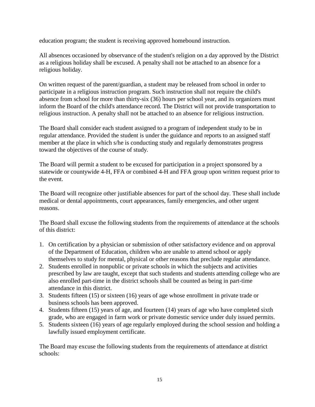education program; the student is receiving approved homebound instruction.

All absences occasioned by observance of the student's religion on a day approved by the District as a religious holiday shall be excused. A penalty shall not be attached to an absence for a religious holiday.

On written request of the parent/guardian, a student may be released from school in order to participate in a religious instruction program. Such instruction shall not require the child's absence from school for more than thirty-six (36) hours per school year, and its organizers must inform the Board of the child's attendance record. The District will not provide transportation to religious instruction. A penalty shall not be attached to an absence for religious instruction.

The Board shall consider each student assigned to a program of independent study to be in regular attendance. Provided the student is under the guidance and reports to an assigned staff member at the place in which s/he is conducting study and regularly demonstrates progress toward the objectives of the course of study.

The Board will permit a student to be excused for participation in a project sponsored by a statewide or countywide 4-H, FFA or combined 4-H and FFA group upon written request prior to the event.

The Board will recognize other justifiable absences for part of the school day. These shall include medical or dental appointments, court appearances, family emergencies, and other urgent reasons.

The Board shall excuse the following students from the requirements of attendance at the schools of this district:

- 1. On certification by a physician or submission of other satisfactory evidence and on approval of the Department of Education, children who are unable to attend school or apply themselves to study for mental, physical or other reasons that preclude regular attendance.
- 2. Students enrolled in nonpublic or private schools in which the subjects and activities prescribed by law are taught, except that such students and students attending college who are also enrolled part-time in the district schools shall be counted as being in part-time attendance in this district.
- 3. Students fifteen (15) or sixteen (16) years of age whose enrollment in private trade or business schools has been approved.
- 4. Students fifteen (15) years of age, and fourteen (14) years of age who have completed sixth grade, who are engaged in farm work or private domestic service under duly issued permits.
- 5. Students sixteen (16) years of age regularly employed during the school session and holding a lawfully issued employment certificate.

The Board may excuse the following students from the requirements of attendance at district schools: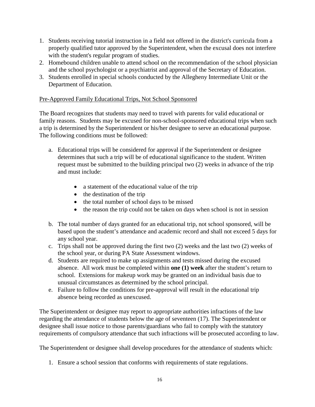- 1. Students receiving tutorial instruction in a field not offered in the district's curricula from a properly qualified tutor approved by the Superintendent, when the excusal does not interfere with the student's regular program of studies.
- 2. Homebound children unable to attend school on the recommendation of the school physician and the school psychologist or a psychiatrist and approval of the Secretary of Education.
- 3. Students enrolled in special schools conducted by the Allegheny Intermediate Unit or the Department of Education.

# Pre-Approved Family Educational Trips, Not School Sponsored

The Board recognizes that students may need to travel with parents for valid educational or family reasons. Students may be excused for non-school-sponsored educational trips when such a trip is determined by the Superintendent or his/her designee to serve an educational purpose. The following conditions must be followed:

- a. Educational trips will be considered for approval if the Superintendent or designee determines that such a trip will be of educational significance to the student. Written request must be submitted to the building principal two (2) weeks in advance of the trip and must include:
	- a statement of the educational value of the trip
	- the destination of the trip
	- the total number of school days to be missed
	- the reason the trip could not be taken on days when school is not in session
- b. The total number of days granted for an educational trip, not school sponsored, will be based upon the student's attendance and academic record and shall not exceed 5 days for any school year.
- c. Trips shall not be approved during the first two (2) weeks and the last two (2) weeks of the school year, or during PA State Assessment windows.
- d. Students are required to make up assignments and tests missed during the excused absence. All work must be completed within **one (1) week** after the student's return to school. Extensions for makeup work may be granted on an individual basis due to unusual circumstances as determined by the school principal.
- e. Failure to follow the conditions for pre-approval will result in the educational trip absence being recorded as unexcused.

The Superintendent or designee may report to appropriate authorities infractions of the law regarding the attendance of students below the age of seventeen (17). The Superintendent or designee shall issue notice to those parents/guardians who fail to comply with the statutory requirements of compulsory attendance that such infractions will be prosecuted according to law.

The Superintendent or designee shall develop procedures for the attendance of students which:

1. Ensure a school session that conforms with requirements of state regulations.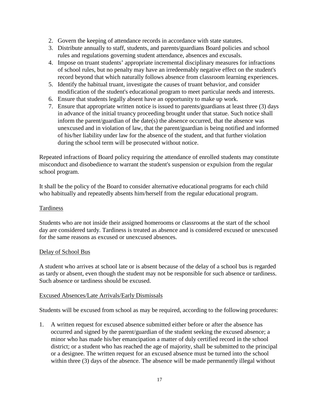- 2. Govern the keeping of attendance records in accordance with state statutes.
- 3. Distribute annually to staff, students, and parents/guardians Board policies and school rules and regulations governing student attendance, absences and excusals.
- 4. Impose on truant students' appropriate incremental disciplinary measures for infractions of school rules, but no penalty may have an irredeemably negative effect on the student's record beyond that which naturally follows absence from classroom learning experiences.
- 5. Identify the habitual truant, investigate the causes of truant behavior, and consider modification of the student's educational program to meet particular needs and interests.
- 6. Ensure that students legally absent have an opportunity to make up work.
- 7. Ensure that appropriate written notice is issued to parents/guardians at least three (3) days in advance of the initial truancy proceeding brought under that statue. Such notice shall inform the parent/guardian of the date(s) the absence occurred, that the absence was unexcused and in violation of law, that the parent/guardian is being notified and informed of his/her liability under law for the absence of the student, and that further violation during the school term will be prosecuted without notice.

Repeated infractions of Board policy requiring the attendance of enrolled students may constitute misconduct and disobedience to warrant the student's suspension or expulsion from the regular school program.

It shall be the policy of the Board to consider alternative educational programs for each child who habitually and repeatedly absents him/herself from the regular educational program.

# Tardiness

Students who are not inside their assigned homerooms or classrooms at the start of the school day are considered tardy. Tardiness is treated as absence and is considered excused or unexcused for the same reasons as excused or unexcused absences.

# Delay of School Bus

A student who arrives at school late or is absent because of the delay of a school bus is regarded as tardy or absent, even though the student may not be responsible for such absence or tardiness. Such absence or tardiness should be excused.

# Excused Absences/Late Arrivals/Early Dismissals

Students will be excused from school as may be required, according to the following procedures:

1. A written request for excused absence submitted either before or after the absence has occurred and signed by the parent/guardian of the student seeking the excused absence; a minor who has made his/her emancipation a matter of duly certified record in the school district; or a student who has reached the age of majority, shall be submitted to the principal or a designee. The written request for an excused absence must be turned into the school within three (3) days of the absence. The absence will be made permanently illegal without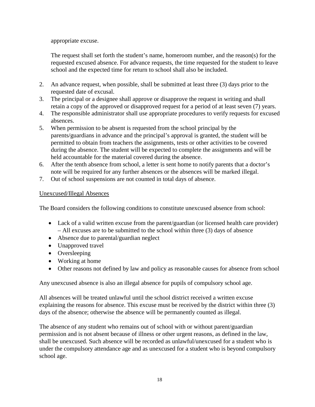appropriate excuse.

The request shall set forth the student's name, homeroom number, and the reason(s) for the requested excused absence. For advance requests, the time requested for the student to leave school and the expected time for return to school shall also be included.

- 2. An advance request, when possible, shall be submitted at least three (3) days prior to the requested date of excusal.
- 3. The principal or a designee shall approve or disapprove the request in writing and shall retain a copy of the approved or disapproved request for a period of at least seven (7) years.
- 4. The responsible administrator shall use appropriate procedures to verify requests for excused absences.
- 5. When permission to be absent is requested from the school principal by the parents/guardians in advance and the principal's approval is granted, the student will be permitted to obtain from teachers the assignments, tests or other activities to be covered during the absence. The student will be expected to complete the assignments and will be held accountable for the material covered during the absence.
- 6. After the tenth absence from school, a letter is sent home to notify parents that a doctor's note will be required for any further absences or the absences will be marked illegal.
- 7. Out of school suspensions are not counted in total days of absence.

# Unexcused/Illegal Absences

The Board considers the following conditions to constitute unexcused absence from school:

- Lack of a valid written excuse from the parent/guardian (or licensed health care provider) – All excuses are to be submitted to the school within three (3) days of absence
- Absence due to parental/guardian neglect
- Unapproved travel
- Oversleeping
- Working at home
- Other reasons not defined by law and policy as reasonable causes for absence from school

Any unexcused absence is also an illegal absence for pupils of compulsory school age.

All absences will be treated unlawful until the school district received a written excuse explaining the reasons for absence. This excuse must be received by the district within three (3) days of the absence; otherwise the absence will be permanently counted as illegal.

The absence of any student who remains out of school with or without parent/guardian permission and is not absent because of illness or other urgent reasons, as defined in the law, shall be unexcused. Such absence will be recorded as unlawful/unexcused for a student who is under the compulsory attendance age and as unexcused for a student who is beyond compulsory school age.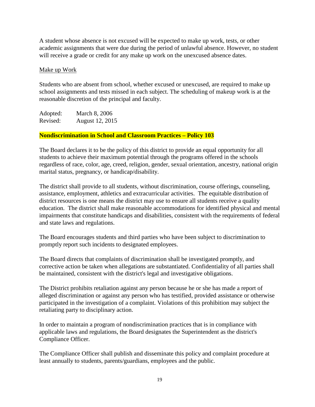A student whose absence is not excused will be expected to make up work, tests, or other academic assignments that were due during the period of unlawful absence. However, no student will receive a grade or credit for any make up work on the unexcused absence dates.

#### Make up Work

Students who are absent from school, whether excused or unexcused, are required to make up school assignments and tests missed in each subject. The scheduling of makeup work is at the reasonable discretion of the principal and faculty.

Adopted: March 8, 2006 Revised: August 12, 2015

# **Nondiscrimination in School and Classroom Practices – Policy 103**

The Board declares it to be the policy of this district to provide an equal opportunity for all students to achieve their maximum potential through the programs offered in the schools regardless of race, color, age, creed, religion, gender, sexual orientation, ancestry, national origin marital status, pregnancy, or handicap/disability.

The district shall provide to all students, without discrimination, course offerings, counseling, assistance, employment, athletics and extracurricular activities. The equitable distribution of district resources is one means the district may use to ensure all students receive a quality education. The district shall make reasonable accommodations for identified physical and mental impairments that constitute handicaps and disabilities, consistent with the requirements of federal and state laws and regulations.

The Board encourages students and third parties who have been subject to discrimination to promptly report such incidents to designated employees.

The Board directs that complaints of discrimination shall be investigated promptly, and corrective action be taken when allegations are substantiated. Confidentiality of all parties shall be maintained, consistent with the district's legal and investigative obligations.

The District prohibits retaliation against any person because he or she has made a report of alleged discrimination or against any person who has testified, provided assistance or otherwise participated in the investigation of a complaint. Violations of this prohibition may subject the retaliating party to disciplinary action.

In order to maintain a program of nondiscrimination practices that is in compliance with applicable laws and regulations, the Board designates the Superintendent as the district's Compliance Officer.

The Compliance Officer shall publish and disseminate this policy and complaint procedure at least annually to students, parents/guardians, employees and the public.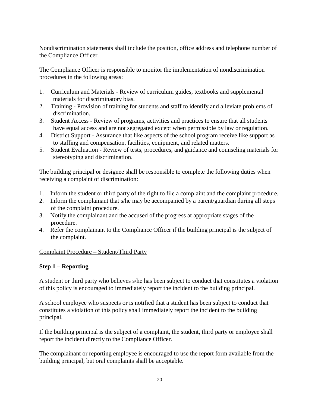Nondiscrimination statements shall include the position, office address and telephone number of the Compliance Officer.

The Compliance Officer is responsible to monitor the implementation of nondiscrimination procedures in the following areas:

- 1. Curriculum and Materials Review of curriculum guides, textbooks and supplemental materials for discriminatory bias.
- 2. Training Provision of training for students and staff to identify and alleviate problems of discrimination.
- 3. Student Access Review of programs, activities and practices to ensure that all students have equal access and are not segregated except when permissible by law or regulation.
- 4. District Support Assurance that like aspects of the school program receive like support as to staffing and compensation, facilities, equipment, and related matters.
- 5. Student Evaluation Review of tests, procedures, and guidance and counseling materials for stereotyping and discrimination.

The building principal or designee shall be responsible to complete the following duties when receiving a complaint of discrimination:

- 1. Inform the student or third party of the right to file a complaint and the complaint procedure.
- 2. Inform the complainant that s/he may be accompanied by a parent/guardian during all steps of the complaint procedure.
- 3. Notify the complainant and the accused of the progress at appropriate stages of the procedure.
- 4. Refer the complainant to the Compliance Officer if the building principal is the subject of the complaint.

# Complaint Procedure – Student/Third Party

# **Step 1 – Reporting**

A student or third party who believes s/he has been subject to conduct that constitutes a violation of this policy is encouraged to immediately report the incident to the building principal.

A school employee who suspects or is notified that a student has been subject to conduct that constitutes a violation of this policy shall immediately report the incident to the building principal.

If the building principal is the subject of a complaint, the student, third party or employee shall report the incident directly to the Compliance Officer.

The complainant or reporting employee is encouraged to use the report form available from the building principal, but oral complaints shall be acceptable.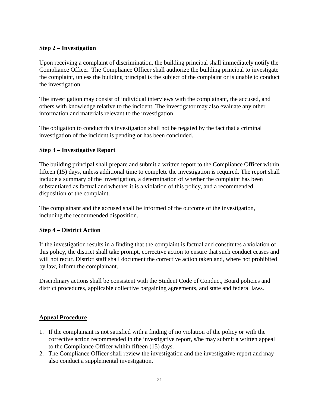# **Step 2 – Investigation**

Upon receiving a complaint of discrimination, the building principal shall immediately notify the Compliance Officer. The Compliance Officer shall authorize the building principal to investigate the complaint, unless the building principal is the subject of the complaint or is unable to conduct the investigation.

The investigation may consist of individual interviews with the complainant, the accused, and others with knowledge relative to the incident. The investigator may also evaluate any other information and materials relevant to the investigation.

The obligation to conduct this investigation shall not be negated by the fact that a criminal investigation of the incident is pending or has been concluded.

# **Step 3 – Investigative Report**

The building principal shall prepare and submit a written report to the Compliance Officer within fifteen (15) days, unless additional time to complete the investigation is required. The report shall include a summary of the investigation, a determination of whether the complaint has been substantiated as factual and whether it is a violation of this policy, and a recommended disposition of the complaint.

The complainant and the accused shall be informed of the outcome of the investigation, including the recommended disposition.

# **Step 4 – District Action**

If the investigation results in a finding that the complaint is factual and constitutes a violation of this policy, the district shall take prompt, corrective action to ensure that such conduct ceases and will not recur. District staff shall document the corrective action taken and, where not prohibited by law, inform the complainant.

Disciplinary actions shall be consistent with the Student Code of Conduct, Board policies and district procedures, applicable collective bargaining agreements, and state and federal laws.

#### **Appeal Procedure**

- 1. If the complainant is not satisfied with a finding of no violation of the policy or with the corrective action recommended in the investigative report, s/he may submit a written appeal to the Compliance Officer within fifteen (15) days.
- 2. The Compliance Officer shall review the investigation and the investigative report and may also conduct a supplemental investigation.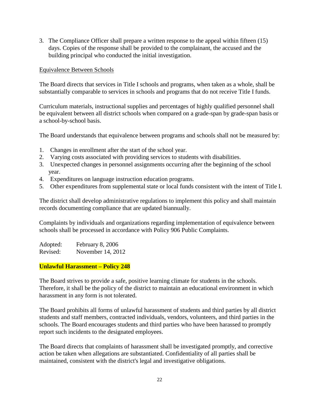3. The Compliance Officer shall prepare a written response to the appeal within fifteen (15) days. Copies of the response shall be provided to the complainant, the accused and the building principal who conducted the initial investigation.

#### Equivalence Between Schools

The Board directs that services in Title I schools and programs, when taken as a whole, shall be substantially comparable to services in schools and programs that do not receive Title I funds.

Curriculum materials, instructional supplies and percentages of highly qualified personnel shall be equivalent between all district schools when compared on a grade-span by grade-span basis or a school-by-school basis.

The Board understands that equivalence between programs and schools shall not be measured by:

- 1. Changes in enrollment after the start of the school year.
- 2. Varying costs associated with providing services to students with disabilities.
- 3. Unexpected changes in personnel assignments occurring after the beginning of the school year.
- 4. Expenditures on language instruction education programs.
- 5. Other expenditures from supplemental state or local funds consistent with the intent of Title I.

The district shall develop administrative regulations to implement this policy and shall maintain records documenting compliance that are updated biannually.

Complaints by individuals and organizations regarding implementation of equivalence between schools shall be processed in accordance with Policy 906 Public Complaints.

Adopted: February 8, 2006 Revised: November 14, 2012

#### **Unlawful Harassment – Policy 248**

The Board strives to provide a safe, positive learning climate for students in the schools. Therefore, it shall be the policy of the district to maintain an educational environment in which harassment in any form is not tolerated.

The Board prohibits all forms of unlawful harassment of students and third parties by all district students and staff members, contracted individuals, vendors, volunteers, and third parties in the schools. The Board encourages students and third parties who have been harassed to promptly report such incidents to the designated employees.

The Board directs that complaints of harassment shall be investigated promptly, and corrective action be taken when allegations are substantiated. Confidentiality of all parties shall be maintained, consistent with the district's legal and investigative obligations.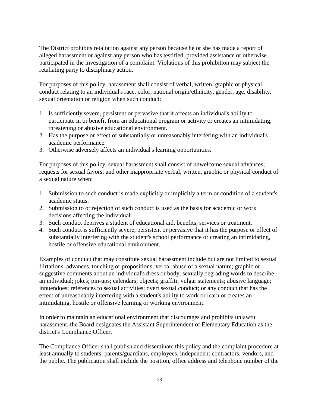The District prohibits retaliation against any person because he or she has made a report of alleged harassment or against any person who has testified, provided assistance or otherwise participated in the investigation of a complaint. Violations of this prohibition may subject the retaliating party to disciplinary action.

For purposes of this policy, harassment shall consist of verbal, written, graphic or physical conduct relating to an individual's race, color, national origin/ethnicity, gender, age, disability, sexual orientation or religion when such conduct:

- 1. Is sufficiently severe, persistent or pervasive that it affects an individual's ability to participate in or benefit from an educational program or activity or creates an intimidating, threatening or abusive educational environment.
- 2. Has the purpose or effect of substantially or unreasonably interfering with an individual's academic performance.
- 3. Otherwise adversely affects an individual's learning opportunities.

For purposes of this policy, sexual harassment shall consist of unwelcome sexual advances; requests for sexual favors; and other inappropriate verbal, written, graphic or physical conduct of a sexual nature when:

- 1. Submission to such conduct is made explicitly or implicitly a term or condition of a student's academic status.
- 2. Submission to or rejection of such conduct is used as the basis for academic or work decisions affecting the individual.
- 3. Such conduct deprives a student of educational aid, benefits, services or treatment.
- 4. Such conduct is sufficiently severe, persistent or pervasive that it has the purpose or effect of substantially interfering with the student's school performance or creating an intimidating, hostile or offensive educational environment.

Examples of conduct that may constitute sexual harassment include but are not limited to sexual flirtations, advances, touching or propositions; verbal abuse of a sexual nature; graphic or suggestive comments about an individual's dress or body; sexually degrading words to describe an individual; jokes; pin-ups; calendars; objects; graffiti; vulgar statements; abusive language; innuendoes; references to sexual activities; overt sexual conduct; or any conduct that has the effect of unreasonably interfering with a student's ability to work or learn or creates an intimidating, hostile or offensive learning or working environment.

In order to maintain an educational environment that discourages and prohibits unlawful harassment, the Board designates the Assistant Superintendent of Elementary Education as the district's Compliance Officer.

The Compliance Officer shall publish and disseminate this policy and the complaint procedure at least annually to students, parents/guardians, employees, independent contractors, vendors, and the public. The publication shall include the position, office address and telephone number of the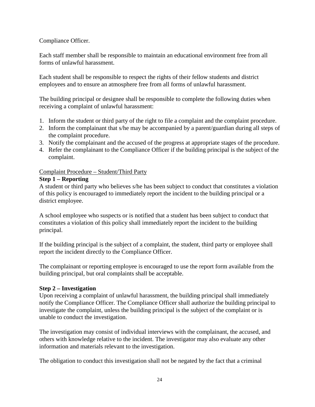Compliance Officer.

Each staff member shall be responsible to maintain an educational environment free from all forms of unlawful harassment.

Each student shall be responsible to respect the rights of their fellow students and district employees and to ensure an atmosphere free from all forms of unlawful harassment.

The building principal or designee shall be responsible to complete the following duties when receiving a complaint of unlawful harassment:

- 1. Inform the student or third party of the right to file a complaint and the complaint procedure.
- 2. Inform the complainant that s/he may be accompanied by a parent/guardian during all steps of the complaint procedure.
- 3. Notify the complainant and the accused of the progress at appropriate stages of the procedure.
- 4. Refer the complainant to the Compliance Officer if the building principal is the subject of the complaint.

# Complaint Procedure – Student/Third Party

# **Step 1 – Reporting**

A student or third party who believes s/he has been subject to conduct that constitutes a violation of this policy is encouraged to immediately report the incident to the building principal or a district employee.

A school employee who suspects or is notified that a student has been subject to conduct that constitutes a violation of this policy shall immediately report the incident to the building principal.

If the building principal is the subject of a complaint, the student, third party or employee shall report the incident directly to the Compliance Officer.

The complainant or reporting employee is encouraged to use the report form available from the building principal, but oral complaints shall be acceptable.

# **Step 2 – Investigation**

Upon receiving a complaint of unlawful harassment, the building principal shall immediately notify the Compliance Officer. The Compliance Officer shall authorize the building principal to investigate the complaint, unless the building principal is the subject of the complaint or is unable to conduct the investigation.

The investigation may consist of individual interviews with the complainant, the accused, and others with knowledge relative to the incident. The investigator may also evaluate any other information and materials relevant to the investigation.

The obligation to conduct this investigation shall not be negated by the fact that a criminal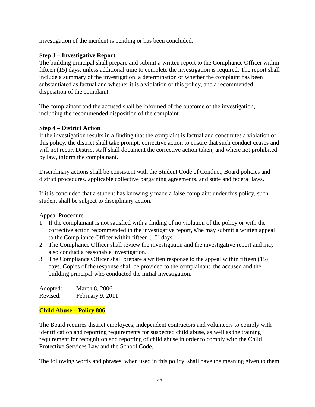investigation of the incident is pending or has been concluded.

# **Step 3 – Investigative Report**

The building principal shall prepare and submit a written report to the Compliance Officer within fifteen (15) days, unless additional time to complete the investigation is required. The report shall include a summary of the investigation, a determination of whether the complaint has been substantiated as factual and whether it is a violation of this policy, and a recommended disposition of the complaint.

The complainant and the accused shall be informed of the outcome of the investigation, including the recommended disposition of the complaint.

# **Step 4 – District Action**

If the investigation results in a finding that the complaint is factual and constitutes a violation of this policy, the district shall take prompt, corrective action to ensure that such conduct ceases and will not recur. District staff shall document the corrective action taken, and where not prohibited by law, inform the complainant.

Disciplinary actions shall be consistent with the Student Code of Conduct, Board policies and district procedures, applicable collective bargaining agreements, and state and federal laws.

If it is concluded that a student has knowingly made a false complaint under this policy, such student shall be subject to disciplinary action.

# Appeal Procedure

- 1. If the complainant is not satisfied with a finding of no violation of the policy or with the corrective action recommended in the investigative report, s/he may submit a written appeal to the Compliance Officer within fifteen (15) days.
- 2. The Compliance Officer shall review the investigation and the investigative report and may also conduct a reasonable investigation.
- 3. The Compliance Officer shall prepare a written response to the appeal within fifteen (15) days. Copies of the response shall be provided to the complainant, the accused and the building principal who conducted the initial investigation.

Adopted: March 8, 2006 Revised: February 9, 2011

# **Child Abuse – Policy 806**

The Board requires district employees, independent contractors and volunteers to comply with identification and reporting requirements for suspected child abuse, as well as the training requirement for recognition and reporting of child abuse in order to comply with the Child Protective Services Law and the School Code.

The following words and phrases, when used in this policy, shall have the meaning given to them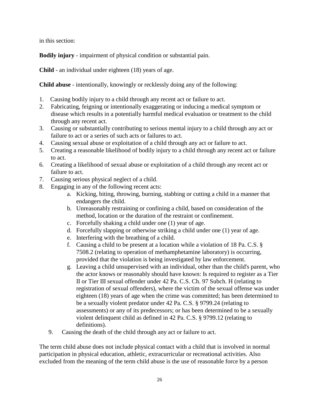in this section:

**Bodily injury** - impairment of physical condition or substantial pain.

**Child** - an individual under eighteen (18) years of age.

**Child abuse** - intentionally, knowingly or recklessly doing any of the following:

- 1. Causing bodily injury to a child through any recent act or failure to act.
- 2. Fabricating, feigning or intentionally exaggerating or inducing a medical symptom or disease which results in a potentially harmful medical evaluation or treatment to the child through any recent act.
- 3. Causing or substantially contributing to serious mental injury to a child through any act or failure to act or a series of such acts or failures to act.
- 4. Causing sexual abuse or exploitation of a child through any act or failure to act.
- 5. Creating a reasonable likelihood of bodily injury to a child through any recent act or failure to act.
- 6. Creating a likelihood of sexual abuse or exploitation of a child through any recent act or failure to act.
- 7. Causing serious physical neglect of a child.
- 8. Engaging in any of the following recent acts:
	- a. Kicking, biting, throwing, burning, stabbing or cutting a child in a manner that endangers the child.
	- b. Unreasonably restraining or confining a child, based on consideration of the method, location or the duration of the restraint or confinement.
	- c. Forcefully shaking a child under one (1) year of age.
	- d. Forcefully slapping or otherwise striking a child under one (1) year of age.
	- e. Interfering with the breathing of a child.
	- f. Causing a child to be present at a location while a violation of 18 Pa. C.S. § 7508.2 (relating to operation of methamphetamine laboratory) is occurring, provided that the violation is being investigated by law enforcement.
	- g. Leaving a child unsupervised with an individual, other than the child's parent, who the actor knows or reasonably should have known: Is required to register as a Tier II or Tier III sexual offender under 42 Pa. C.S. Ch. 97 Subch. H (relating to registration of sexual offenders), where the victim of the sexual offense was under eighteen (18) years of age when the crime was committed; has been determined to be a sexually violent predator under 42 Pa. C.S. § 9799.24 (relating to assessments) or any of its predecessors; or has been determined to be a sexually violent delinquent child as defined in 42 Pa. C.S. § 9799.12 (relating to definitions).
	- 9. Causing the death of the child through any act or failure to act.

The term child abuse does not include physical contact with a child that is involved in normal participation in physical education, athletic, extracurricular or recreational activities. Also excluded from the meaning of the term child abuse is the use of reasonable force by a person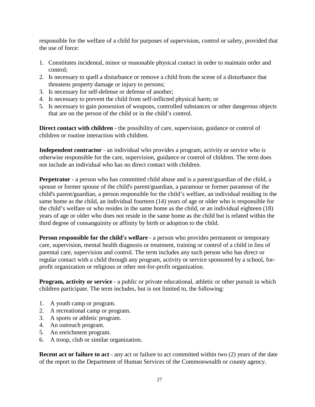responsible for the welfare of a child for purposes of supervision, control or safety, provided that the use of force:

- 1. Constitutes incidental, minor or reasonable physical contact in order to maintain order and control;
- 2. Is necessary to quell a disturbance or remove a child from the scene of a disturbance that threatens property damage or injury to persons;
- 3. Is necessary for self-defense or defense of another;
- 4. Is necessary to prevent the child from self-inflicted physical harm; or
- 5. Is necessary to gain possession of weapons, controlled substances or other dangerous objects that are on the person of the child or in the child's control.

**Direct contact with children** - the possibility of care, supervision, guidance or control of children or routine interaction with children.

**Independent contractor** - an individual who provides a program, activity or service who is otherwise responsible for the care, supervision, guidance or control of children. The term does not include an individual who has no direct contact with children.

**Perpetrator** - a person who has committed child abuse and is a parent/guardian of the child, a spouse or former spouse of the child's parent/guardian, a paramour or former paramour of the child's parent/guardian, a person responsible for the child's welfare, an individual residing in the same home as the child, an individual fourteen (14) years of age or older who is responsible for the child's welfare or who resides in the same home as the child, or an individual eighteen (18) years of age or older who does not reside in the same home as the child but is related within the third degree of consanguinity or affinity by birth or adoption to the child.

**Person responsible for the child's welfare** - a person who provides permanent or temporary care, supervision, mental health diagnosis or treatment, training or control of a child in lieu of parental care, supervision and control. The term includes any such person who has direct or regular contact with a child through any program, activity or service sponsored by a school, forprofit organization or religious or other not-for-profit organization.

**Program, activity or service** - a public or private educational, athletic or other pursuit in which children participate. The term includes, but is not limited to, the following:

- 1. A youth camp or program.
- 2. A recreational camp or program.
- 3. A sports or athletic program.
- 4. An outreach program.
- 5. An enrichment program.
- 6. A troop, club or similar organization.

**Recent act or failure to act** - any act or failure to act committed within two (2) years of the date of the report to the Department of Human Services of the Commonwealth or county agency.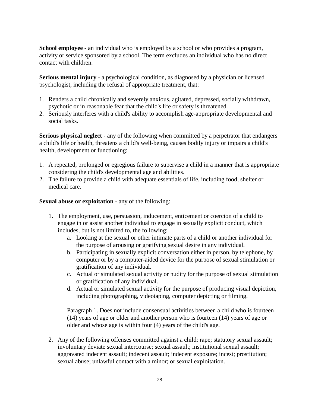**School employee** - an individual who is employed by a school or who provides a program, activity or service sponsored by a school. The term excludes an individual who has no direct contact with children.

**Serious mental injury** - a psychological condition, as diagnosed by a physician or licensed psychologist, including the refusal of appropriate treatment, that:

- 1. Renders a child chronically and severely anxious, agitated, depressed, socially withdrawn, psychotic or in reasonable fear that the child's life or safety is threatened.
- 2. Seriously interferes with a child's ability to accomplish age-appropriate developmental and social tasks.

**Serious physical neglect** - any of the following when committed by a perpetrator that endangers a child's life or health, threatens a child's well-being, causes bodily injury or impairs a child's health, development or functioning:

- 1. A repeated, prolonged or egregious failure to supervise a child in a manner that is appropriate considering the child's developmental age and abilities.
- 2. The failure to provide a child with adequate essentials of life, including food, shelter or medical care.

#### **Sexual abuse or exploitation** - any of the following:

- 1. The employment, use, persuasion, inducement, enticement or coercion of a child to engage in or assist another individual to engage in sexually explicit conduct, which includes, but is not limited to, the following:
	- a. Looking at the sexual or other intimate parts of a child or another individual for the purpose of arousing or gratifying sexual desire in any individual.
	- b. Participating in sexually explicit conversation either in person, by telephone, by computer or by a computer-aided device for the purpose of sexual stimulation or gratification of any individual.
	- c. Actual or simulated sexual activity or nudity for the purpose of sexual stimulation or gratification of any individual.
	- d. Actual or simulated sexual activity for the purpose of producing visual depiction, including photographing, videotaping, computer depicting or filming.

Paragraph 1. Does not include consensual activities between a child who is fourteen (14) years of age or older and another person who is fourteen (14) years of age or older and whose age is within four (4) years of the child's age.

2. Any of the following offenses committed against a child: rape; statutory sexual assault; involuntary deviate sexual intercourse; sexual assault; institutional sexual assault; aggravated indecent assault; indecent assault; indecent exposure; incest; prostitution; sexual abuse; unlawful contact with a minor; or sexual exploitation.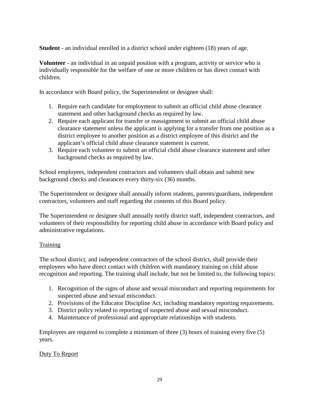**Student** - an individual enrolled in a district school under eighteen (18) years of age.

**Volunteer** - an individual in an unpaid position with a program, activity or service who is individually responsible for the welfare of one or more children or has direct contact with children.

In accordance with Board policy, the Superintendent or designee shall:

- 1. Require each candidate for employment to submit an official child abuse clearance statement and other background checks as required by law.
- 2. Require each applicant for transfer or reassignment to submit an official child abuse clearance statement unless the applicant is applying for a transfer from one position as a district employee to another position as a district employee of this district and the applicant's official child abuse clearance statement is current.
- 3. Require each volunteer to submit an official child abuse clearance statement and other background checks as required by law.

School employees, independent contractors and volunteers shall obtain and submit new background checks and clearances every thirty-six (36) months.

The Superintendent or designee shall annually inform students, parents/guardians, independent contractors, volunteers and staff regarding the contents of this Board policy.

The Superintendent or designee shall annually notify district staff, independent contractors, and volunteers of their responsibility for reporting child abuse in accordance with Board policy and administrative regulations.

# **Training**

The school district, and independent contractors of the school district, shall provide their employees who have direct contact with children with mandatory training on child abuse recognition and reporting. The training shall include, but not be limited to, the following topics:

- 1. Recognition of the signs of abuse and sexual misconduct and reporting requirements for suspected abuse and sexual misconduct.
- 2. Provisions of the Educator Discipline Act, including mandatory reporting requirements.
- 3. District policy related to reporting of suspected abuse and sexual misconduct.
- 4. Maintenance of professional and appropriate relationships with students.

Employees are required to complete a minimum of three (3) hours of training every five (5) years.

# Duty To Report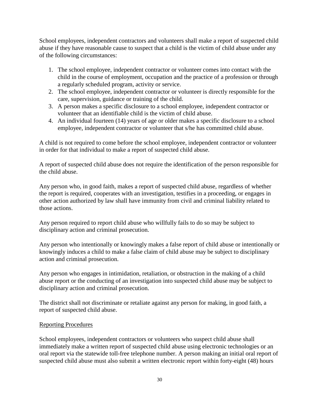School employees, independent contractors and volunteers shall make a report of suspected child abuse if they have reasonable cause to suspect that a child is the victim of child abuse under any of the following circumstances:

- 1. The school employee, independent contractor or volunteer comes into contact with the child in the course of employment, occupation and the practice of a profession or through a regularly scheduled program, activity or service.
- 2. The school employee, independent contractor or volunteer is directly responsible for the care, supervision, guidance or training of the child.
- 3. A person makes a specific disclosure to a school employee, independent contractor or volunteer that an identifiable child is the victim of child abuse.
- 4. An individual fourteen (14) years of age or older makes a specific disclosure to a school employee, independent contractor or volunteer that s/he has committed child abuse.

A child is not required to come before the school employee, independent contractor or volunteer in order for that individual to make a report of suspected child abuse.

A report of suspected child abuse does not require the identification of the person responsible for the child abuse.

Any person who, in good faith, makes a report of suspected child abuse, regardless of whether the report is required, cooperates with an investigation, testifies in a proceeding, or engages in other action authorized by law shall have immunity from civil and criminal liability related to those actions.

Any person required to report child abuse who willfully fails to do so may be subject to disciplinary action and criminal prosecution.

Any person who intentionally or knowingly makes a false report of child abuse or intentionally or knowingly induces a child to make a false claim of child abuse may be subject to disciplinary action and criminal prosecution.

Any person who engages in intimidation, retaliation, or obstruction in the making of a child abuse report or the conducting of an investigation into suspected child abuse may be subject to disciplinary action and criminal prosecution.

The district shall not discriminate or retaliate against any person for making, in good faith, a report of suspected child abuse.

# Reporting Procedures

School employees, independent contractors or volunteers who suspect child abuse shall immediately make a written report of suspected child abuse using electronic technologies or an oral report via the statewide toll-free telephone number. A person making an initial oral report of suspected child abuse must also submit a written electronic report within forty-eight (48) hours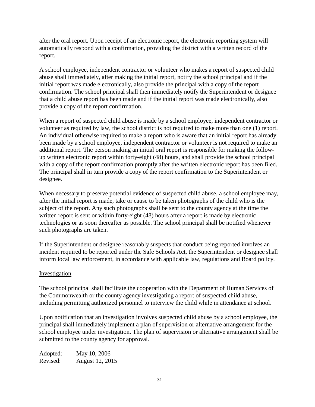after the oral report. Upon receipt of an electronic report, the electronic reporting system will automatically respond with a confirmation, providing the district with a written record of the report.

A school employee, independent contractor or volunteer who makes a report of suspected child abuse shall immediately, after making the initial report, notify the school principal and if the initial report was made electronically, also provide the principal with a copy of the report confirmation. The school principal shall then immediately notify the Superintendent or designee that a child abuse report has been made and if the initial report was made electronically, also provide a copy of the report confirmation.

When a report of suspected child abuse is made by a school employee, independent contractor or volunteer as required by law, the school district is not required to make more than one (1) report. An individual otherwise required to make a report who is aware that an initial report has already been made by a school employee, independent contractor or volunteer is not required to make an additional report. The person making an initial oral report is responsible for making the followup written electronic report within forty-eight (48) hours, and shall provide the school principal with a copy of the report confirmation promptly after the written electronic report has been filed. The principal shall in turn provide a copy of the report confirmation to the Superintendent or designee.

When necessary to preserve potential evidence of suspected child abuse, a school employee may, after the initial report is made, take or cause to be taken photographs of the child who is the subject of the report. Any such photographs shall be sent to the county agency at the time the written report is sent or within forty-eight (48) hours after a report is made by electronic technologies or as soon thereafter as possible. The school principal shall be notified whenever such photographs are taken.

If the Superintendent or designee reasonably suspects that conduct being reported involves an incident required to be reported under the Safe Schools Act, the Superintendent or designee shall inform local law enforcement, in accordance with applicable law, regulations and Board policy.

# Investigation

The school principal shall facilitate the cooperation with the Department of Human Services of the Commonwealth or the county agency investigating a report of suspected child abuse, including permitting authorized personnel to interview the child while in attendance at school.

Upon notification that an investigation involves suspected child abuse by a school employee, the principal shall immediately implement a plan of supervision or alternative arrangement for the school employee under investigation. The plan of supervision or alternative arrangement shall be submitted to the county agency for approval.

Adopted: May 10, 2006 Revised: August 12, 2015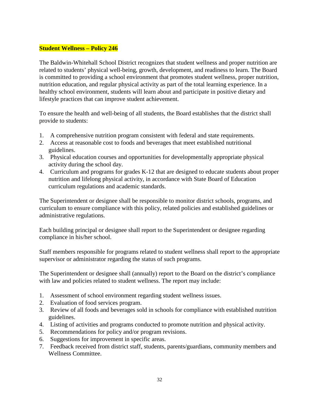#### **Student Wellness – Policy 246**

The Baldwin-Whitehall School District recognizes that student wellness and proper nutrition are related to students' physical well-being, growth, development, and readiness to learn. The Board is committed to providing a school environment that promotes student wellness, proper nutrition, nutrition education, and regular physical activity as part of the total learning experience. In a healthy school environment, students will learn about and participate in positive dietary and lifestyle practices that can improve student achievement.

To ensure the health and well-being of all students, the Board establishes that the district shall provide to students:

- 1. A comprehensive nutrition program consistent with federal and state requirements.
- 2. Access at reasonable cost to foods and beverages that meet established nutritional guidelines.
- 3. Physical education courses and opportunities for developmentally appropriate physical activity during the school day.
- 4. Curriculum and programs for grades K-12 that are designed to educate students about proper nutrition and lifelong physical activity, in accordance with State Board of Education curriculum regulations and academic standards.

The Superintendent or designee shall be responsible to monitor district schools, programs, and curriculum to ensure compliance with this policy, related policies and established guidelines or administrative regulations.

Each building principal or designee shall report to the Superintendent or designee regarding compliance in his/her school.

Staff members responsible for programs related to student wellness shall report to the appropriate supervisor or administrator regarding the status of such programs.

The Superintendent or designee shall (annually) report to the Board on the district's compliance with law and policies related to student wellness. The report may include:

- 1. Assessment of school environment regarding student wellness issues.
- 2. Evaluation of food services program.
- 3. Review of all foods and beverages sold in schools for compliance with established nutrition guidelines.
- 4. Listing of activities and programs conducted to promote nutrition and physical activity.
- 5. Recommendations for policy and/or program revisions.
- 6. Suggestions for improvement in specific areas.
- 7. Feedback received from district staff, students, parents/guardians, community members and Wellness Committee.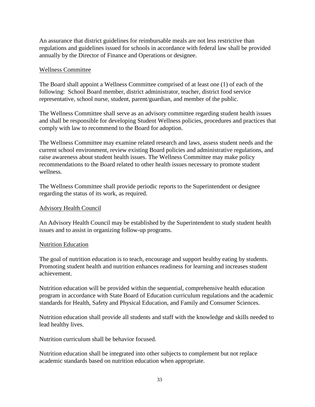An assurance that district guidelines for reimbursable meals are not less restrictive than regulations and guidelines issued for schools in accordance with federal law shall be provided annually by the Director of Finance and Operations or designee.

#### Wellness Committee

The Board shall appoint a Wellness Committee comprised of at least one (1) of each of the following: School Board member, district administrator, teacher, district food service representative, school nurse, student, parent/guardian, and member of the public.

The Wellness Committee shall serve as an advisory committee regarding student health issues and shall be responsible for developing Student Wellness policies, procedures and practices that comply with law to recommend to the Board for adoption.

The Wellness Committee may examine related research and laws, assess student needs and the current school environment, review existing Board policies and administrative regulations, and raise awareness about student health issues. The Wellness Committee may make policy recommendations to the Board related to other health issues necessary to promote student wellness.

The Wellness Committee shall provide periodic reports to the Superintendent or designee regarding the status of its work, as required.

#### Advisory Health Council

An Advisory Health Council may be established by the Superintendent to study student health issues and to assist in organizing follow-up programs.

#### Nutrition Education

The goal of nutrition education is to teach, encourage and support healthy eating by students. Promoting student health and nutrition enhances readiness for learning and increases student achievement.

Nutrition education will be provided within the sequential, comprehensive health education program in accordance with State Board of Education curriculum regulations and the academic standards for Health, Safety and Physical Education, and Family and Consumer Sciences.

Nutrition education shall provide all students and staff with the knowledge and skills needed to lead healthy lives.

Nutrition curriculum shall be behavior focused.

Nutrition education shall be integrated into other subjects to complement but not replace academic standards based on nutrition education when appropriate.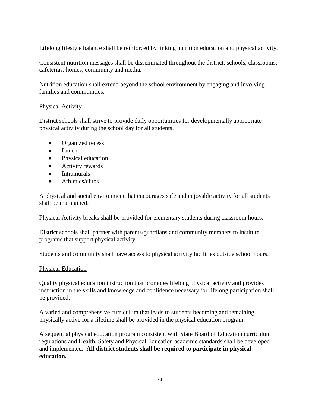Lifelong lifestyle balance shall be reinforced by linking nutrition education and physical activity.

Consistent nutrition messages shall be disseminated throughout the district, schools, classrooms, cafeterias, homes, community and media.

Nutrition education shall extend beyond the school environment by engaging and involving families and communities.

#### Physical Activity

District schools shall strive to provide daily opportunities for developmentally appropriate physical activity during the school day for all students.

- Organized recess
- Lunch
- Physical education
- Activity rewards
- Intramurals
- Athletics/clubs

A physical and social environment that encourages safe and enjoyable activity for all students shall be maintained.

Physical Activity breaks shall be provided for elementary students during classroom hours.

District schools shall partner with parents/guardians and community members to institute programs that support physical activity.

Students and community shall have access to physical activity facilities outside school hours.

# Physical Education

Quality physical education instruction that promotes lifelong physical activity and provides instruction in the skills and knowledge and confidence necessary for lifelong participation shall be provided.

A varied and comprehensive curriculum that leads to students becoming and remaining physically active for a lifetime shall be provided in the physical education program.

A sequential physical education program consistent with State Board of Education curriculum regulations and Health, Safety and Physical Education academic standards shall be developed and implemented. **All district students shall be required to participate in physical education.**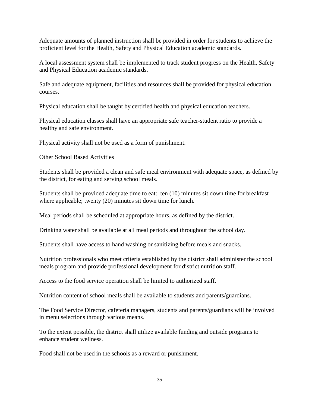Adequate amounts of planned instruction shall be provided in order for students to achieve the proficient level for the Health, Safety and Physical Education academic standards.

A local assessment system shall be implemented to track student progress on the Health, Safety and Physical Education academic standards.

Safe and adequate equipment, facilities and resources shall be provided for physical education courses.

Physical education shall be taught by certified health and physical education teachers.

Physical education classes shall have an appropriate safe teacher-student ratio to provide a healthy and safe environment.

Physical activity shall not be used as a form of punishment.

#### Other School Based Activities

Students shall be provided a clean and safe meal environment with adequate space, as defined by the district, for eating and serving school meals.

Students shall be provided adequate time to eat: ten (10) minutes sit down time for breakfast where applicable; twenty (20) minutes sit down time for lunch.

Meal periods shall be scheduled at appropriate hours, as defined by the district.

Drinking water shall be available at all meal periods and throughout the school day.

Students shall have access to hand washing or sanitizing before meals and snacks.

Nutrition professionals who meet criteria established by the district shall administer the school meals program and provide professional development for district nutrition staff.

Access to the food service operation shall be limited to authorized staff.

Nutrition content of school meals shall be available to students and parents/guardians.

The Food Service Director, cafeteria managers, students and parents/guardians will be involved in menu selections through various means.

To the extent possible, the district shall utilize available funding and outside programs to enhance student wellness.

Food shall not be used in the schools as a reward or punishment.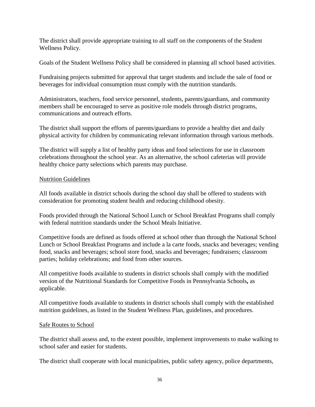The district shall provide appropriate training to all staff on the components of the Student Wellness Policy.

Goals of the Student Wellness Policy shall be considered in planning all school based activities.

Fundraising projects submitted for approval that target students and include the sale of food or beverages for individual consumption must comply with the nutrition standards.

Administrators, teachers, food service personnel, students, parents/guardians, and community members shall be encouraged to serve as positive role models through district programs, communications and outreach efforts.

The district shall support the efforts of parents/guardians to provide a healthy diet and daily physical activity for children by communicating relevant information through various methods.

The district will supply a list of healthy party ideas and food selections for use in classroom celebrations throughout the school year. As an alternative, the school cafeterias will provide healthy choice party selections which parents may purchase.

#### Nutrition Guidelines

All foods available in district schools during the school day shall be offered to students with consideration for promoting student health and reducing childhood obesity.

Foods provided through the National School Lunch or School Breakfast Programs shall comply with federal nutrition standards under the School Meals Initiative.

Competitive foods are defined as foods offered at school other than through the National School Lunch or School Breakfast Programs and include a la carte foods, snacks and beverages; vending food, snacks and beverages; school store food, snacks and beverages; fundraisers; classroom parties; holiday celebrations; and food from other sources.

All competitive foods available to students in district schools shall comply with the modified version of the Nutritional Standards for Competitive Foods in Pennsylvania Schools**,** as applicable.

All competitive foods available to students in district schools shall comply with the established nutrition guidelines, as listed in the Student Wellness Plan, guidelines, and procedures.

#### Safe Routes to School

The district shall assess and, to the extent possible, implement improvements to make walking to school safer and easier for students.

The district shall cooperate with local municipalities, public safety agency, police departments,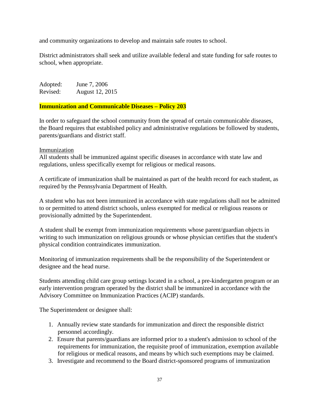and community organizations to develop and maintain safe routes to school.

District administrators shall seek and utilize available federal and state funding for safe routes to school, when appropriate.

Adopted: June 7, 2006 Revised: August 12, 2015

## **Immunization and Communicable Diseases – Policy 203**

In order to safeguard the school community from the spread of certain communicable diseases, the Board requires that established policy and administrative regulations be followed by students, parents/guardians and district staff.

## Immunization

All students shall be immunized against specific diseases in accordance with state law and regulations, unless specifically exempt for religious or medical reasons.

A certificate of immunization shall be maintained as part of the health record for each student, as required by the Pennsylvania Department of Health.

A student who has not been immunized in accordance with state regulations shall not be admitted to or permitted to attend district schools, unless exempted for medical or religious reasons or provisionally admitted by the Superintendent.

A student shall be exempt from immunization requirements whose parent/guardian objects in writing to such immunization on religious grounds or whose physician certifies that the student's physical condition contraindicates immunization.

Monitoring of immunization requirements shall be the responsibility of the Superintendent or designee and the head nurse.

Students attending child care group settings located in a school, a pre-kindergarten program or an early intervention program operated by the district shall be immunized in accordance with the Advisory Committee on Immunization Practices (ACIP) standards.

The Superintendent or designee shall:

- 1. Annually review state standards for immunization and direct the responsible district personnel accordingly.
- 2. Ensure that parents/guardians are informed prior to a student's admission to school of the requirements for immunization, the requisite proof of immunization, exemption available for religious or medical reasons, and means by which such exemptions may be claimed.
- 3. Investigate and recommend to the Board district-sponsored programs of immunization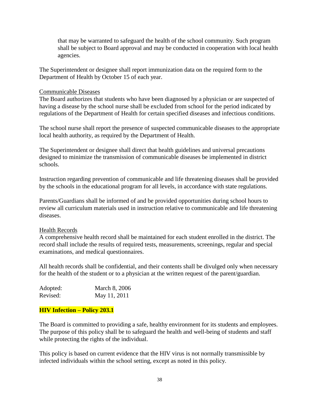that may be warranted to safeguard the health of the school community. Such program shall be subject to Board approval and may be conducted in cooperation with local health agencies.

The Superintendent or designee shall report immunization data on the required form to the Department of Health by October 15 of each year.

#### Communicable Diseases

The Board authorizes that students who have been diagnosed by a physician or are suspected of having a disease by the school nurse shall be excluded from school for the period indicated by regulations of the Department of Health for certain specified diseases and infectious conditions.

The school nurse shall report the presence of suspected communicable diseases to the appropriate local health authority, as required by the Department of Health.

The Superintendent or designee shall direct that health guidelines and universal precautions designed to minimize the transmission of communicable diseases be implemented in district schools.

Instruction regarding prevention of communicable and life threatening diseases shall be provided by the schools in the educational program for all levels, in accordance with state regulations.

Parents/Guardians shall be informed of and be provided opportunities during school hours to review all curriculum materials used in instruction relative to communicable and life threatening diseases.

## Health Records

A comprehensive health record shall be maintained for each student enrolled in the district. The record shall include the results of required tests, measurements, screenings, regular and special examinations, and medical questionnaires.

All health records shall be confidential, and their contents shall be divulged only when necessary for the health of the student or to a physician at the written request of the parent/guardian.

| Adopted: | March 8, 2006 |  |
|----------|---------------|--|
| Revised: | May 11, 2011  |  |

## **HIV Infection – Policy 203.1**

The Board is committed to providing a safe, healthy environment for its students and employees. The purpose of this policy shall be to safeguard the health and well-being of students and staff while protecting the rights of the individual.

This policy is based on current evidence that the HIV virus is not normally transmissible by infected individuals within the school setting, except as noted in this policy.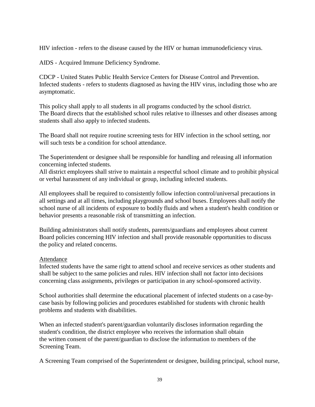HIV infection - refers to the disease caused by the HIV or human immunodeficiency virus.

AIDS - Acquired Immune Deficiency Syndrome.

CDCP - United States Public Health Service Centers for Disease Control and Prevention. Infected students - refers to students diagnosed as having the HIV virus, including those who are asymptomatic.

This policy shall apply to all students in all programs conducted by the school district. The Board directs that the established school rules relative to illnesses and other diseases among students shall also apply to infected students.

The Board shall not require routine screening tests for HIV infection in the school setting, nor will such tests be a condition for school attendance.

The Superintendent or designee shall be responsible for handling and releasing all information concerning infected students.

All district employees shall strive to maintain a respectful school climate and to prohibit physical or verbal harassment of any individual or group, including infected students.

All employees shall be required to consistently follow infection control/universal precautions in all settings and at all times, including playgrounds and school buses. Employees shall notify the school nurse of all incidents of exposure to bodily fluids and when a student's health condition or behavior presents a reasonable risk of transmitting an infection.

Building administrators shall notify students, parents/guardians and employees about current Board policies concerning HIV infection and shall provide reasonable opportunities to discuss the policy and related concerns.

#### Attendance

Infected students have the same right to attend school and receive services as other students and shall be subject to the same policies and rules. HIV infection shall not factor into decisions concerning class assignments, privileges or participation in any school-sponsored activity.

School authorities shall determine the educational placement of infected students on a case-bycase basis by following policies and procedures established for students with chronic health problems and students with disabilities.

When an infected student's parent/guardian voluntarily discloses information regarding the student's condition, the district employee who receives the information shall obtain the written consent of the parent/guardian to disclose the information to members of the Screening Team.

A Screening Team comprised of the Superintendent or designee, building principal, school nurse,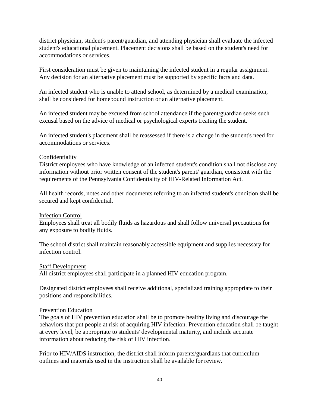district physician, student's parent/guardian, and attending physician shall evaluate the infected student's educational placement. Placement decisions shall be based on the student's need for accommodations or services.

First consideration must be given to maintaining the infected student in a regular assignment. Any decision for an alternative placement must be supported by specific facts and data.

An infected student who is unable to attend school, as determined by a medical examination, shall be considered for homebound instruction or an alternative placement.

An infected student may be excused from school attendance if the parent/guardian seeks such excusal based on the advice of medical or psychological experts treating the student.

An infected student's placement shall be reassessed if there is a change in the student's need for accommodations or services.

#### Confidentiality

District employees who have knowledge of an infected student's condition shall not disclose any information without prior written consent of the student's parent/ guardian, consistent with the requirements of the Pennsylvania Confidentiality of HIV-Related Information Act.

All health records, notes and other documents referring to an infected student's condition shall be secured and kept confidential.

#### Infection Control

Employees shall treat all bodily fluids as hazardous and shall follow universal precautions for any exposure to bodily fluids.

The school district shall maintain reasonably accessible equipment and supplies necessary for infection control.

#### Staff Development

All district employees shall participate in a planned HIV education program.

Designated district employees shall receive additional, specialized training appropriate to their positions and responsibilities.

#### Prevention Education

The goals of HIV prevention education shall be to promote healthy living and discourage the behaviors that put people at risk of acquiring HIV infection. Prevention education shall be taught at every level, be appropriate to students' developmental maturity, and include accurate information about reducing the risk of HIV infection.

Prior to HIV/AIDS instruction, the district shall inform parents/guardians that curriculum outlines and materials used in the instruction shall be available for review.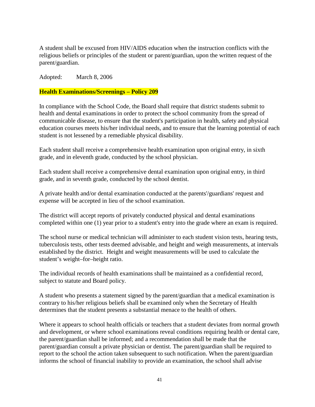A student shall be excused from HIV/AIDS education when the instruction conflicts with the religious beliefs or principles of the student or parent/guardian, upon the written request of the parent/guardian.

Adopted: March 8, 2006

### **Health Examinations/Screenings – Policy 209**

In compliance with the School Code, the Board shall require that district students submit to health and dental examinations in order to protect the school community from the spread of communicable disease, to ensure that the student's participation in health, safety and physical education courses meets his/her individual needs, and to ensure that the learning potential of each student is not lessened by a remediable physical disability.

Each student shall receive a comprehensive health examination upon original entry, in sixth grade, and in eleventh grade, conducted by the school physician.

Each student shall receive a comprehensive dental examination upon original entry, in third grade, and in seventh grade, conducted by the school dentist.

A private health and/or dental examination conducted at the parents'/guardians' request and expense will be accepted in lieu of the school examination.

The district will accept reports of privately conducted physical and dental examinations completed within one (1) year prior to a student's entry into the grade where an exam is required.

The school nurse or medical technician will administer to each student vision tests, hearing tests, tuberculosis tests, other tests deemed advisable, and height and weigh measurements, at intervals established by the district. Height and weight measurements will be used to calculate the student's weight–for–height ratio.

The individual records of health examinations shall be maintained as a confidential record, subject to statute and Board policy.

A student who presents a statement signed by the parent/guardian that a medical examination is contrary to his/her religious beliefs shall be examined only when the Secretary of Health determines that the student presents a substantial menace to the health of others.

Where it appears to school health officials or teachers that a student deviates from normal growth and development, or where school examinations reveal conditions requiring health or dental care, the parent/guardian shall be informed; and a recommendation shall be made that the parent/guardian consult a private physician or dentist. The parent/guardian shall be required to report to the school the action taken subsequent to such notification. When the parent/guardian informs the school of financial inability to provide an examination, the school shall advise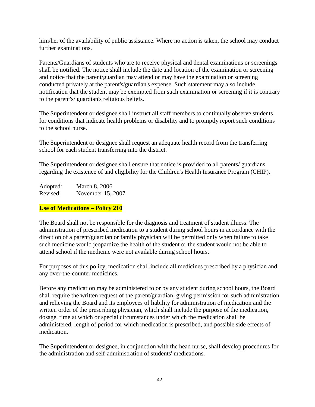him/her of the availability of public assistance. Where no action is taken, the school may conduct further examinations.

Parents/Guardians of students who are to receive physical and dental examinations or screenings shall be notified. The notice shall include the date and location of the examination or screening and notice that the parent/guardian may attend or may have the examination or screening conducted privately at the parent's/guardian's expense. Such statement may also include notification that the student may be exempted from such examination or screening if it is contrary to the parent's/ guardian's religious beliefs.

The Superintendent or designee shall instruct all staff members to continually observe students for conditions that indicate health problems or disability and to promptly report such conditions to the school nurse.

The Superintendent or designee shall request an adequate health record from the transferring school for each student transferring into the district.

The Superintendent or designee shall ensure that notice is provided to all parents/ guardians regarding the existence of and eligibility for the Children's Health Insurance Program (CHIP).

Adopted: March 8, 2006 Revised: November 15, 2007

## **Use of Medications – Policy 210**

The Board shall not be responsible for the diagnosis and treatment of student illness. The administration of prescribed medication to a student during school hours in accordance with the direction of a parent/guardian or family physician will be permitted only when failure to take such medicine would jeopardize the health of the student or the student would not be able to attend school if the medicine were not available during school hours.

For purposes of this policy, medication shall include all medicines prescribed by a physician and any over-the-counter medicines.

Before any medication may be administered to or by any student during school hours, the Board shall require the written request of the parent/guardian, giving permission for such administration and relieving the Board and its employees of liability for administration of medication and the written order of the prescribing physician, which shall include the purpose of the medication, dosage, time at which or special circumstances under which the medication shall be administered, length of period for which medication is prescribed, and possible side effects of medication.

The Superintendent or designee, in conjunction with the head nurse, shall develop procedures for the administration and self-administration of students' medications.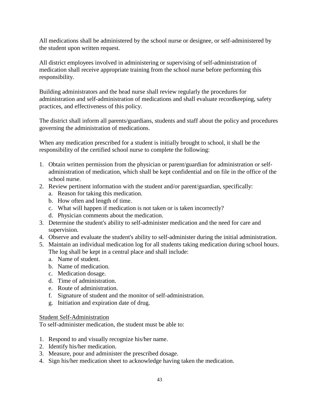All medications shall be administered by the school nurse or designee, or self-administered by the student upon written request.

All district employees involved in administering or supervising of self-administration of medication shall receive appropriate training from the school nurse before performing this responsibility.

Building administrators and the head nurse shall review regularly the procedures for administration and self-administration of medications and shall evaluate recordkeeping, safety practices, and effectiveness of this policy.

The district shall inform all parents/guardians, students and staff about the policy and procedures governing the administration of medications.

When any medication prescribed for a student is initially brought to school, it shall be the responsibility of the certified school nurse to complete the following:

- 1. Obtain written permission from the physician or parent/guardian for administration or selfadministration of medication, which shall be kept confidential and on file in the office of the school nurse.
- 2. Review pertinent information with the student and/or parent/guardian, specifically:
	- a. Reason for taking this medication.
	- b. How often and length of time.
	- c. What will happen if medication is not taken or is taken incorrectly?
	- d. Physician comments about the medication.
- 3. Determine the student's ability to self-administer medication and the need for care and supervision.
- 4. Observe and evaluate the student's ability to self-administer during the initial administration.
- 5. Maintain an individual medication log for all students taking medication during school hours. The log shall be kept in a central place and shall include:
	- a. Name of student.
	- b. Name of medication.
	- c. Medication dosage.
	- d. Time of administration.
	- e. Route of administration.
	- f. Signature of student and the monitor of self-administration.
	- g. Initiation and expiration date of drug.

#### Student Self-Administration

To self-administer medication, the student must be able to:

- 1. Respond to and visually recognize his/her name.
- 2. Identify his/her medication.
- 3. Measure, pour and administer the prescribed dosage.
- 4. Sign his/her medication sheet to acknowledge having taken the medication.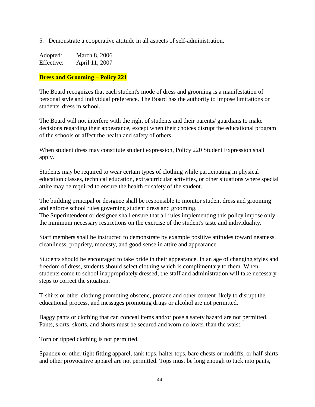5. Demonstrate a cooperative attitude in all aspects of self-administration.

| Adopted:   | March 8, 2006  |
|------------|----------------|
| Effective: | April 11, 2007 |

### **Dress and Grooming – Policy 221**

The Board recognizes that each student's mode of dress and grooming is a manifestation of personal style and individual preference. The Board has the authority to impose limitations on students' dress in school.

The Board will not interfere with the right of students and their parents/ guardians to make decisions regarding their appearance, except when their choices disrupt the educational program of the schools or affect the health and safety of others.

When student dress may constitute student expression, Policy 220 Student Expression shall apply.

Students may be required to wear certain types of clothing while participating in physical education classes, technical education, extracurricular activities, or other situations where special attire may be required to ensure the health or safety of the student.

The building principal or designee shall be responsible to monitor student dress and grooming and enforce school rules governing student dress and grooming. The Superintendent or designee shall ensure that all rules implementing this policy impose only the minimum necessary restrictions on the exercise of the student's taste and individuality.

Staff members shall be instructed to demonstrate by example positive attitudes toward neatness, cleanliness, propriety, modesty, and good sense in attire and appearance.

Students should be encouraged to take pride in their appearance. In an age of changing styles and freedom of dress, students should select clothing which is complimentary to them. When students come to school inappropriately dressed, the staff and administration will take necessary steps to correct the situation.

T-shirts or other clothing promoting obscene, profane and other content likely to disrupt the educational process, and messages promoting drugs or alcohol are not permitted.

Baggy pants or clothing that can conceal items and/or pose a safety hazard are not permitted. Pants, skirts, skorts, and shorts must be secured and worn no lower than the waist.

Torn or ripped clothing is not permitted.

Spandex or other tight fitting apparel, tank tops, halter tops, bare chests or midriffs, or half-shirts and other provocative apparel are not permitted. Tops must be long enough to tuck into pants,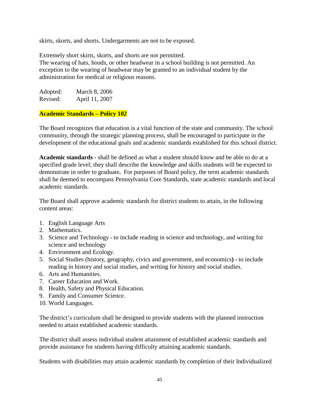skirts, skorts, and shorts. Undergarments are not to be exposed.

Extremely short skirts, skorts, and shorts are not permitted.

The wearing of hats, hoods, or other headwear in a school building is not permitted. An exception to the wearing of headwear may be granted to an individual student by the administration for medical or religious reasons.

| Adopted: | March 8, 2006  |
|----------|----------------|
| Revised: | April 11, 2007 |

#### **Academic Standards – Policy 102**

The Board recognizes that education is a vital function of the state and community. The school community, through the strategic planning process, shall be encouraged to participate in the development of the educational goals and academic standards established for this school district.

**Academic standards** - shall be defined as what a student should know and be able to do at a specified grade level; they shall describe the knowledge and skills students will be expected to demonstrate in order to graduate**.** For purposes of Board policy, the term academic standards shall be deemed to encompass Pennsylvania Core Standards, state academic standards and local academic standards.

The Board shall approve academic standards for district students to attain, in the following content areas:

- 1. English Language Arts
- 2. Mathematics.
- 3. Science and Technology to include reading in science and technology, and writing for science and technology
- 4. Environment and Ecology.
- 5. Social Studies (history, geography, civics and government, and economics**) -** to include reading in history and social studies, and writing for history and social studies.
- 6. Arts and Humanities.
- 7. Career Education and Work.
- 8. Health, Safety and Physical Education.
- 9. Family and Consumer Science.
- 10. World Languages.

The district's curriculum shall be designed to provide students with the planned instruction needed to attain established academic standards.

The district shall assess individual student attainment of established academic standards and provide assistance for students having difficulty attaining academic standards.

Students with disabilities may attain academic standards by completion of their Individualized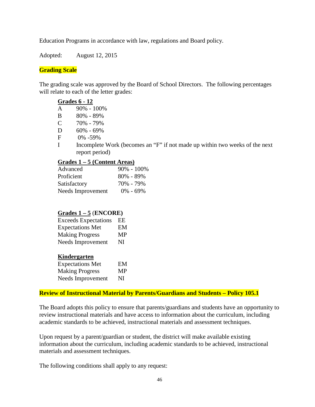Education Programs in accordance with law, regulations and Board policy.

Adopted: August 12, 2015

### **Grading Scale**

The grading scale was approved by the Board of School Directors. The following percentages will relate to each of the letter grades:

#### **Grades 6 - 12**

| A |                | $90\% - 100\%$              |
|---|----------------|-----------------------------|
|   | <del>. .</del> | $\sim$ $\sim$ $\sim$ $\sim$ |

- B 80% 89%
- $C = 70\% 79\%$
- D  $60\% 69\%$
- $F = 0\% -59\%$
- I Incomplete Work (becomes an "F" if not made up within two weeks of the next report period)

#### **Grades 1 – 5 (Content Areas)**

| Advanced          | $90\% - 100\%$ |
|-------------------|----------------|
| Proficient        | $80\% - 89\%$  |
| Satisfactory      | 70% - 79%      |
| Needs Improvement | $0\% - 69\%$   |

## **Grades 1 – 5** (**ENCORE)**

| <b>Exceeds Expectations</b> | EЕ |
|-----------------------------|----|
| <b>Expectations Met</b>     | EM |
| <b>Making Progress</b>      | MP |
| Needs Improvement           | NI |

#### **Kindergarten**

| EM |
|----|
| MP |
| NI |
|    |

## **Review of Instructional Material by Parents/Guardians and Students – Policy 105.1**

The Board adopts this policy to ensure that parents/guardians and students have an opportunity to review instructional materials and have access to information about the curriculum, including academic standards to be achieved, instructional materials and assessment techniques.

Upon request by a parent/guardian or student, the district will make available existing information about the curriculum, including academic standards to be achieved, instructional materials and assessment techniques.

The following conditions shall apply to any request: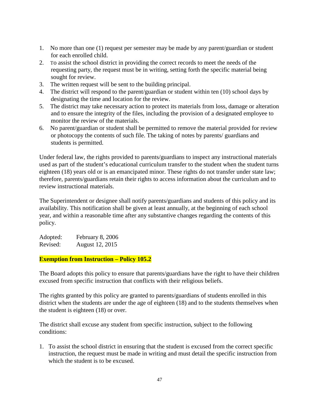- 1. No more than one (1) request per semester may be made by any parent/guardian or student for each enrolled child.
- 2. To assist the school district in providing the correct records to meet the needs of the requesting party, the request must be in writing, setting forth the specific material being sought for review.
- 3. The written request will be sent to the building principal.
- 4. The district will respond to the parent/guardian or student within ten (10) school days by designating the time and location for the review.
- 5. The district may take necessary action to protect its materials from loss, damage or alteration and to ensure the integrity of the files, including the provision of a designated employee to monitor the review of the materials.
- 6. No parent/guardian or student shall be permitted to remove the material provided for review or photocopy the contents of such file. The taking of notes by parents/ guardians and students is permitted.

Under federal law, the rights provided to parents/guardians to inspect any instructional materials used as part of the student's educational curriculum transfer to the student when the student turns eighteen (18) years old or is an emancipated minor. These rights do not transfer under state law; therefore, parents/guardians retain their rights to access information about the curriculum and to review instructional materials.

The Superintendent or designee shall notify parents/guardians and students of this policy and its availability. This notification shall be given at least annually, at the beginning of each school year, and within a reasonable time after any substantive changes regarding the contents of this policy.

Adopted: February 8, 2006 Revised: August 12, 2015

## **Exemption from Instruction – Policy 105.2**

The Board adopts this policy to ensure that parents/guardians have the right to have their children excused from specific instruction that conflicts with their religious beliefs.

The rights granted by this policy are granted to parents/guardians of students enrolled in this district when the students are under the age of eighteen (18) and to the students themselves when the student is eighteen (18) or over.

The district shall excuse any student from specific instruction, subject to the following conditions:

1. To assist the school district in ensuring that the student is excused from the correct specific instruction, the request must be made in writing and must detail the specific instruction from which the student is to be excused.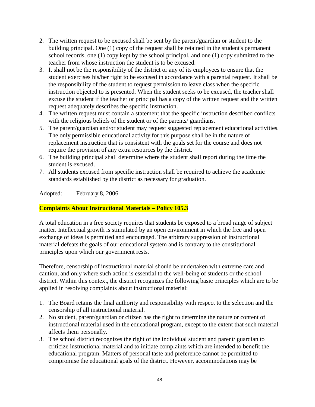- 2. The written request to be excused shall be sent by the parent/guardian or student to the building principal. One (1) copy of the request shall be retained in the student's permanent school records, one (1) copy kept by the school principal, and one (1) copy submitted to the teacher from whose instruction the student is to be excused.
- 3. It shall not be the responsibility of the district or any of its employees to ensure that the student exercises his/her right to be excused in accordance with a parental request. It shall be the responsibility of the student to request permission to leave class when the specific instruction objected to is presented. When the student seeks to be excused, the teacher shall excuse the student if the teacher or principal has a copy of the written request and the written request adequately describes the specific instruction.
- 4. The written request must contain a statement that the specific instruction described conflicts with the religious beliefs of the student or of the parents/ guardians.
- 5. The parent/guardian and/or student may request suggested replacement educational activities. The only permissible educational activity for this purpose shall be in the nature of replacement instruction that is consistent with the goals set for the course and does not require the provision of any extra resources by the district.
- 6. The building principal shall determine where the student shall report during the time the student is excused.
- 7. All students excused from specific instruction shall be required to achieve the academic standards established by the district as necessary for graduation.

Adopted: February 8, 2006

## **Complaints About Instructional Materials – Policy 105.3**

A total education in a free society requires that students be exposed to a broad range of subject matter. Intellectual growth is stimulated by an open environment in which the free and open exchange of ideas is permitted and encouraged. The arbitrary suppression of instructional material defeats the goals of our educational system and is contrary to the constitutional principles upon which our government rests.

Therefore, censorship of instructional material should be undertaken with extreme care and caution, and only where such action is essential to the well-being of students or the school district. Within this context, the district recognizes the following basic principles which are to be applied in resolving complaints about instructional material:

- 1. The Board retains the final authority and responsibility with respect to the selection and the censorship of all instructional material.
- 2. No student, parent/guardian or citizen has the right to determine the nature or content of instructional material used in the educational program, except to the extent that such material affects them personally.
- 3. The school district recognizes the right of the individual student and parent/ guardian to criticize instructional material and to initiate complaints which are intended to benefit the educational program. Matters of personal taste and preference cannot be permitted to compromise the educational goals of the district. However, accommodations may be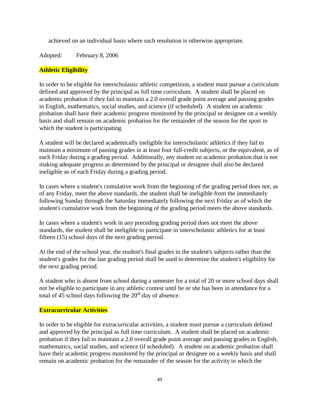achieved on an individual basis where such resolution is otherwise appropriate.

Adopted: February 8, 2006

### **Athletic Eligibility**

In order to be eligible for interscholastic athletic competition, a student must pursue a curriculum defined and approved by the principal as full time curriculum. A student shall be placed on academic probation if they fail to maintain a 2.0 overall grade point average and passing grades in English, mathematics, social studies, and science (if scheduled). A student on academic probation shall have their academic progress monitored by the principal or designee on a weekly basis and shall remain on academic probation for the remainder of the season for the sport in which the student is participating.

A student will be declared academically ineligible for interscholastic athletics if they fail to maintain a minimum of passing grades in at least four full-credit subjects, or the equivalent, as of each Friday during a grading period. Additionally, any student on academic probation that is not making adequate progress as determined by the principal or designee shall also be declared ineligible as of each Friday during a grading period.

In cases where a student's cumulative work from the beginning of the grading period does not, as of any Friday, meet the above standards, the student shall be ineligible from the immediately following Sunday through the Saturday immediately following the next Friday as of which the student's cumulative work from the beginning of the grading period meets the above standards.

In cases where a student's work in any preceding grading period does not meet the above standards, the student shall be ineligible to participate in interscholastic athletics for at least fifteen (15) school days of the next grading period.

At the end of the school year, the student's final grades in the student's subjects rather than the student's grades for the last grading period shall be used to determine the student's eligibility for the next grading period.

A student who is absent from school during a semester for a total of 20 or more school days shall not be eligible to participate in any athletic contest until he or she has been in attendance for a total of 45 school days following the  $20<sup>th</sup>$  day of absence.

## **Extracurricular Activities**

In order to be eligible for extracurricular activities, a student must pursue a curriculum defined and approved by the principal as full time curriculum. A student shall be placed on academic probation if they fail to maintain a 2.0 overall grade point average and passing grades in English, mathematics, social studies, and science (if scheduled). A student on academic probation shall have their academic progress monitored by the principal or designee on a weekly basis and shall remain on academic probation for the remainder of the season for the activity in which the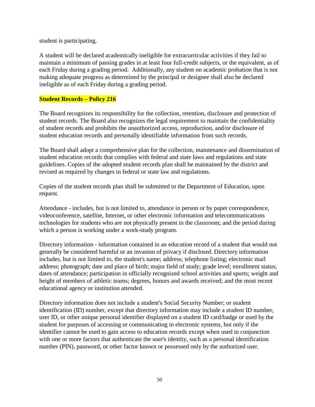student is participating.

A student will be declared academically ineligible for extracurricular activities if they fail to maintain a minimum of passing grades in at least four full-credit subjects, or the equivalent, as of each Friday during a grading period. Additionally, any student on academic probation that is not making adequate progress as determined by the principal or designee shall also be declared ineligible as of each Friday during a grading period.

### **Student Records – Policy 216**

The Board recognizes its responsibility for the collection, retention, disclosure and protection of student records. The Board also recognizes the legal requirement to maintain the confidentiality of student records and prohibits the unauthorized access, reproduction, and/or disclosure of student education records and personally identifiable information from such records.

The Board shall adopt a comprehensive plan for the collection, maintenance and dissemination of student education records that complies with federal and state laws and regulations and state guidelines. Copies of the adopted student records plan shall be maintained by the district and revised as required by changes in federal or state law and regulations.

Copies of the student records plan shall be submitted to the Department of Education, upon request.

Attendance - includes, but is not limited to, attendance in person or by paper correspondence, videoconference, satellite, Internet, or other electronic information and telecommunications technologies for students who are not physically present in the classroom; and the period during which a person is working under a work-study program.

Directory information - information contained in an education record of a student that would not generally be considered harmful or an invasion of privacy if disclosed. Directory information includes, but is not limited to, the student's name; address; telephone listing; electronic mail address; photograph; date and place of birth; major field of study; grade level; enrollment status; dates of attendance; participation in officially recognized school activities and sports; weight and height of members of athletic teams; degrees, honors and awards received; and the most recent educational agency or institution attended.

Directory information does not include a student's Social Security Number; or student identification (ID) number, except that directory information may include a student ID number, user ID, or other unique personal identifier displayed on a student ID card/badge or used by the student for purposes of accessing or communicating in electronic systems, but only if the identifier cannot be used to gain access to education records except when used in conjunction with one or more factors that authenticate the user's identity, such as a personal identification number (PIN), password, or other factor known or possessed only by the authorized user.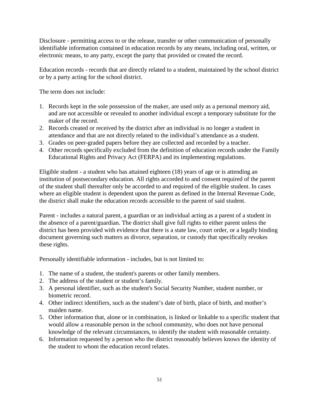Disclosure - permitting access to or the release, transfer or other communication of personally identifiable information contained in education records by any means, including oral, written, or electronic means, to any party, except the party that provided or created the record.

Education records - records that are directly related to a student, maintained by the school district or by a party acting for the school district.

The term does not include:

- 1. Records kept in the sole possession of the maker, are used only as a personal memory aid, and are not accessible or revealed to another individual except a temporary substitute for the maker of the record.
- 2. Records created or received by the district after an individual is no longer a student in attendance and that are not directly related to the individual's attendance as a student.
- 3. Grades on peer-graded papers before they are collected and recorded by a teacher.
- 4. Other records specifically excluded from the definition of education records under the Family Educational Rights and Privacy Act (FERPA) and its implementing regulations.

Eligible student - a student who has attained eighteen (18) years of age or is attending an institution of postsecondary education. All rights accorded to and consent required of the parent of the student shall thereafter only be accorded to and required of the eligible student. In cases where an eligible student is dependent upon the parent as defined in the Internal Revenue Code, the district shall make the education records accessible to the parent of said student.

Parent - includes a natural parent, a guardian or an individual acting as a parent of a student in the absence of a parent/guardian. The district shall give full rights to either parent unless the district has been provided with evidence that there is a state law, court order, or a legally binding document governing such matters as divorce, separation, or custody that specifically revokes these rights.

Personally identifiable information - includes, but is not limited to:

- 1. The name of a student, the student's parents or other family members.
- 2. The address of the student or student's family.
- 3. A personal identifier, such as the student's Social Security Number, student number, or biometric record.
- 4. Other indirect identifiers, such as the student's date of birth, place of birth, and mother's maiden name.
- 5. Other information that, alone or in combination, is linked or linkable to a specific student that would allow a reasonable person in the school community, who does not have personal knowledge of the relevant circumstances, to identify the student with reasonable certainty.
- 6. Information requested by a person who the district reasonably believes knows the identity of the student to whom the education record relates.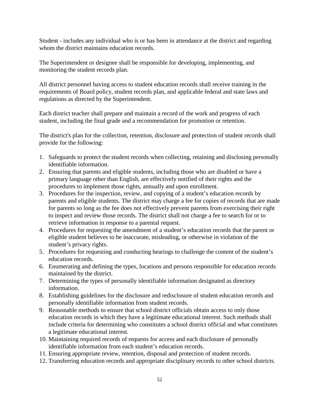Student - includes any individual who is or has been in attendance at the district and regarding whom the district maintains education records.

The Superintendent or designee shall be responsible for developing, implementing, and monitoring the student records plan.

All district personnel having access to student education records shall receive training in the requirements of Board policy, student records plan, and applicable federal and state laws and regulations as directed by the Superintendent.

Each district teacher shall prepare and maintain a record of the work and progress of each student, including the final grade and a recommendation for promotion or retention.

The district's plan for the collection, retention, disclosure and protection of student records shall provide for the following:

- 1. Safeguards to protect the student records when collecting, retaining and disclosing personally identifiable information.
- 2. Ensuring that parents and eligible students, including those who are disabled or have a primary language other than English, are effectively notified of their rights and the procedures to implement those rights, annually and upon enrollment.
- 3. Procedures for the inspection, review, and copying of a student's education records by parents and eligible students. The district may charge a fee for copies of records that are made for parents so long as the fee does not effectively prevent parents from exercising their right to inspect and review those records. The district shall not charge a fee to search for or to retrieve information in response to a parental request.
- 4. Procedures for requesting the amendment of a student's education records that the parent or eligible student believes to be inaccurate, misleading, or otherwise in violation of the student's privacy rights.
- 5. Procedures for requesting and conducting hearings to challenge the content of the student's education records.
- 6. Enumerating and defining the types, locations and persons responsible for education records maintained by the district.
- 7. Determining the types of personally identifiable information designated as directory information.
- 8. Establishing guidelines for the disclosure and redisclosure of student education records and personally identifiable information from student records.
- 9. Reasonable methods to ensure that school district officials obtain access to only those education records in which they have a legitimate educational interest. Such methods shall include criteria for determining who constitutes a school district official and what constitutes a legitimate educational interest.
- 10. Maintaining required records of requests for access and each disclosure of personally identifiable information from each student's education records.
- 11. Ensuring appropriate review, retention, disposal and protection of student records.
- 12. Transferring education records and appropriate disciplinary records to other school districts.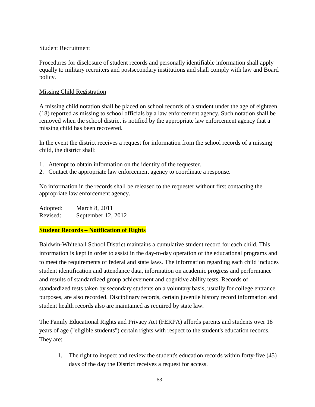### Student Recruitment

Procedures for disclosure of student records and personally identifiable information shall apply equally to military recruiters and postsecondary institutions and shall comply with law and Board policy.

### Missing Child Registration

A missing child notation shall be placed on school records of a student under the age of eighteen (18) reported as missing to school officials by a law enforcement agency. Such notation shall be removed when the school district is notified by the appropriate law enforcement agency that a missing child has been recovered.

In the event the district receives a request for information from the school records of a missing child, the district shall:

- 1. Attempt to obtain information on the identity of the requester.
- 2. Contact the appropriate law enforcement agency to coordinate a response.

No information in the records shall be released to the requester without first contacting the appropriate law enforcement agency.

Adopted: March 8, 2011 Revised: September 12, 2012

## **Student Records – Notification of Rights**

Baldwin-Whitehall School District maintains a cumulative student record for each child. This information is kept in order to assist in the day-to-day operation of the educational programs and to meet the requirements of federal and state laws. The information regarding each child includes student identification and attendance data, information on academic progress and performance and results of standardized group achievement and cognitive ability tests. Records of standardized tests taken by secondary students on a voluntary basis, usually for college entrance purposes, are also recorded. Disciplinary records, certain juvenile history record information and student health records also are maintained as required by state law.

The Family Educational Rights and Privacy Act (FERPA) affords parents and students over 18 years of age ("eligible students") certain rights with respect to the student's education records. They are:

1. The right to inspect and review the student's education records within forty-five (45) days of the day the District receives a request for access.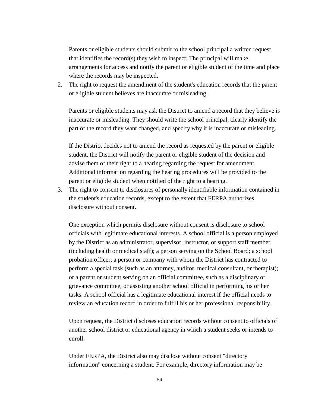Parents or eligible students should submit to the school principal a written request that identifies the record(s) they wish to inspect. The principal will make arrangements for access and notify the parent or eligible student of the time and place where the records may be inspected.

2. The right to request the amendment of the student's education records that the parent or eligible student believes are inaccurate or misleading.

Parents or eligible students may ask the District to amend a record that they believe is inaccurate or misleading. They should write the school principal, clearly identify the part of the record they want changed, and specify why it is inaccurate or misleading.

If the District decides not to amend the record as requested by the parent or eligible student, the District will notify the parent or eligible student of the decision and advise them of their right to a hearing regarding the request for amendment. Additional information regarding the hearing procedures will be provided to the parent or eligible student when notified of the right to a hearing.

3. The right to consent to disclosures of personally identifiable information contained in the student's education records, except to the extent that FERPA authorizes disclosure without consent.

One exception which permits disclosure without consent is disclosure to school officials with legitimate educational interests. A school official is a person employed by the District as an administrator, supervisor, instructor, or support staff member (including health or medical staff); a person serving on the School Board; a school probation officer; a person or company with whom the District has contracted to perform a special task (such as an attorney, auditor, medical consultant, or therapist); or a parent or student serving on an official committee, such as a disciplinary or grievance committee, or assisting another school official in performing his or her tasks. A school official has a legitimate educational interest if the official needs to review an education record in order to fulfill his or her professional responsibility.

Upon request, the District discloses education records without consent to officials of another school district or educational agency in which a student seeks or intends to enroll.

Under FERPA, the District also may disclose without consent "directory information" concerning a student. For example, directory information may be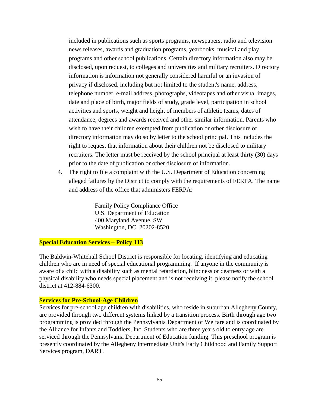included in publications such as sports programs, newspapers, radio and television news releases, awards and graduation programs, yearbooks, musical and play programs and other school publications. Certain directory information also may be disclosed, upon request, to colleges and universities and military recruiters. Directory information is information not generally considered harmful or an invasion of privacy if disclosed, including but not limited to the student's name, address, telephone number, e-mail address, photographs, videotapes and other visual images, date and place of birth, major fields of study, grade level, participation in school activities and sports, weight and height of members of athletic teams, dates of attendance, degrees and awards received and other similar information. Parents who wish to have their children exempted from publication or other disclosure of directory information may do so by letter to the school principal. This includes the right to request that information about their children not be disclosed to military recruiters. The letter must be received by the school principal at least thirty (30) days prior to the date of publication or other disclosure of information.

4. The right to file a complaint with the U.S. Department of Education concerning alleged failures by the District to comply with the requirements of FERPA. The name and address of the office that administers FERPA:

> Family Policy Compliance Office U.S. Department of Education 400 Maryland Avenue, SW Washington, DC 20202-8520

#### **Special Education Services – Policy 113**

The Baldwin-Whitehall School District is responsible for locating, identifying and educating children who are in need of special educational programming. If anyone in the community is aware of a child with a disability such as mental retardation, blindness or deafness or with a physical disability who needs special placement and is not receiving it, please notify the school district at 412-884-6300.

#### **Services for Pre-School-Age Children**

Services for pre-school age children with disabilities, who reside in suburban Allegheny County, are provided through two different systems linked by a transition process. Birth through age two programming is provided through the Pennsylvania Department of Welfare and is coordinated by the Alliance for Infants and Toddlers, Inc. Students who are three years old to entry age are serviced through the Pennsylvania Department of Education funding. This preschool program is presently coordinated by the Allegheny Intermediate Unit's Early Childhood and Family Support Services program, DART.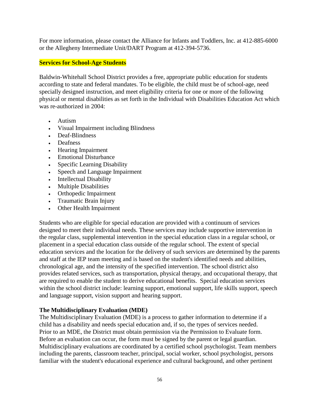For more information, please contact the Alliance for Infants and Toddlers, Inc. at 412-885-6000 or the Allegheny Intermediate Unit/DART Program at 412-394-5736.

### **Services for School-Age Students**

Baldwin-Whitehall School District provides a free, appropriate public education for students according to state and federal mandates. To be eligible, the child must be of school-age, need specially designed instruction, and meet eligibility criteria for one or more of the following physical or mental disabilities as set forth in the Individual with Disabilities Education Act which was re-authorized in 2004:

- Autism
- Visual Impairment including Blindness
- Deaf-Blindness
- Deafness
- Hearing Impairment
- Emotional Disturbance
- Specific Learning Disability
- Speech and Language Impairment
- **Intellectual Disability**
- Multiple Disabilities
- Orthopedic Impairment
- Traumatic Brain Injury
- Other Health Impairment

Students who are eligible for special education are provided with a continuum of services designed to meet their individual needs. These services may include supportive intervention in the regular class, supplemental intervention in the special education class in a regular school, or placement in a special education class outside of the regular school. The extent of special education services and the location for the delivery of such services are determined by the parents and staff at the IEP team meeting and is based on the student's identified needs and abilities, chronological age, and the intensity of the specified intervention. The school district also provides related services, such as transportation, physical therapy, and occupational therapy, that are required to enable the student to derive educational benefits. Special education services within the school district include: learning support, emotional support, life skills support, speech and language support, vision support and hearing support.

## **The Multidisciplinary Evaluation (MDE)**

The Multidisciplinary Evaluation (MDE) is a process to gather information to determine if a child has a disability and needs special education and, if so, the types of services needed. Prior to an MDE, the District must obtain permission via the Permission to Evaluate form. Before an evaluation can occur, the form must be signed by the parent or legal guardian. Multidisciplinary evaluations are coordinated by a certified school psychologist. Team members including the parents, classroom teacher, principal, social worker, school psychologist, persons familiar with the student's educational experience and cultural background, and other pertinent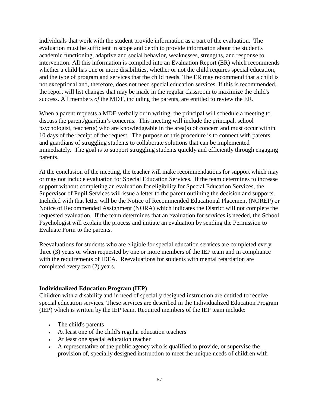individuals that work with the student provide information as a part of the evaluation. The evaluation must be sufficient in scope and depth to provide information about the student's academic functioning, adaptive and social behavior, weaknesses, strengths, and response to intervention. All this information is compiled into an Evaluation Report (ER) which recommends whether a child has one or more disabilities, whether or not the child requires special education, and the type of program and services that the child needs. The ER may recommend that a child is not exceptional and, therefore, does not need special education services. If this is recommended, the report will list changes that may be made in the regular classroom to maximize the child's success. All members *of* the MDT, including the parents, are entitled to review the ER.

When a parent requests a MDE verbally or in writing, the principal will schedule a meeting to discuss the parent/guardian's concerns. This meeting will include the principal, school psychologist, teacher(s) who are knowledgeable in the area(s) of concern and must occur within 10 days of the receipt of the request. The purpose of this procedure is to connect with parents and guardians of struggling students to collaborate solutions that can be implemented immediately. The goal is to support struggling students quickly and efficiently through engaging parents.

At the conclusion of the meeting, the teacher will make recommendations for support which may or may not include evaluation for Special Education Services. If the team determines to increase support without completing an evaluation for eligibility for Special Education Services, the Supervisor of Pupil Services will issue a letter to the parent outlining the decision and supports. Included with that letter will be the Notice of Recommended Educational Placement (NOREP) or Notice of Recommended Assignment (NORA) which indicates the District will not complete the requested evaluation. If the team determines that an evaluation for services is needed, the School Psychologist will explain the process and initiate an evaluation by sending the Permission to Evaluate Form to the parents.

Reevaluations for students who are eligible for special education services are completed every three (3) years or when requested by one or more members of the IEP team and in compliance with the requirements of IDEA. Reevaluations for students with mental retardation are completed every two (2) years.

#### **Individualized Education Program (IEP)**

Children with a disability and in need of specially designed instruction are entitled to receive special education services. These services are described in the Individualized Education Program (IEP) which is written by the IEP team. Required members of the IEP team include:

- The child's parents
- At least one of the child's regular education teachers
- At least one special education teacher
- A representative of the public agency who is qualified to provide, or supervise the provision of, specially designed instruction to meet the unique needs of children with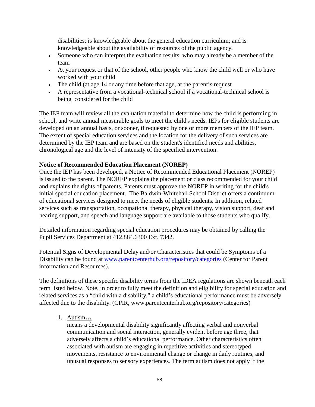disabilities; is knowledgeable about the general education curriculum; and is knowledgeable about the availability of resources of the public agency.

- Someone who can interpret the evaluation results, who may already be a member of the team
- At your request or that of the school, other people who know the child well or who have worked with your child
- The child (at age 14 or any time before that age, at the parent's request
- A representative from a vocational-technical school if a vocational-technical school is being considered for the child

The IEP team will review all the evaluation material to determine how the child is performing in school, and write annual measurable goals to meet the child's needs. IEPs for eligible students are developed on an annual basis, or sooner, if requested by one or more members of the IEP team. The extent of special education services and the location for the delivery of such services are determined by the IEP team and are based on the student's identified needs and abilities, chronological age and the level of intensity of the specified intervention.

## **Notice of Recommended Education Placement (NOREP)**

Once the IEP has been developed, a Notice of Recommended Educational Placement (NOREP) is issued to the parent. The NOREP explains the placement or class recommended for your child and explains the rights of parents. Parents must approve the NOREP in writing for the child's initial special education placement. The Baldwin-Whitehall School District offers a continuum of educational services designed to meet the needs of eligible students. In addition, related services such as transportation, occupational therapy, physical therapy, vision support, deaf and hearing support, and speech and language support are available to those students who qualify.

Detailed information regarding special education procedures may be obtained by calling the Pupil Services Department at 412.884.6300 Ext. 7342.

Potential Signs of Developmental Delay and/or Characteristics that could be Symptoms of a Disability can be found at [www.parentcenterhub.org/repository/categories](http://www.parentcenterhub.org/repository/categories) (Center for Parent information and Resources).

The definitions of these specific disability terms from the IDEA regulations are shown beneath each term listed below. Note, in order to fully meet the definition and eligibility for special education and related services as a "child with a disability," a child's educational performance must be [adversely](http://nichcy.org/disability/categories#adversely)  [affected](http://nichcy.org/disability/categories#adversely) due to the disability. (CPIR, www.parentcenterhub.org/repository/categories)

1. [Autism](http://nichcy.org/disability/specific/autism/)**…**

means a developmental disability significantly affecting verbal and nonverbal communication and social interaction, generally evident before age three, that [adversely affects](http://nichcy.org/disability/categories#adversely) a child's educational performance. Other characteristics often associated with autism are engaging in repetitive activities and stereotyped movements, resistance to environmental change or change in daily routines, and unusual responses to sensory experiences. The term autism does not apply if the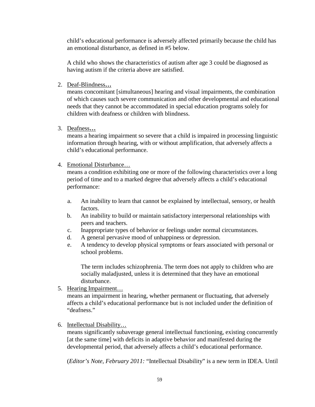child's educational performance is adversely affected primarily because the child has an emotional disturbance, as defined in #5 below.

A child who shows the characteristics of autism after age 3 could be diagnosed as having autism if the criteria above are satisfied.

### 2. [Deaf-Blindness](http://nichcy.org/disability/specific/deafblindness/)**…**

means concomitant [simultaneous] hearing and visual impairments, the combination of which causes such severe communication and other developmental and educational needs that they cannot be accommodated in special education programs solely for children with deafness or children with blindness.

### 3. [Deafness](http://nichcy.org/disability/specific/hearingloss/)**…**

means a hearing impairment so severe that a child is impaired in processing linguistic information through hearing, with or without amplification, that [adversely affects](http://nichcy.org/disability/categories#adversely) a child's educational performance.

### 4. [Emotional Disturbance…](http://nichcy.org/disability/specific/emotionaldisturbance/)

means a condition exhibiting one or more of the following characteristics over a long period of time and to a marked degree that [adversely affects](http://nichcy.org/disability/categories#adversely) a child's educational performance:

- a. An inability to learn that cannot be explained by intellectual, sensory, or health factors.
- b. An inability to build or maintain satisfactory interpersonal relationships with peers and teachers.
- c. Inappropriate types of behavior or feelings under normal circumstances.
- d. A general pervasive mood of unhappiness or depression.
- e. A tendency to develop physical symptoms or fears associated with personal or school problems.

The term includes schizophrenia. The term does not apply to children who are socially maladjusted, unless it is determined that they have an emotional disturbance.

5. [Hearing Impairment…](http://nichcy.org/disability/specific/hearingloss/)

means an impairment in hearing, whether permanent or fluctuating, that [adversely](http://nichcy.org/disability/categories#adversely)  [affects](http://nichcy.org/disability/categories#adversely) a child's educational performance but is not included under the definition of "deafness."

6. [Intellectual Disability…](http://nichcy.org/disability/specific/intellectual/)

means significantly subaverage general intellectual functioning, existing concurrently [at the same time] with deficits in adaptive behavior and manifested during the developmental period, that [adversely affects](http://nichcy.org/disability/categories#adversely) a child's educational performance.

(*Editor's Note, February 2011:* "Intellectual Disability" is a new term in IDEA. Until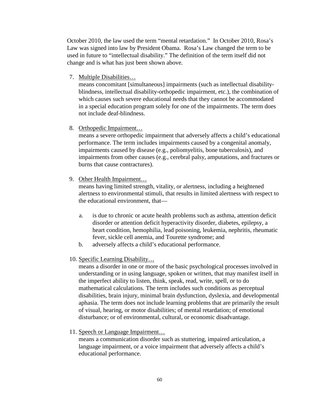October 2010, the law used the term "mental retardation." In October 2010, [Rosa's](http://blog.govdelivery.com/usodep/2010/10/president-obama-signs-rosas-law.html)  [Law](http://blog.govdelivery.com/usodep/2010/10/president-obama-signs-rosas-law.html) was signed into law by President Obama. Rosa's Law changed the term to be used in future to "intellectual disability." The definition of the term itself did not change and is what has just been shown above.

7. [Multiple Disabilities…](http://nichcy.org/disability/specific/multiple/)

means concomitant [simultaneous] impairments (such as intellectual disabilityblindness, intellectual disability-orthopedic impairment, etc.), the combination of which causes such severe educational needs that they cannot be accommodated in a special education program solely for one of the impairments. The term does not include deaf-blindness.

8. Orthopedic Impairment…

means a severe orthopedic impairment that [adversely affects](http://nichcy.org/disability/categories#adversely) a child's educational performance. The term includes impairments caused by a congenital anomaly, impairments caused by disease (e.g., poliomyelitis, bone tuberculosis), and impairments from other causes (e.g., cerebral palsy, amputations, and fractures or burns that cause contractures).

9. [Other Health Impairment…](http://nichcy.org/disability/specific/ohi/)

means having limited strength, vitality, or alertness, including a heightened alertness to environmental stimuli, that results in limited alertness with respect to the educational environment, that—

- a. is due to chronic or acute health problems such as asthma, attention deficit disorder or attention deficit hyperactivity disorder, diabetes, epilepsy, a heart condition, hemophilia, lead poisoning, leukemia, nephritis, rheumatic fever, sickle cell anemia, and Tourette syndrome; and
- b. [adversely affects](http://nichcy.org/disability/categories#adversely) a child's educational performance.
- 10. [Specific Learning Disability…](http://nichcy.org/disability/specific/ld/)

means a disorder in one or more of the basic psychological processes involved in understanding or in using language, spoken or written, that may manifest itself in the imperfect ability to listen, think, speak, read, write, spell, or to do mathematical calculations. The term includes such conditions as perceptual disabilities, brain injury, minimal brain dysfunction, dyslexia, and developmental aphasia. The term does not include learning problems that are primarily the result of visual, hearing, or motor disabilities; of mental retardation; of emotional disturbance; or of environmental, cultural, or economic disadvantage.

11. [Speech or Language Impairment…](http://nichcy.org/disability/specific/speechlanguage/)

means a communication disorder such as stuttering, impaired articulation, a language impairment, or a voice impairment that [adversely affects](http://nichcy.org/disability/categories#adversely) a child's educational performance.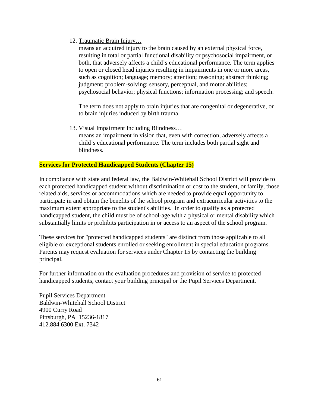12. [Traumatic Brain Injury…](http://nichcy.org/disability/specific/tbi/)

means an acquired injury to the brain caused by an external physical force, resulting in total or partial functional disability or psychosocial impairment, or both, that [adversely affects](http://nichcy.org/disability/categories#adversely) a child's educational performance. The term applies to open or closed head injuries resulting in impairments in one or more areas, such as cognition; language; memory; attention; reasoning; abstract thinking; judgment; problem-solving; sensory, perceptual, and motor abilities; psychosocial behavior; physical functions; information processing; and speech.

The term does not apply to brain injuries that are congenital or degenerative, or to brain injuries induced by birth trauma.

13. [Visual Impairment Including Blindness…](http://nichcy.org/disability/specific/visualimpairment/) means an impairment in vision that, even with correction, [adversely affects](http://nichcy.org/disability/categories#adversely) a child's educational performance. The term includes both partial sight and blindness.

## **Services for Protected Handicapped Students (Chapter 15)**

In compliance with state and federal law, the Baldwin-Whitehall School District will provide to each protected handicapped student without discrimination or cost to the student, or family, those related aids, services or accommodations which are needed to provide equal opportunity to participate in and obtain the benefits of the school program and extracurricular activities to the maximum extent appropriate to the student's abilities. In order to qualify as a protected handicapped student, the child must be of school-age with a physical or mental disability which substantially limits or prohibits participation in or access to an aspect of the school program.

These services for "protected handicapped students" are distinct from those applicable to all eligible or exceptional students enrolled or seeking enrollment in special education programs. Parents may request evaluation for services under Chapter 15 by contacting the building principal.

For further information on the evaluation procedures and provision of service to protected handicapped students, contact your building principal or the Pupil Services Department.

Pupil Services Department Baldwin-Whitehall School District 4900 Curry Road Pittsburgh, PA 15236-1817 412.884.6300 Ext. 7342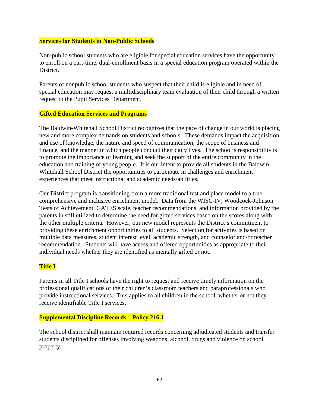#### **Services for Students in Non-Public Schools**

Non-public school students who are eligible for special education services have the opportunity to enroll on a part-time, dual-enrollment basis in a special education program operated within the District.

Parents of nonpublic school students who suspect that their child is eligible and in need of special education may request a multidisciplinary team evaluation of their child through a written request to the Pupil Services Department.

#### **Gifted Education Services and Programs**

The Baldwin-Whitehall School District recognizes that the pace of change in our world is placing new and more complex demands on students and schools. These demands impact the acquisition and use of knowledge, the nature and speed of communication, the scope of business and finance, and the manner in which people conduct their daily lives. The school's responsibility is to promote the importance of learning and seek the support of the entire community in the education and training of young people. It is our intent to provide all students in the Baldwin-Whitehall School District the opportunities to participate in challenges and enrichment experiences that meet instructional and academic needs/abilities.

Our District program is transitioning from a more traditional test and place model to a true comprehensive and inclusive enrichment model. Data from the WISC-IV, Woodcock-Johnson Tests of Achievement, GATES scale, teacher recommendations, and information provided by the parents in still utilized to determine the need for gifted services based on the scores along with the other multiple criteria. However, our new model represents the District's commitment to providing these enrichment opportunities to all students. Selection for activities is based on multiple data measures, student interest level, academic strength, and counselor and/or teacher recommendation. Students will have access and offered opportunities as appropriate to their individual needs whether they are identified as mentally gifted or not.

#### **Title I**

Parents in all Title I schools have the right to request and receive timely information on the professional qualifications of their children's classroom teachers and paraprofessionals who provide instructional services. This applies to all children in the school, whether or not they receive identifiable Title I services.

#### **Supplemental Discipline Records – Policy 216.1**

The school district shall maintain required records concerning adjudicated students and transfer students disciplined for offenses involving weapons, alcohol, drugs and violence on school property.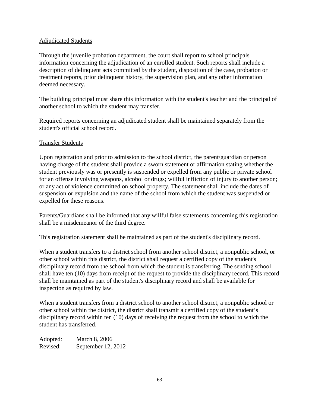### Adjudicated Students

Through the juvenile probation department, the court shall report to school principals information concerning the adjudication of an enrolled student. Such reports shall include a description of delinquent acts committed by the student, disposition of the case, probation or treatment reports, prior delinquent history, the supervision plan, and any other information deemed necessary.

The building principal must share this information with the student's teacher and the principal of another school to which the student may transfer.

Required reports concerning an adjudicated student shall be maintained separately from the student's official school record.

### Transfer Students

Upon registration and prior to admission to the school district, the parent/guardian or person having charge of the student shall provide a sworn statement or affirmation stating whether the student previously was or presently is suspended or expelled from any public or private school for an offense involving weapons, alcohol or drugs; willful infliction of injury to another person; or any act of violence committed on school property. The statement shall include the dates of suspension or expulsion and the name of the school from which the student was suspended or expelled for these reasons.

Parents/Guardians shall be informed that any willful false statements concerning this registration shall be a misdemeanor of the third degree.

This registration statement shall be maintained as part of the student's disciplinary record.

When a student transfers to a district school from another school district, a nonpublic school, or other school within this district, the district shall request a certified copy of the student's disciplinary record from the school from which the student is transferring. The sending school shall have ten (10) days from receipt of the request to provide the disciplinary record. This record shall be maintained as part of the student's disciplinary record and shall be available for inspection as required by law.

When a student transfers from a district school to another school district, a nonpublic school or other school within the district, the district shall transmit a certified copy of the student's disciplinary record within ten (10) days of receiving the request from the school to which the student has transferred.

Adopted: March 8, 2006 Revised: September 12, 2012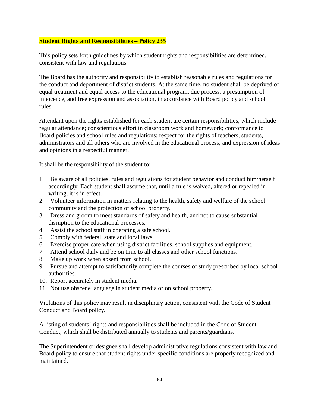### **Student Rights and Responsibilities – Policy 235**

This policy sets forth guidelines by which student rights and responsibilities are determined, consistent with law and regulations.

The Board has the authority and responsibility to establish reasonable rules and regulations for the conduct and deportment of district students. At the same time, no student shall be deprived of equal treatment and equal access to the educational program, due process, a presumption of innocence, and free expression and association, in accordance with Board policy and school rules.

Attendant upon the rights established for each student are certain responsibilities, which include regular attendance; conscientious effort in classroom work and homework; conformance to Board policies and school rules and regulations; respect for the rights of teachers, students, administrators and all others who are involved in the educational process; and expression of ideas and opinions in a respectful manner.

It shall be the responsibility of the student to:

- 1. Be aware of all policies, rules and regulations for student behavior and conduct him/herself accordingly. Each student shall assume that, until a rule is waived, altered or repealed in writing, it is in effect.
- 2. Volunteer information in matters relating to the health, safety and welfare of the school community and the protection of school property.
- 3. Dress and groom to meet standards of safety and health, and not to cause substantial disruption to the educational processes.
- 4. Assist the school staff in operating a safe school.
- 5. Comply with federal, state and local laws.
- 6. Exercise proper care when using district facilities, school supplies and equipment.
- 7. Attend school daily and be on time to all classes and other school functions.
- 8. Make up work when absent from school.
- 9. Pursue and attempt to satisfactorily complete the courses of study prescribed by local school authorities.
- 10. Report accurately in student media.
- 11. Not use obscene language in student media or on school property.

Violations of this policy may result in disciplinary action, consistent with the Code of Student Conduct and Board policy.

A listing of students' rights and responsibilities shall be included in the Code of Student Conduct, which shall be distributed annually to students and parents/guardians.

The Superintendent or designee shall develop administrative regulations consistent with law and Board policy to ensure that student rights under specific conditions are properly recognized and maintained.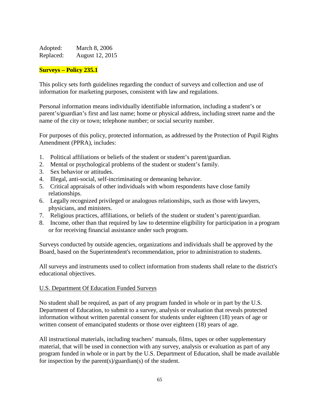Adopted: March 8, 2006 Replaced: August 12, 2015

### **Surveys – Policy 235.1**

This policy sets forth guidelines regarding the conduct of surveys and collection and use of information for marketing purposes, consistent with law and regulations.

Personal information means individually identifiable information, including a student's or parent's/guardian's first and last name; home or physical address, including street name and the name of the city or town; telephone number; or social security number.

For purposes of this policy, protected information, as addressed by the Protection of Pupil Rights Amendment (PPRA), includes:

- 1. Political affiliations or beliefs of the student or student's parent/guardian.
- 2. Mental or psychological problems of the student or student's family.
- 3. Sex behavior or attitudes.
- 4. Illegal, anti-social, self-incriminating or demeaning behavior.
- 5. Critical appraisals of other individuals with whom respondents have close family relationships.
- 6. Legally recognized privileged or analogous relationships, such as those with lawyers, physicians, and ministers.
- 7. Religious practices, affiliations, or beliefs of the student or student's parent/guardian.
- 8. Income, other than that required by law to determine eligibility for participation in a program or for receiving financial assistance under such program.

Surveys conducted by outside agencies, organizations and individuals shall be approved by the Board, based on the Superintendent's recommendation, prior to administration to students.

All surveys and instruments used to collect information from students shall relate to the district's educational objectives.

#### U.S. Department Of Education Funded Surveys

No student shall be required, as part of any program funded in whole or in part by the U.S. Department of Education, to submit to a survey, analysis or evaluation that reveals protected information without written parental consent for students under eighteen (18) years of age or written consent of emancipated students or those over eighteen (18) years of age.

All instructional materials, including teachers' manuals, films, tapes or other supplementary material, that will be used in connection with any survey, analysis or evaluation as part of any program funded in whole or in part by the U.S. Department of Education, shall be made available for inspection by the parent(s)/guardian(s) of the student.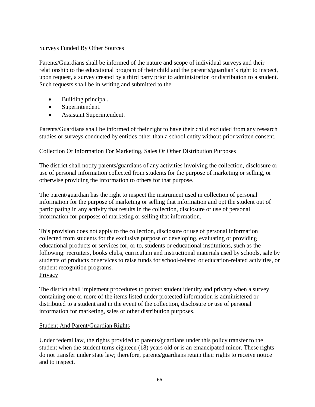## Surveys Funded By Other Sources

Parents/Guardians shall be informed of the nature and scope of individual surveys and their relationship to the educational program of their child and the parent's/guardian's right to inspect, upon request, a survey created by a third party prior to administration or distribution to a student. Such requests shall be in writing and submitted to the

- Building principal.
- Superintendent.
- Assistant Superintendent.

Parents/Guardians shall be informed of their right to have their child excluded from any research studies or surveys conducted by entities other than a school entity without prior written consent.

### Collection Of Information For Marketing, Sales Or Other Distribution Purposes

The district shall notify parents/guardians of any activities involving the collection, disclosure or use of personal information collected from students for the purpose of marketing or selling, or otherwise providing the information to others for that purpose.

The parent/guardian has the right to inspect the instrument used in collection of personal information for the purpose of marketing or selling that information and opt the student out of participating in any activity that results in the collection, disclosure or use of personal information for purposes of marketing or selling that information.

This provision does not apply to the collection, disclosure or use of personal information collected from students for the exclusive purpose of developing, evaluating or providing educational products or services for, or to, students or educational institutions, such as the following: recruiters, books clubs, curriculum and instructional materials used by schools, sale by students of products or services to raise funds for school-related or education-related activities, or student recognition programs.

### Privacy

The district shall implement procedures to protect student identity and privacy when a survey containing one or more of the items listed under protected information is administered or distributed to a student and in the event of the collection, disclosure or use of personal information for marketing, sales or other distribution purposes.

#### Student And Parent/Guardian Rights

Under federal law, the rights provided to parents/guardians under this policy transfer to the student when the student turns eighteen (18) years old or is an emancipated minor. These rights do not transfer under state law; therefore, parents/guardians retain their rights to receive notice and to inspect.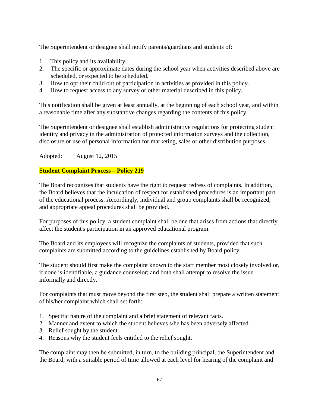The Superintendent or designee shall notify parents/guardians and students of:

- 1. This policy and its availability.
- 2. The specific or approximate dates during the school year when activities described above are scheduled, or expected to be scheduled.
- 3. How to opt their child out of participation in activities as provided in this policy.
- 4. How to request access to any survey or other material described in this policy.

This notification shall be given at least annually, at the beginning of each school year, and within a reasonable time after any substantive changes regarding the contents of this policy.

The Superintendent or designee shall establish administrative regulations for protecting student identity and privacy in the administration of protected information surveys and the collection, disclosure or use of personal information for marketing, sales or other distribution purposes.

Adopted: August 12, 2015

# **Student Complaint Process – Policy 219**

The Board recognizes that students have the right to request redress of complaints. In addition, the Board believes that the inculcation of respect for established procedures is an important part of the educational process. Accordingly, individual and group complaints shall be recognized, and appropriate appeal procedures shall be provided.

For purposes of this policy, a student complaint shall be one that arises from actions that directly affect the student's participation in an approved educational program.

The Board and its employees will recognize the complaints of students, provided that such complaints are submitted according to the guidelines established by Board policy.

The student should first make the complaint known to the staff member most closely involved or, if none is identifiable, a guidance counselor; and both shall attempt to resolve the issue informally and directly.

For complaints that must move beyond the first step, the student shall prepare a written statement of his/her complaint which shall set forth:

- 1. Specific nature of the complaint and a brief statement of relevant facts.
- 2. Manner and extent to which the student believes s/he has been adversely affected.
- 3. Relief sought by the student.
- 4. Reasons why the student feels entitled to the relief sought.

The complaint may then be submitted, in turn, to the building principal, the Superintendent and the Board, with a suitable period of time allowed at each level for hearing of the complaint and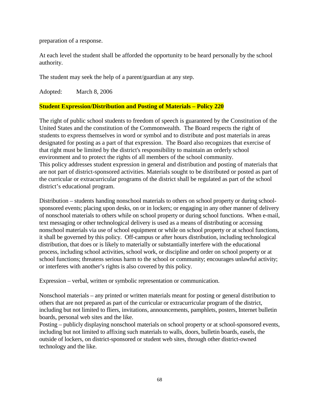preparation of a response.

At each level the student shall be afforded the opportunity to be heard personally by the school authority.

The student may seek the help of a parent/guardian at any step.

Adopted: March 8, 2006

## **Student Expression/Distribution and Posting of Materials – Policy 220**

The right of public school students to freedom of speech is guaranteed by the Constitution of the United States and the constitution of the Commonwealth. The Board respects the right of students to express themselves in word or symbol and to distribute and post materials in areas designated for posting as a part of that expression. The Board also recognizes that exercise of that right must be limited by the district's responsibility to maintain an orderly school environment and to protect the rights of all members of the school community. This policy addresses student expression in general and distribution and posting of materials that are not part of district-sponsored activities. Materials sought to be distributed or posted as part of the curricular or extracurricular programs of the district shall be regulated as part of the school district's educational program.

Distribution – students handing nonschool materials to others on school property or during schoolsponsored events; placing upon desks, on or in lockers; or engaging in any other manner of delivery of nonschool materials to others while on school property or during school functions. When e-mail, text messaging or other technological delivery is used as a means of distributing or accessing nonschool materials via use of school equipment or while on school property or at school functions, it shall be governed by this policy. Off-campus or after hours distribution, including technological distribution, that does or is likely to materially or substantially interfere with the educational process, including school activities, school work, or discipline and order on school property or at school functions; threatens serious harm to the school or community; encourages unlawful activity; or interferes with another's rights is also covered by this policy.

Expression – verbal, written or symbolic representation or communication.

Nonschool materials – any printed or written materials meant for posting or general distribution to others that are not prepared as part of the curricular or extracurricular program of the district, including but not limited to fliers, invitations, announcements, pamphlets, posters, Internet bulletin boards, personal web sites and the like.

Posting – publicly displaying nonschool materials on school property or at school-sponsored events, including but not limited to affixing such materials to walls, doors, bulletin boards, easels, the outside of lockers, on district-sponsored or student web sites, through other district-owned technology and the like.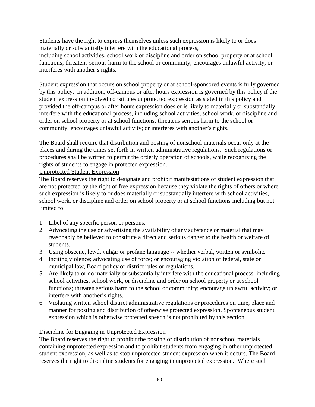Students have the right to express themselves unless such expression is likely to or does materially or substantially interfere with the educational process,

including school activities, school work or discipline and order on school property or at school functions; threatens serious harm to the school or community; encourages unlawful activity; or interferes with another's rights.

Student expression that occurs on school property or at school-sponsored events is fully governed by this policy. In addition, off-campus or after hours expression is governed by this policy if the student expression involved constitutes unprotected expression as stated in this policy and provided the off-campus or after hours expression does or is likely to materially or substantially interfere with the educational process, including school activities, school work, or discipline and order on school property or at school functions; threatens serious harm to the school or community; encourages unlawful activity; or interferes with another's rights.

The Board shall require that distribution and posting of nonschool materials occur only at the places and during the times set forth in written administrative regulations. Such regulations or procedures shall be written to permit the orderly operation of schools, while recognizing the rights of students to engage in protected expression.

### Unprotected Student Expression

The Board reserves the right to designate and prohibit manifestations of student expression that are not protected by the right of free expression because they violate the rights of others or where such expression is likely to or does materially or substantially interfere with school activities, school work, or discipline and order on school property or at school functions including but not limited to:

- 1. Libel of any specific person or persons.
- 2. Advocating the use or advertising the availability of any substance or material that may reasonably be believed to constitute a direct and serious danger to the health or welfare of students.
- 3. Using obscene, lewd, vulgar or profane language -- whether verbal, written or symbolic.
- 4. Inciting violence; advocating use of force; or encouraging violation of federal, state or municipal law, Board policy or district rules or regulations.
- 5. Are likely to or do materially or substantially interfere with the educational process, including school activities, school work, or discipline and order on school property or at school functions; threaten serious harm to the school or community; encourage unlawful activity; or interfere with another's rights.
- 6. Violating written school district administrative regulations or procedures on time, place and manner for posting and distribution of otherwise protected expression. Spontaneous student expression which is otherwise protected speech is not prohibited by this section.

## Discipline for Engaging in Unprotected Expression

The Board reserves the right to prohibit the posting or distribution of nonschool materials containing unprotected expression and to prohibit students from engaging in other unprotected student expression, as well as to stop unprotected student expression when it occurs. The Board reserves the right to discipline students for engaging in unprotected expression. Where such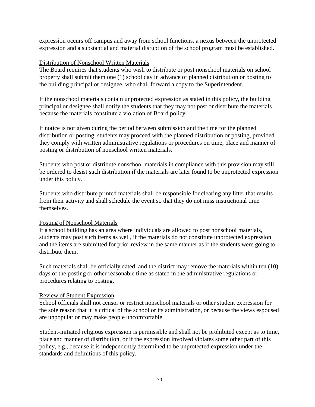expression occurs off campus and away from school functions, a nexus between the unprotected expression and a substantial and material disruption of the school program must be established.

### Distribution of Nonschool Written Materials

The Board requires that students who wish to distribute or post nonschool materials on school property shall submit them one (1) school day in advance of planned distribution or posting to the building principal or designee, who shall forward a copy to the Superintendent.

If the nonschool materials contain unprotected expression as stated in this policy, the building principal or designee shall notify the students that they may not post or distribute the materials because the materials constitute a violation of Board policy.

If notice is not given during the period between submission and the time for the planned distribution or posting, students may proceed with the planned distribution or posting, provided they comply with written administrative regulations or procedures on time, place and manner of posting or distribution of nonschool written materials.

Students who post or distribute nonschool materials in compliance with this provision may still be ordered to desist such distribution if the materials are later found to be unprotected expression under this policy.

Students who distribute printed materials shall be responsible for clearing any litter that results from their activity and shall schedule the event so that they do not miss instructional time themselves.

## Posting of Nonschool Materials

If a school building has an area where individuals are allowed to post nonschool materials, students may post such items as well, if the materials do not constitute unprotected expression and the items are submitted for prior review in the same manner as if the students were going to distribute them.

Such materials shall be officially dated, and the district may remove the materials within ten (10) days of the posting or other reasonable time as stated in the administrative regulations or procedures relating to posting.

## Review of Student Expression

School officials shall not censor or restrict nonschool materials or other student expression for the sole reason that it is critical of the school or its administration, or because the views espoused are unpopular or may make people uncomfortable.

Student-initiated religious expression is permissible and shall not be prohibited except as to time, place and manner of distribution, or if the expression involved violates some other part of this policy, e.g., because it is independently determined to be unprotected expression under the standards and definitions of this policy.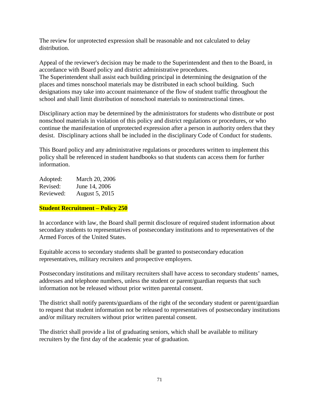The review for unprotected expression shall be reasonable and not calculated to delay distribution.

Appeal of the reviewer's decision may be made to the Superintendent and then to the Board, in accordance with Board policy and district administrative procedures.

The Superintendent shall assist each building principal in determining the designation of the places and times nonschool materials may be distributed in each school building. Such designations may take into account maintenance of the flow of student traffic throughout the school and shall limit distribution of nonschool materials to noninstructional times.

Disciplinary action may be determined by the administrators for students who distribute or post nonschool materials in violation of this policy and district regulations or procedures, or who continue the manifestation of unprotected expression after a person in authority orders that they desist. Disciplinary actions shall be included in the disciplinary Code of Conduct for students.

This Board policy and any administrative regulations or procedures written to implement this policy shall be referenced in student handbooks so that students can access them for further information.

Adopted: March 20, 2006 Revised: June 14, 2006 Reviewed: August 5, 2015

## **Student Recruitment – Policy 250**

In accordance with law, the Board shall permit disclosure of required student information about secondary students to representatives of postsecondary institutions and to representatives of the Armed Forces of the United States.

Equitable access to secondary students shall be granted to postsecondary education representatives, military recruiters and prospective employers.

Postsecondary institutions and military recruiters shall have access to secondary students' names, addresses and telephone numbers, unless the student or parent/guardian requests that such information not be released without prior written parental consent.

The district shall notify parents/guardians of the right of the secondary student or parent/guardian to request that student information not be released to representatives of postsecondary institutions and/or military recruiters without prior written parental consent.

The district shall provide a list of graduating seniors, which shall be available to military recruiters by the first day of the academic year of graduation.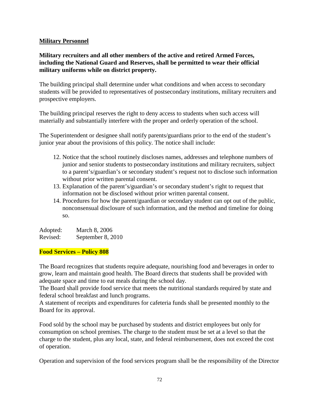### **Military Personnel**

**Military recruiters and all other members of the active and retired Armed Forces, including the National Guard and Reserves, shall be permitted to wear their official military uniforms while on district property.**

The building principal shall determine under what conditions and when access to secondary students will be provided to representatives of postsecondary institutions, military recruiters and prospective employers.

The building principal reserves the right to deny access to students when such access will materially and substantially interfere with the proper and orderly operation of the school.

The Superintendent or designee shall notify parents/guardians prior to the end of the student's junior year about the provisions of this policy. The notice shall include:

- 12. Notice that the school routinely discloses names, addresses and telephone numbers of junior and senior students to postsecondary institutions and military recruiters, subject to a parent's/guardian's or secondary student's request not to disclose such information without prior written parental consent.
- 13. Explanation of the parent's/guardian's or secondary student's right to request that information not be disclosed without prior written parental consent.
- 14. Procedures for how the parent/guardian or secondary student can opt out of the public, nonconsensual disclosure of such information, and the method and timeline for doing so.

Adopted: March 8, 2006 Revised: September 8, 2010

#### **Food Services – Policy 808**

The Board recognizes that students require adequate, nourishing food and beverages in order to grow, learn and maintain good health. The Board directs that students shall be provided with adequate space and time to eat meals during the school day.

The Board shall provide food service that meets the nutritional standards required by state and federal school breakfast and lunch programs.

A statement of receipts and expenditures for cafeteria funds shall be presented monthly to the Board for its approval.

Food sold by the school may be purchased by students and district employees but only for consumption on school premises. The charge to the student must be set at a level so that the charge to the student, plus any local, state, and federal reimbursement, does not exceed the cost of operation.

Operation and supervision of the food services program shall be the responsibility of the Director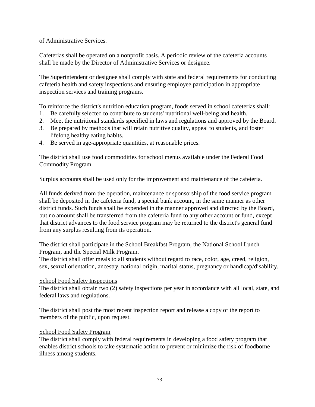of Administrative Services.

Cafeterias shall be operated on a nonprofit basis. A periodic review of the cafeteria accounts shall be made by the Director of Administrative Services or designee.

The Superintendent or designee shall comply with state and federal requirements for conducting cafeteria health and safety inspections and ensuring employee participation in appropriate inspection services and training programs.

To reinforce the district's nutrition education program, foods served in school cafeterias shall:

- 1. Be carefully selected to contribute to students' nutritional well-being and health.
- 2. Meet the nutritional standards specified in laws and regulations and approved by the Board.
- 3. Be prepared by methods that will retain nutritive quality, appeal to students, and foster lifelong healthy eating habits.
- 4. Be served in age-appropriate quantities, at reasonable prices.

The district shall use food commodities for school menus available under the Federal Food Commodity Program.

Surplus accounts shall be used only for the improvement and maintenance of the cafeteria.

All funds derived from the operation, maintenance or sponsorship of the food service program shall be deposited in the cafeteria fund, a special bank account, in the same manner as other district funds. Such funds shall be expended in the manner approved and directed by the Board, but no amount shall be transferred from the cafeteria fund to any other account or fund, except that district advances to the food service program may be returned to the district's general fund from any surplus resulting from its operation.

The district shall participate in the School Breakfast Program, the National School Lunch Program, and the Special Milk Program.

The district shall offer meals to all students without regard to race, color, age, creed, religion, sex, sexual orientation, ancestry, national origin, marital status, pregnancy or handicap/disability.

#### School Food Safety Inspections

The district shall obtain two (2) safety inspections per year in accordance with all local, state, and federal laws and regulations.

The district shall post the most recent inspection report and release a copy of the report to members of the public, upon request.

#### School Food Safety Program

The district shall comply with federal requirements in developing a food safety program that enables district schools to take systematic action to prevent or minimize the risk of foodborne illness among students.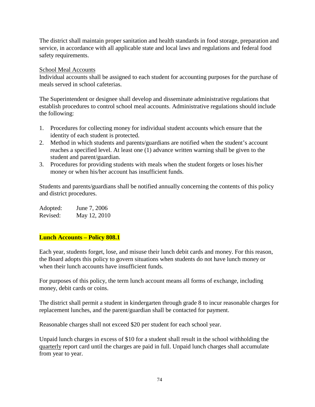The district shall maintain proper sanitation and health standards in food storage, preparation and service, in accordance with all applicable state and local laws and regulations and federal food safety requirements.

#### School Meal Accounts

Individual accounts shall be assigned to each student for accounting purposes for the purchase of meals served in school cafeterias.

The Superintendent or designee shall develop and disseminate administrative regulations that establish procedures to control school meal accounts. Administrative regulations should include the following:

- 1. Procedures for collecting money for individual student accounts which ensure that the identity of each student is protected.
- 2. Method in which students and parents/guardians are notified when the student's account reaches a specified level. At least one (1) advance written warning shall be given to the student and parent/guardian.
- 3. Procedures for providing students with meals when the student forgets or loses his/her money or when his/her account has insufficient funds.

Students and parents/guardians shall be notified annually concerning the contents of this policy and district procedures.

| Adopted: | June 7, 2006 |
|----------|--------------|
| Revised: | May 12, 2010 |

## **Lunch Accounts – Policy 808.1**

Each year, students forget, lose, and misuse their lunch debit cards and money. For this reason, the Board adopts this policy to govern situations when students do not have lunch money or when their lunch accounts have insufficient funds.

For purposes of this policy, the term lunch account means all forms of exchange, including money, debit cards or coins.

The district shall permit a student in kindergarten through grade 8 to incur reasonable charges for replacement lunches, and the parent/guardian shall be contacted for payment.

Reasonable charges shall not exceed \$20 per student for each school year.

Unpaid lunch charges in excess of \$10 for a student shall result in the school withholding the quarterly report card until the charges are paid in full. Unpaid lunch charges shall accumulate from year to year.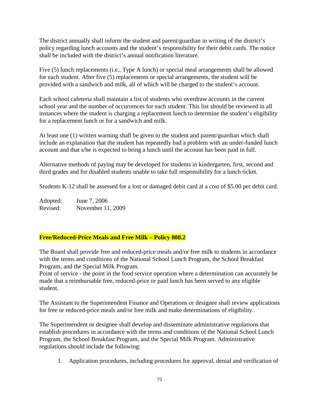The district annually shall inform the student and parent/guardian in writing of the district's policy regarding lunch accounts and the student's responsibility for their debit cards. The notice shall be included with the district's annual notification literature.

Five (5) lunch replacements (i.e., Type A lunch) or special meal arrangements shall be allowed for each student. After five (5) replacements or special arrangements, the student will be provided with a sandwich and milk, all of which will be charged to the student's account.

Each school cafeteria shall maintain a list of students who overdraw accounts in the current school year and the number of occurrences for each student. This list should be reviewed in all instances where the student is charging a replacement lunch to determine the student's eligibility for a replacement lunch or for a sandwich and milk.

At least one (1) written warning shall be given to the student and parent/guardian which shall include an explanation that the student has repeatedly had a problem with an under-funded lunch account and that s/he is expected to bring a lunch until the account has been paid in full.

Alternative methods of paying may be developed for students in kindergarten, first, second and third grades and for disabled students unable to take full responsibility for a lunch ticket.

Students K-12 shall be assessed for a lost or damaged debit card at a cost of \$5.00 per debit card.

Adopted: June 7, 2006 Revised: November 11, 2009

## **Free/Reduced-Price Meals and Free Milk – Policy 808.2**

The Board shall provide free and reduced-price meals and/or free milk to students in accordance with the terms and conditions of the National School Lunch Program, the School Breakfast Program, and the Special Milk Program.

Point of service - the point in the food service operation where a determination can accurately be made that a reimbursable free, reduced-price or paid lunch has been served to any eligible student.

The Assistant to the Superintendent Finance and Operations or designee shall review applications for free or reduced-price meals and/or free milk and make determinations of eligibility.

The Superintendent or designee shall develop and disseminate administrative regulations that establish procedures in accordance with the terms and conditions of the National School Lunch Program, the School Breakfast Program, and the Special Milk Program. Administrative regulations should include the following:

1. Application procedures, including procedures for approval, denial and verification of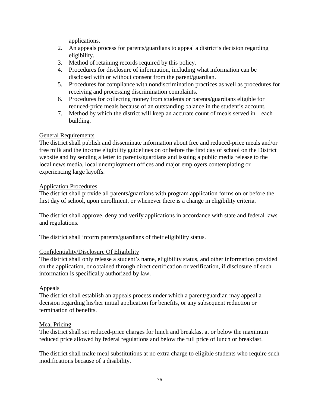applications.

- 2. An appeals process for parents/guardians to appeal a district's decision regarding eligibility.
- 3. Method of retaining records required by this policy.
- 4. Procedures for disclosure of information, including what information can be disclosed with or without consent from the parent/guardian.
- 5. Procedures for compliance with nondiscrimination practices as well as procedures for receiving and processing discrimination complaints.
- 6. Procedures for collecting money from students or parents/guardians eligible for reduced-price meals because of an outstanding balance in the student's account.
- 7. Method by which the district will keep an accurate count of meals served in each building.

## General Requirements

The district shall publish and disseminate information about free and reduced-price meals and/or free milk and the income eligibility guidelines on or before the first day of school on the District website and by sending a letter to parents/guardians and issuing a public media release to the local news media, local unemployment offices and major employers contemplating or experiencing large layoffs.

#### Application Procedures

The district shall provide all parents/guardians with program application forms on or before the first day of school, upon enrollment, or whenever there is a change in eligibility criteria.

The district shall approve, deny and verify applications in accordance with state and federal laws and regulations.

The district shall inform parents/guardians of their eligibility status.

## Confidentiality/Disclosure Of Eligibility

The district shall only release a student's name, eligibility status, and other information provided on the application, or obtained through direct certification or verification, if disclosure of such information is specifically authorized by law.

## Appeals

The district shall establish an appeals process under which a parent/guardian may appeal a decision regarding his/her initial application for benefits, or any subsequent reduction or termination of benefits.

#### Meal Pricing

The district shall set reduced-price charges for lunch and breakfast at or below the maximum reduced price allowed by federal regulations and below the full price of lunch or breakfast.

The district shall make meal substitutions at no extra charge to eligible students who require such modifications because of a disability.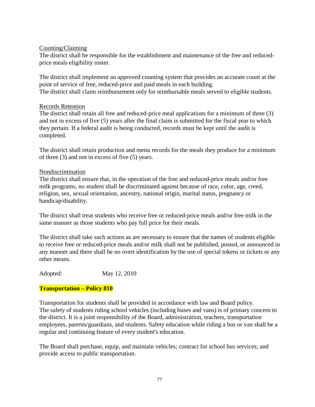### Counting/Claiming

The district shall be responsible for the establishment and maintenance of the free and reducedprice meals eligibility roster.

The district shall implement an approved counting system that provides an accurate count at the point of service of free, reduced-price and paid meals in each building.

The district shall claim reimbursement only for reimbursable meals served to eligible students.

#### Records Retention

The district shall retain all free and reduced-price meal applications for a minimum of three (3) and not in excess of five (5) years after the final claim is submitted for the fiscal year to which they pertain. If a federal audit is being conducted, records must be kept until the audit is completed.

The district shall retain production and menu records for the meals they produce for a minimum of three (3) and not in excess of five (5) years.

#### Nondiscrimination

The district shall ensure that, in the operation of the free and reduced-price meals and/or free milk programs, no student shall be discriminated against because of race, color, age, creed, religion, sex, sexual orientation, ancestry, national origin, marital status, pregnancy or handicap/disability.

The district shall treat students who receive free or reduced-price meals and/or free milk in the same manner as those students who pay full price for their meals.

The district shall take such actions as are necessary to ensure that the names of students eligible to receive free or reduced-price meals and/or milk shall not be published, posted, or announced in any manner and there shall be no overt identification by the use of special tokens or tickets or any other means.

Adopted: May 12, 2010

## **Transportation – Policy 810**

Transportation for students shall be provided in accordance with law and Board policy. The safety of students riding school vehicles (including buses and vans) is of primary concern to the district. It is a joint responsibility of the Board, administration, teachers, transportation employees, parents/guardians, and students. Safety education while riding a bus or van shall be a regular and continuing feature of every student's education.

The Board shall purchase, equip, and maintain vehicles; contract for school bus services; and provide access to public transportation.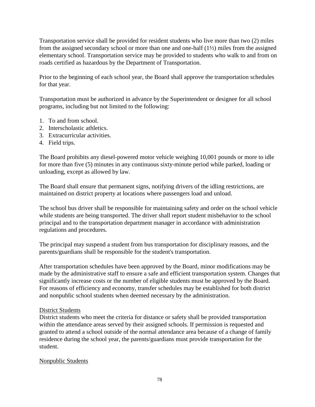Transportation service shall be provided for resident students who live more than two (2) miles from the assigned secondary school or more than one and one-half (1½) miles from the assigned elementary school. Transportation service may be provided to students who walk to and from on roads certified as hazardous by the Department of Transportation.

Prior to the beginning of each school year, the Board shall approve the transportation schedules for that year.

Transportation must be authorized in advance by the Superintendent or designee for all school programs, including but not limited to the following:

- 1. To and from school.
- 2. Interscholastic athletics.
- 3. Extracurricular activities.
- 4. Field trips.

The Board prohibits any diesel-powered motor vehicle weighing 10,001 pounds or more to idle for more than five (5) minutes in any continuous sixty-minute period while parked, loading or unloading, except as allowed by law.

The Board shall ensure that permanent signs, notifying drivers of the idling restrictions, are maintained on district property at locations where passengers load and unload.

The school bus driver shall be responsible for maintaining safety and order on the school vehicle while students are being transported. The driver shall report student misbehavior to the school principal and to the transportation department manager in accordance with administration regulations and procedures.

The principal may suspend a student from bus transportation for disciplinary reasons, and the parents/guardians shall be responsible for the student's transportation.

After transportation schedules have been approved by the Board, minor modifications may be made by the administrative staff to ensure a safe and efficient transportation system. Changes that significantly increase costs or the number of eligible students must be approved by the Board. For reasons of efficiency and economy, transfer schedules may be established for both district and nonpublic school students when deemed necessary by the administration.

#### District Students

District students who meet the criteria for distance or safety shall be provided transportation within the attendance areas served by their assigned schools. If permission is requested and granted to attend a school outside of the normal attendance area because of a change of family residence during the school year, the parents/guardians must provide transportation for the student.

#### Nonpublic Students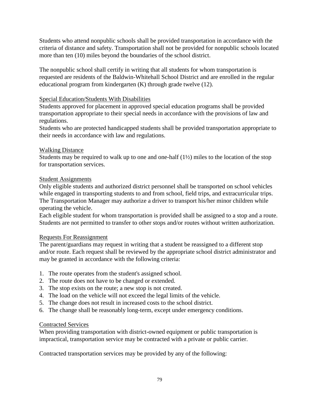Students who attend nonpublic schools shall be provided transportation in accordance with the criteria of distance and safety. Transportation shall not be provided for nonpublic schools located more than ten (10) miles beyond the boundaries of the school district.

The nonpublic school shall certify in writing that all students for whom transportation is requested are residents of the Baldwin-Whitehall School District and are enrolled in the regular educational program from kindergarten (K) through grade twelve (12).

## Special Education/Students With Disabilities

Students approved for placement in approved special education programs shall be provided transportation appropriate to their special needs in accordance with the provisions of law and regulations.

Students who are protected handicapped students shall be provided transportation appropriate to their needs in accordance with law and regulations.

## Walking Distance

Students may be required to walk up to one and one-half (1½) miles to the location of the stop for transportation services.

## Student Assignments

Only eligible students and authorized district personnel shall be transported on school vehicles while engaged in transporting students to and from school, field trips, and extracurricular trips. The Transportation Manager may authorize a driver to transport his/her minor children while operating the vehicle.

Each eligible student for whom transportation is provided shall be assigned to a stop and a route. Students are not permitted to transfer to other stops and/or routes without written authorization.

## Requests For Reassignment

The parent/guardians may request in writing that a student be reassigned to a different stop and/or route. Each request shall be reviewed by the appropriate school district administrator and may be granted in accordance with the following criteria:

- 1. The route operates from the student's assigned school.
- 2. The route does not have to be changed or extended.
- 3. The stop exists on the route; a new stop is not created.
- 4. The load on the vehicle will not exceed the legal limits of the vehicle.
- 5. The change does not result in increased costs to the school district.
- 6. The change shall be reasonably long-term, except under emergency conditions.

## Contracted Services

When providing transportation with district-owned equipment or public transportation is impractical, transportation service may be contracted with a private or public carrier.

Contracted transportation services may be provided by any of the following: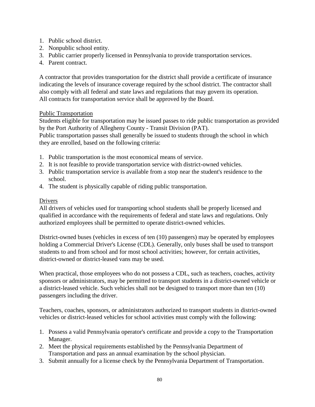- 1. Public school district.
- 2. Nonpublic school entity.
- 3. Public carrier properly licensed in Pennsylvania to provide transportation services.
- 4. Parent contract.

A contractor that provides transportation for the district shall provide a certificate of insurance indicating the levels of insurance coverage required by the school district. The contractor shall also comply with all federal and state laws and regulations that may govern its operation. All contracts for transportation service shall be approved by the Board.

#### Public Transportation

Students eligible for transportation may be issued passes to ride public transportation as provided by the Port Authority of Allegheny County - Transit Division (PAT).

Public transportation passes shall generally be issued to students through the school in which they are enrolled, based on the following criteria:

- 1. Public transportation is the most economical means of service.
- 2. It is not feasible to provide transportation service with district-owned vehicles.
- 3. Public transportation service is available from a stop near the student's residence to the school.
- 4. The student is physically capable of riding public transportation.

### Drivers

All drivers of vehicles used for transporting school students shall be properly licensed and qualified in accordance with the requirements of federal and state laws and regulations. Only authorized employees shall be permitted to operate district-owned vehicles.

District-owned buses (vehicles in excess of ten (10) passengers) may be operated by employees holding a Commercial Driver's License (CDL). Generally, only buses shall be used to transport students to and from school and for most school activities; however, for certain activities, district-owned or district-leased vans may be used.

When practical, those employees who do not possess a CDL, such as teachers, coaches, activity sponsors or administrators, may be permitted to transport students in a district-owned vehicle or a district-leased vehicle. Such vehicles shall not be designed to transport more than ten (10) passengers including the driver.

Teachers, coaches, sponsors, or administrators authorized to transport students in district-owned vehicles or district-leased vehicles for school activities must comply with the following:

- 1. Possess a valid Pennsylvania operator's certificate and provide a copy to the Transportation Manager.
- 2. Meet the physical requirements established by the Pennsylvania Department of Transportation and pass an annual examination by the school physician.
- 3. Submit annually for a license check by the Pennsylvania Department of Transportation.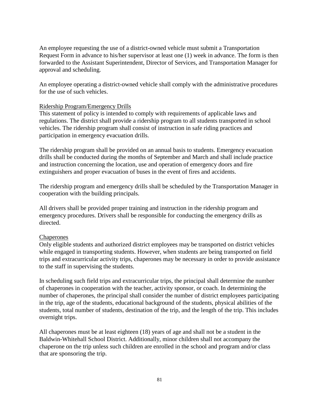An employee requesting the use of a district-owned vehicle must submit a Transportation Request Form in advance to his/her supervisor at least one (1) week in advance. The form is then forwarded to the Assistant Superintendent, Director of Services, and Transportation Manager for approval and scheduling.

An employee operating a district-owned vehicle shall comply with the administrative procedures for the use of such vehicles.

## Ridership Program/Emergency Drills

This statement of policy is intended to comply with requirements of applicable laws and regulations. The district shall provide a ridership program to all students transported in school vehicles. The ridership program shall consist of instruction in safe riding practices and participation in emergency evacuation drills.

The ridership program shall be provided on an annual basis to students. Emergency evacuation drills shall be conducted during the months of September and March and shall include practice and instruction concerning the location, use and operation of emergency doors and fire extinguishers and proper evacuation of buses in the event of fires and accidents.

The ridership program and emergency drills shall be scheduled by the Transportation Manager in cooperation with the building principals.

All drivers shall be provided proper training and instruction in the ridership program and emergency procedures. Drivers shall be responsible for conducting the emergency drills as directed.

#### Chaperones

Only eligible students and authorized district employees may be transported on district vehicles while engaged in transporting students. However, when students are being transported on field trips and extracurricular activity trips, chaperones may be necessary in order to provide assistance to the staff in supervising the students.

In scheduling such field trips and extracurricular trips, the principal shall determine the number of chaperones in cooperation with the teacher, activity sponsor, or coach. In determining the number of chaperones, the principal shall consider the number of district employees participating in the trip, age of the students, educational background of the students, physical abilities of the students, total number of students, destination of the trip, and the length of the trip. This includes overnight trips.

All chaperones must be at least eighteen (18) years of age and shall not be a student in the Baldwin-Whitehall School District. Additionally, minor children shall not accompany the chaperone on the trip unless such children are enrolled in the school and program and/or class that are sponsoring the trip.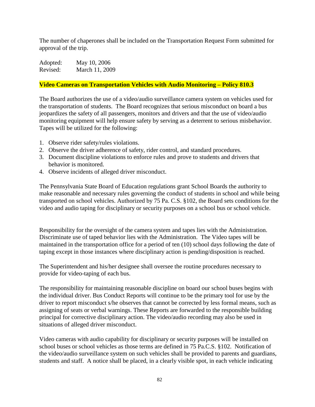The number of chaperones shall be included on the Transportation Request Form submitted for approval of the trip.

Adopted: May 10, 2006 Revised: March 11, 2009

## **Video Cameras on Transportation Vehicles with Audio Monitoring – Policy 810.3**

The Board authorizes the use of a video/audio surveillance camera system on vehicles used for the transportation of students. The Board recognizes that serious misconduct on board a bus jeopardizes the safety of all passengers, monitors and drivers and that the use of video/audio monitoring equipment will help ensure safety by serving as a deterrent to serious misbehavior. Tapes will be utilized for the following:

- 1. Observe rider safety/rules violations.
- 2. Observe the driver adherence of safety, rider control, and standard procedures.
- 3. Document discipline violations to enforce rules and prove to students and drivers that behavior is monitored.
- 4. Observe incidents of alleged driver misconduct.

The Pennsylvania State Board of Education regulations grant School Boards the authority to make reasonable and necessary rules governing the conduct of students in school and while being transported on school vehicles. Authorized by 75 Pa. C.S. §102, the Board sets conditions for the video and audio taping for disciplinary or security purposes on a school bus or school vehicle.

Responsibility for the oversight of the camera system and tapes lies with the Administration. Discriminate use of taped behavior lies with the Administration. The Video tapes will be maintained in the transportation office for a period of ten (10) school days following the date of taping except in those instances where disciplinary action is pending/disposition is reached.

The Superintendent and his/her designee shall oversee the routine procedures necessary to provide for video-taping of each bus.

The responsibility for maintaining reasonable discipline on board our school buses begins with the individual driver. Bus Conduct Reports will continue to be the primary tool for use by the driver to report misconduct s/he observes that cannot be corrected by less formal means, such as assigning of seats or verbal warnings. These Reports are forwarded to the responsible building principal for corrective disciplinary action. The video/audio recording may also be used in situations of alleged driver misconduct.

Video cameras with audio capability for disciplinary or security purposes will be installed on school buses or school vehicles as those terms are defined in 75 Pa.C.S. §102. Notification of the video/audio surveillance system on such vehicles shall be provided to parents and guardians, students and staff. A notice shall be placed, in a clearly visible spot, in each vehicle indicating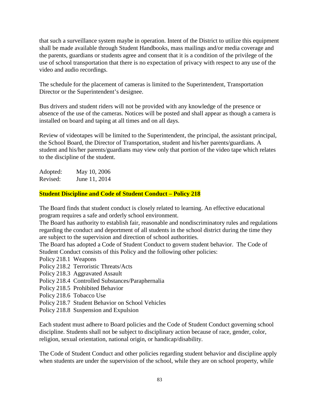that such a surveillance system maybe in operation. Intent of the District to utilize this equipment shall be made available through Student Handbooks, mass mailings and/or media coverage and the parents, guardians or students agree and consent that it is a condition of the privilege of the use of school transportation that there is no expectation of privacy with respect to any use of the video and audio recordings.

The schedule for the placement of cameras is limited to the Superintendent, Transportation Director or the Superintendent's designee.

Bus drivers and student riders will not be provided with any knowledge of the presence or absence of the use of the cameras. Notices will be posted and shall appear as though a camera is installed on board and taping at all times and on all days.

Review of videotapes will be limited to the Superintendent, the principal, the assistant principal, the School Board, the Director of Transportation, student and his/her parents/guardians. A student and his/her parents/guardians may view only that portion of the video tape which relates to the discipline of the student.

Adopted: May 10, 2006 Revised: June 11, 2014

## **Student Discipline and Code of Student Conduct – Policy 218**

The Board finds that student conduct is closely related to learning. An effective educational program requires a safe and orderly school environment.

The Board has authority to establish fair, reasonable and nondiscriminatory rules and regulations regarding the conduct and deportment of all students in the school district during the time they are subject to the supervision and direction of school authorities.

The Board has adopted a Code of Student Conduct to govern student behavior. The Code of Student Conduct consists of this Policy and the following other policies:

Policy 218.1 Weapons

- Policy 218.2 Terroristic Threats/Acts
- Policy 218.3 Aggravated Assault
- Policy 218.4 Controlled Substances/Paraphernalia
- Policy 218.5 Prohibited Behavior
- Policy 218.6 Tobacco Use
- Policy 218.7 Student Behavior on School Vehicles
- Policy 218.8 Suspension and Expulsion

Each student must adhere to Board policies and the Code of Student Conduct governing school discipline. Students shall not be subject to disciplinary action because of race, gender, color, religion, sexual orientation, national origin, or handicap/disability.

The Code of Student Conduct and other policies regarding student behavior and discipline apply when students are under the supervision of the school, while they are on school property, while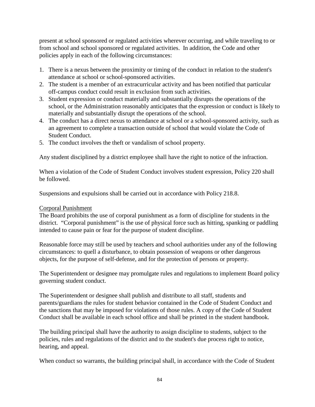present at school sponsored or regulated activities wherever occurring, and while traveling to or from school and school sponsored or regulated activities. In addition, the Code and other policies apply in each of the following circumstances:

- 1. There is a nexus between the proximity or timing of the conduct in relation to the student's attendance at school or school-sponsored activities.
- 2. The student is a member of an extracurricular activity and has been notified that particular off-campus conduct could result in exclusion from such activities.
- 3. Student expression or conduct materially and substantially disrupts the operations of the school, or the Administration reasonably anticipates that the expression or conduct is likely to materially and substantially disrupt the operations of the school.
- 4. The conduct has a direct nexus to attendance at school or a school-sponsored activity, such as an agreement to complete a transaction outside of school that would violate the Code of Student Conduct.
- 5. The conduct involves the theft or vandalism of school property.

Any student disciplined by a district employee shall have the right to notice of the infraction.

When a violation of the Code of Student Conduct involves student expression, Policy 220 shall be followed.

Suspensions and expulsions shall be carried out in accordance with Policy 218.8.

#### Corporal Punishment

The Board prohibits the use of corporal punishment as a form of discipline for students in the district. "Corporal punishment" is the use of physical force such as hitting, spanking or paddling intended to cause pain or fear for the purpose of student discipline.

Reasonable force may still be used by teachers and school authorities under any of the following circumstances: to quell a disturbance, to obtain possession of weapons or other dangerous objects, for the purpose of self-defense, and for the protection of persons or property.

The Superintendent or designee may promulgate rules and regulations to implement Board policy governing student conduct.

The Superintendent or designee shall publish and distribute to all staff, students and parents/guardians the rules for student behavior contained in the Code of Student Conduct and the sanctions that may be imposed for violations of those rules. A copy of the Code of Student Conduct shall be available in each school office and shall be printed in the student handbook.

The building principal shall have the authority to assign discipline to students, subject to the policies, rules and regulations of the district and to the student's due process right to notice, hearing, and appeal.

When conduct so warrants, the building principal shall, in accordance with the Code of Student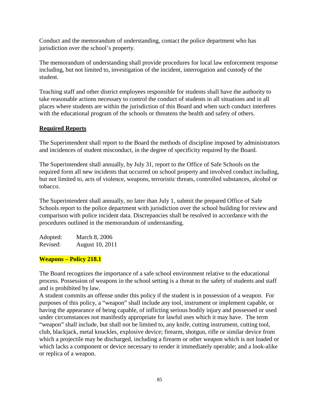Conduct and the memorandum of understanding, contact the police department who has jurisdiction over the school's property.

The memorandum of understanding shall provide procedures for local law enforcement response including, but not limited to, investigation of the incident, interrogation and custody of the student.

Teaching staff and other district employees responsible for students shall have the authority to take reasonable actions necessary to control the conduct of students in all situations and in all places where students are within the jurisdiction of this Board and when such conduct interferes with the educational program of the schools or threatens the health and safety of others.

## **Required Reports**

The Superintendent shall report to the Board the methods of discipline imposed by administrators and incidences of student misconduct, in the degree of specificity required by the Board.

The Superintendent shall annually, by July 31, report to the Office of Safe Schools on the required form all new incidents that occurred on school property and involved conduct including, but not limited to, acts of violence, weapons, terroristic threats, controlled substances, alcohol or tobacco.

The Superintendent shall annually, no later than July 1, submit the prepared Office of Safe Schools report to the police department with jurisdiction over the school building for review and comparison with police incident data. Discrepancies shall be resolved in accordance with the procedures outlined in the memorandum of understanding.

Adopted: March 8, 2006 Revised: August 10, 2011

#### **Weapons – Policy 218.1**

The Board recognizes the importance of a safe school environment relative to the educational process. Possession of weapons in the school setting is a threat to the safety of students and staff and is prohibited by law.

A student commits an offense under this policy if the student is in possession of a weapon. For purposes of this policy, a "weapon" shall include any tool, instrument or implement capable, or having the appearance of being capable, of inflicting serious bodily injury and possessed or used under circumstances not manifestly appropriate for lawful uses which it may have. The term "weapon" shall include, but shall not be limited to, any knife, cutting instrument, cutting tool, club, blackjack, metal knuckles, explosive device; firearm, shotgun, rifle or similar device from which a projectile may be discharged, including a firearm or other weapon which is not loaded or which lacks a component or device necessary to render it immediately operable; and a look-alike or replica of a weapon.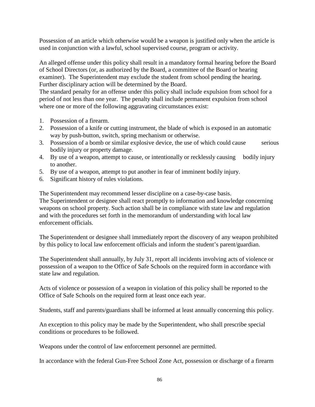Possession of an article which otherwise would be a weapon is justified only when the article is used in conjunction with a lawful, school supervised course, program or activity.

An alleged offense under this policy shall result in a mandatory formal hearing before the Board of School Directors (or, as authorized by the Board, a committee of the Board or hearing examiner). The Superintendent may exclude the student from school pending the hearing. Further disciplinary action will be determined by the Board.

The standard penalty for an offense under this policy shall include expulsion from school for a period of not less than one year. The penalty shall include permanent expulsion from school where one or more of the following aggravating circumstances exist:

- 1. Possession of a firearm.
- 2. Possession of a knife or cutting instrument, the blade of which is exposed in an automatic way by push-button, switch, spring mechanism or otherwise.
- 3. Possession of a bomb or similar explosive device, the use of which could cause serious bodily injury or property damage.
- 4. By use of a weapon, attempt to cause, or intentionally or recklessly causing bodily injury to another.
- 5. By use of a weapon, attempt to put another in fear of imminent bodily injury.
- 6. Significant history of rules violations.

The Superintendent may recommend lesser discipline on a case-by-case basis. The Superintendent or designee shall react promptly to information and knowledge concerning weapons on school property. Such action shall be in compliance with state law and regulation and with the procedures set forth in the memorandum of understanding with local law enforcement officials.

The Superintendent or designee shall immediately report the discovery of any weapon prohibited by this policy to local law enforcement officials and inform the student's parent/guardian.

The Superintendent shall annually, by July 31, report all incidents involving acts of violence or possession of a weapon to the Office of Safe Schools on the required form in accordance with state law and regulation.

Acts of violence or possession of a weapon in violation of this policy shall be reported to the Office of Safe Schools on the required form at least once each year.

Students, staff and parents/guardians shall be informed at least annually concerning this policy.

An exception to this policy may be made by the Superintendent, who shall prescribe special conditions or procedures to be followed.

Weapons under the control of law enforcement personnel are permitted.

In accordance with the federal Gun-Free School Zone Act, possession or discharge of a firearm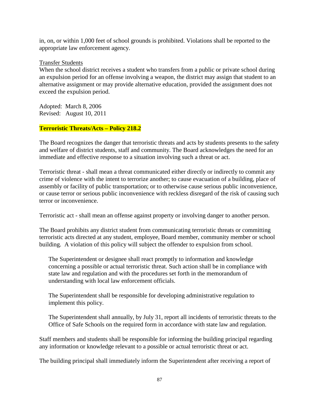in, on, or within 1,000 feet of school grounds is prohibited. Violations shall be reported to the appropriate law enforcement agency.

#### Transfer Students

When the school district receives a student who transfers from a public or private school during an expulsion period for an offense involving a weapon, the district may assign that student to an alternative assignment or may provide alternative education, provided the assignment does not exceed the expulsion period.

Adopted: March 8, 2006 Revised: August 10, 2011

## **Terroristic Threats/Acts – Policy 218.2**

The Board recognizes the danger that terroristic threats and acts by students presents to the safety and welfare of district students, staff and community. The Board acknowledges the need for an immediate and effective response to a situation involving such a threat or act.

Terroristic threat - shall mean a threat communicated either directly or indirectly to commit any crime of violence with the intent to terrorize another; to cause evacuation of a building, place of assembly or facility of public transportation; or to otherwise cause serious public inconvenience, or cause terror or serious public inconvenience with reckless disregard of the risk of causing such terror or inconvenience.

Terroristic act - shall mean an offense against property or involving danger to another person.

The Board prohibits any district student from communicating terroristic threats or committing terroristic acts directed at any student, employee, Board member, community member or school building. A violation of this policy will subject the offender to expulsion from school.

The Superintendent or designee shall react promptly to information and knowledge concerning a possible or actual terroristic threat. Such action shall be in compliance with state law and regulation and with the procedures set forth in the memorandum of understanding with local law enforcement officials.

The Superintendent shall be responsible for developing administrative regulation to implement this policy.

The Superintendent shall annually, by July 31, report all incidents of terroristic threats to the Office of Safe Schools on the required form in accordance with state law and regulation.

Staff members and students shall be responsible for informing the building principal regarding any information or knowledge relevant to a possible or actual terroristic threat or act.

The building principal shall immediately inform the Superintendent after receiving a report of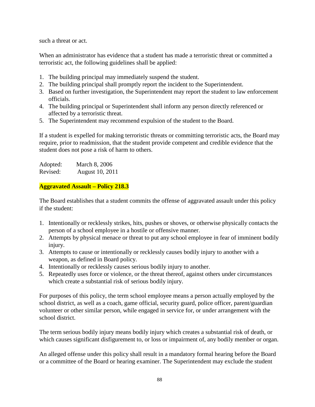such a threat or act.

When an administrator has evidence that a student has made a terroristic threat or committed a terroristic act, the following guidelines shall be applied:

- 1. The building principal may immediately suspend the student.
- 2. The building principal shall promptly report the incident to the Superintendent.
- 3. Based on further investigation, the Superintendent may report the student to law enforcement officials.
- 4. The building principal or Superintendent shall inform any person directly referenced or affected by a terroristic threat.
- 5. The Superintendent may recommend expulsion of the student to the Board.

If a student is expelled for making terroristic threats or committing terroristic acts, the Board may require, prior to readmission, that the student provide competent and credible evidence that the student does not pose a risk of harm to others.

Adopted: March 8, 2006 Revised: August 10, 2011

#### **Aggravated Assault – Policy 218.3**

The Board establishes that a student commits the offense of aggravated assault under this policy if the student:

- 1. Intentionally or recklessly strikes, hits, pushes or shoves, or otherwise physically contacts the person of a school employee in a hostile or offensive manner.
- 2. Attempts by physical menace or threat to put any school employee in fear of imminent bodily injury.
- 3. Attempts to cause or intentionally or recklessly causes bodily injury to another with a weapon, as defined in Board policy.
- 4. Intentionally or recklessly causes serious bodily injury to another.
- 5. Repeatedly uses force or violence, or the threat thereof, against others under circumstances which create a substantial risk of serious bodily injury.

For purposes of this policy, the term school employee means a person actually employed by the school district, as well as a coach, game official, security guard, police officer, parent/guardian volunteer or other similar person, while engaged in service for, or under arrangement with the school district.

The term serious bodily injury means bodily injury which creates a substantial risk of death, or which causes significant disfigurement to, or loss or impairment of, any bodily member or organ.

An alleged offense under this policy shall result in a mandatory formal hearing before the Board or a committee of the Board or hearing examiner. The Superintendent may exclude the student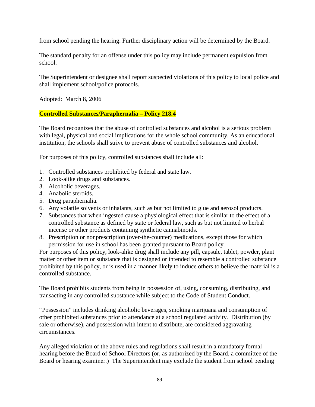from school pending the hearing. Further disciplinary action will be determined by the Board.

The standard penalty for an offense under this policy may include permanent expulsion from school.

The Superintendent or designee shall report suspected violations of this policy to local police and shall implement school/police protocols.

Adopted: March 8, 2006

#### **Controlled Substances/Paraphernalia – Policy 218.4**

The Board recognizes that the abuse of controlled substances and alcohol is a serious problem with legal, physical and social implications for the whole school community. As an educational institution, the schools shall strive to prevent abuse of controlled substances and alcohol.

For purposes of this policy, controlled substances shall include all:

- 1. Controlled substances prohibited by federal and state law.
- 2. Look-alike drugs and substances.
- 3. Alcoholic beverages.
- 4. Anabolic steroids.
- 5. Drug paraphernalia.
- 6. Any volatile solvents or inhalants, such as but not limited to glue and aerosol products.
- 7. Substances that when ingested cause a physiological effect that is similar to the effect of a controlled substance as defined by state or federal law, such as but not limited to herbal incense or other products containing synthetic cannabinoids.
- 8. Prescription or nonprescription (over-the-counter) medications, except those for which permission for use in school has been granted pursuant to Board policy.

For purposes of this policy, look-alike drug shall include any pill, capsule, tablet, powder, plant matter or other item or substance that is designed or intended to resemble a controlled substance prohibited by this policy, or is used in a manner likely to induce others to believe the material is a controlled substance.

The Board prohibits students from being in possession of, using, consuming, distributing, and transacting in any controlled substance while subject to the Code of Student Conduct.

"Possession" includes drinking alcoholic beverages, smoking marijuana and consumption of other prohibited substances prior to attendance at a school regulated activity. Distribution (by sale or otherwise), and possession with intent to distribute, are considered aggravating circumstances.

Any alleged violation of the above rules and regulations shall result in a mandatory formal hearing before the Board of School Directors (or, as authorized by the Board, a committee of the Board or hearing examiner.) The Superintendent may exclude the student from school pending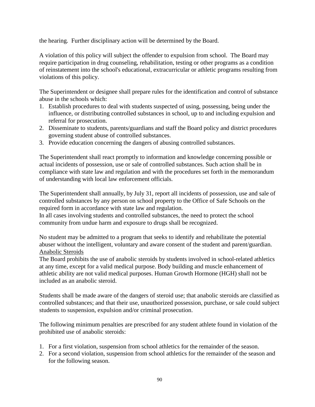the hearing. Further disciplinary action will be determined by the Board.

A violation of this policy will subject the offender to expulsion from school. The Board may require participation in drug counseling, rehabilitation, testing or other programs as a condition of reinstatement into the school's educational, extracurricular or athletic programs resulting from violations of this policy.

The Superintendent or designee shall prepare rules for the identification and control of substance abuse in the schools which:

- 1. Establish procedures to deal with students suspected of using, possessing, being under the influence, or distributing controlled substances in school, up to and including expulsion and referral for prosecution.
- 2. Disseminate to students, parents/guardians and staff the Board policy and district procedures governing student abuse of controlled substances.
- 3. Provide education concerning the dangers of abusing controlled substances.

The Superintendent shall react promptly to information and knowledge concerning possible or actual incidents of possession, use or sale of controlled substances. Such action shall be in compliance with state law and regulation and with the procedures set forth in the memorandum of understanding with local law enforcement officials.

The Superintendent shall annually, by July 31, report all incidents of possession, use and sale of controlled substances by any person on school property to the Office of Safe Schools on the required form in accordance with state law and regulation.

In all cases involving students and controlled substances, the need to protect the school community from undue harm and exposure to drugs shall be recognized.

No student may be admitted to a program that seeks to identify and rehabilitate the potential abuser without the intelligent, voluntary and aware consent of the student and parent/guardian. Anabolic Steroids

The Board prohibits the use of anabolic steroids by students involved in school-related athletics at any time, except for a valid medical purpose. Body building and muscle enhancement of athletic ability are not valid medical purposes. Human Growth Hormone (HGH) shall not be included as an anabolic steroid.

Students shall be made aware of the dangers of steroid use; that anabolic steroids are classified as controlled substances; and that their use, unauthorized possession, purchase, or sale could subject students to suspension, expulsion and/or criminal prosecution.

The following minimum penalties are prescribed for any student athlete found in violation of the prohibited use of anabolic steroids:

- 1. For a first violation, suspension from school athletics for the remainder of the season.
- 2. For a second violation, suspension from school athletics for the remainder of the season and for the following season.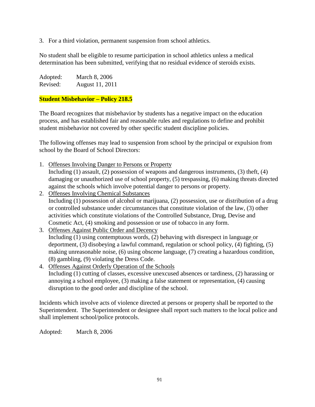3. For a third violation, permanent suspension from school athletics.

No student shall be eligible to resume participation in school athletics unless a medical determination has been submitted, verifying that no residual evidence of steroids exists.

Adopted: March 8, 2006 Revised: August 11, 2011

## **Student Misbehavior – Policy 218.5**

The Board recognizes that misbehavior by students has a negative impact on the education process, and has established fair and reasonable rules and regulations to define and prohibit student misbehavior not covered by other specific student discipline policies.

The following offenses may lead to suspension from school by the principal or expulsion from school by the Board of School Directors:

- 1. Offenses Involving Danger to Persons or Property Including (1) assault, (2) possession of weapons and dangerous instruments, (3) theft, (4) damaging or unauthorized use of school property, (5) trespassing, (6) making threats directed against the schools which involve potential danger to persons or property.
- 2. Offenses Involving Chemical Substances Including (1) possession of alcohol or marijuana, (2) possession, use or distribution of a drug or controlled substance under circumstances that constitute violation of the law, (3) other activities which constitute violations of the Controlled Substance, Drug, Devise and Cosmetic Act, (4) smoking and possession or use of tobacco in any form.
- 3. Offenses Against Public Order and Decency Including (1) using contemptuous words, (2) behaving with disrespect in language or deportment, (3) disobeying a lawful command, regulation or school policy, (4) fighting, (5) making unreasonable noise, (6) using obscene language, (7) creating a hazardous condition, (8) gambling, (9) violating the Dress Code.
- 4. Offenses Against Orderly Operation of the Schools Including (1) cutting of classes, excessive unexcused absences or tardiness, (2) harassing or annoying a school employee, (3) making a false statement or representation, (4) causing disruption to the good order and discipline of the school.

Incidents which involve acts of violence directed at persons or property shall be reported to the Superintendent. The Superintendent or designee shall report such matters to the local police and shall implement school/police protocols.

Adopted: March 8, 2006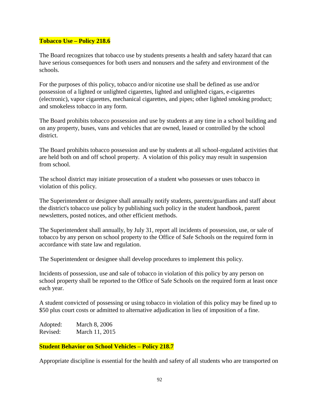#### **Tobacco Use – Policy 218.6**

The Board recognizes that tobacco use by students presents a health and safety hazard that can have serious consequences for both users and nonusers and the safety and environment of the schools.

For the purposes of this policy, tobacco and/or nicotine use shall be defined as use and/or possession of a lighted or unlighted cigarettes, lighted and unlighted cigars, e-cigarettes (electronic), vapor cigarettes, mechanical cigarettes, and pipes; other lighted smoking product; and smokeless tobacco in any form.

The Board prohibits tobacco possession and use by students at any time in a school building and on any property, buses, vans and vehicles that are owned, leased or controlled by the school district.

The Board prohibits tobacco possession and use by students at all school-regulated activities that are held both on and off school property. A violation of this policy may result in suspension from school.

The school district may initiate prosecution of a student who possesses or uses tobacco in violation of this policy.

The Superintendent or designee shall annually notify students, parents/guardians and staff about the district's tobacco use policy by publishing such policy in the student handbook, parent newsletters, posted notices, and other efficient methods.

The Superintendent shall annually, by July 31, report all incidents of possession, use, or sale of tobacco by any person on school property to the Office of Safe Schools on the required form in accordance with state law and regulation.

The Superintendent or designee shall develop procedures to implement this policy.

Incidents of possession, use and sale of tobacco in violation of this policy by any person on school property shall be reported to the Office of Safe Schools on the required form at least once each year.

A student convicted of possessing or using tobacco in violation of this policy may be fined up to \$50 plus court costs or admitted to alternative adjudication in lieu of imposition of a fine.

Adopted: March 8, 2006 Revised: March 11, 2015

## **Student Behavior on School Vehicles – Policy 218.7**

Appropriate discipline is essential for the health and safety of all students who are transported on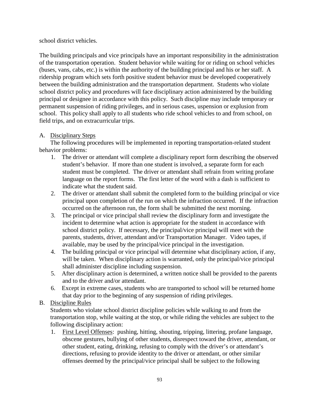school district vehicles.

The building principals and vice principals have an important responsibility in the administration of the transportation operation. Student behavior while waiting for or riding on school vehicles (buses, vans, cabs, etc.) is within the authority of the building principal and his or her staff. A ridership program which sets forth positive student behavior must be developed cooperatively between the building administration and the transportation department. Students who violate school district policy and procedures will face disciplinary action administered by the building principal or designee in accordance with this policy. Such discipline may include temporary or permanent suspension of riding privileges, and in serious cases, uspension or explusion from school. This policy shall apply to all students who ride school vehicles to and from school, on field trips, and on extracurricular trips.

# A. Disciplinary Steps

The following procedures will be implemented in reporting transportation-related student behavior problems:

- 1. The driver or attendant will complete a disciplinary report form describing the observed student's behavior. If more than one student is involved, a separate form for each student must be completed. The driver or attendant shall refrain from writing profane language on the report forms. The first letter of the word with a dash is sufficient to indicate what the student said.
- 2. The driver or attendant shall submit the completed form to the building principal or vice principal upon completion of the run on which the infraction occurred. If the infraction occurred on the afternoon run, the form shall be submitted the next morning.
- 3. The principal or vice principal shall review the disciplinary form and investigate the incident to determine what action is appropriate for the student in accordance with school district policy. If necessary, the principal/vice principal will meet with the parents, students, driver, attendant and/or Transportation Manager. Video tapes, if available, may be used by the principal/vice principal in the investigation.
- 4. The building principal or vice principal will determine what disciplinary action, if any, will be taken. When disciplinary action is warranted, only the principal/vice principal shall administer discipline including suspension.
- 5. After disciplinary action is determined, a written notice shall be provided to the parents and to the driver and/or attendant.
- 6. Except in extreme cases, students who are transported to school will be returned home that day prior to the beginning of any suspension of riding privileges.
- B. Discipline Rules

Students who violate school district discipline policies while walking to and from the transportation stop, while waiting at the stop, or while riding the vehicles are subject to the following disciplinary action:

1. First Level Offenses: pushing, hitting, shouting, tripping, littering, profane language, obscene gestures, bullying of other students, disrespect toward the driver, attendant, or other student, eating, drinking, refusing to comply with the driver's or attendant's directions, refusing to provide identity to the driver or attendant, or other similar offenses deemed by the principal/vice principal shall be subject to the following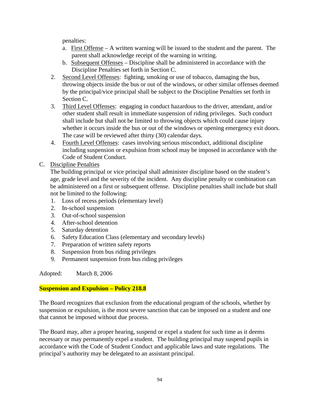penalties:

- a. First Offense A written warning will be issued to the student and the parent. The parent shall acknowledge receipt of the warning in writing.
- b. Subsequent Offenses Discipline shall be administered in accordance with the Discipline Penalties set forth in Section C.
- 2. Second Level Offenses: fighting, smoking or use of tobacco, damaging the bus, throwing objects inside the bus or out of the windows, or other similar offenses deemed by the principal/vice principal shall be subject to the Discipline Penalties set forth in Section C.
- 3. Third Level Offenses: engaging in conduct hazardous to the driver, attendant, and/or other student shall result in immediate suspension of riding privileges. Such conduct shall include but shall not be limited to throwing objects which could cause injury whether it occurs inside the bus or out of the windows or opening emergency exit doors. The case will be reviewed after thirty (30) calendar days.
- 4. Fourth Level Offenses: cases involving serious misconduct, additional discipline including suspension or expulsion from school may be imposed in accordance with the Code of Student Conduct.
- C. Discipline Penalties

The building principal or vice principal shall administer discipline based on the student's age, grade level and the severity of the incident. Any discipline penalty or combination can be administered on a first or subsequent offense. Discipline penalties shall include but shall not be limited to the following:

- 1. Loss of recess periods (elementary level)
- 2. In-school suspension
- 3. Out-of-school suspension
- 4. After-school detention
- 5. Saturday detention
- 6. Safety Education Class (elementary and secondary levels)
- 7. Preparation of written safety reports
- 8. Suspension from bus riding privileges
- 9. Permanent suspension from bus riding privileges

Adopted: March 8, 2006

## **Suspension and Expulsion – Policy 218.8**

The Board recognizes that exclusion from the educational program of the schools, whether by suspension or expulsion, is the most severe sanction that can be imposed on a student and one that cannot be imposed without due process.

The Board may, after a proper hearing, suspend or expel a student for such time as it deems necessary or may permanently expel a student. The building principal may suspend pupils in accordance with the Code of Student Conduct and applicable laws and state regulations. The principal's authority may be delegated to an assistant principal.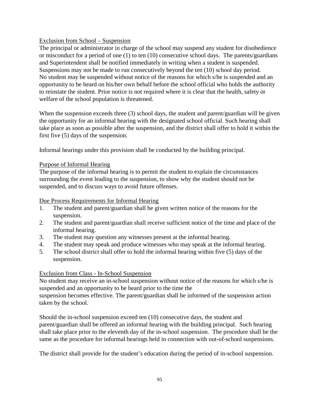## Exclusion from School – Suspension

The principal or administrator in charge of the school may suspend any student for disobedience or misconduct for a period of one (1) to ten (10) consecutive school days. The parents/guardians and Superintendent shall be notified immediately in writing when a student is suspended. Suspensions may not be made to run consecutively beyond the ten (10) school day period. No student may be suspended without notice of the reasons for which s/he is suspended and an opportunity to be heard on his/her own behalf before the school official who holds the authority to reinstate the student. Prior notice is not required where it is clear that the health, safety or welfare of the school population is threatened.

When the suspension exceeds three (3) school days, the student and parent/guardian will be given the opportunity for an informal hearing with the designated school official. Such hearing shall take place as soon as possible after the suspension, and the district shall offer to hold it within the first five (5) days of the suspension.

Informal hearings under this provision shall be conducted by the building principal.

#### Purpose of Informal Hearing

The purpose of the informal hearing is to permit the student to explain the circumstances surrounding the event leading to the suspension, to show why the student should not be suspended, and to discuss ways to avoid future offenses.

### Due Process Requirements for Informal Hearing

- 1. The student and parent/guardian shall be given written notice of the reasons for the suspension.
- 2. The student and parent/guardian shall receive sufficient notice of the time and place of the informal hearing.
- 3. The student may question any witnesses present at the informal hearing.
- 4. The student may speak and produce witnesses who may speak at the informal hearing.
- 5. The school district shall offer to hold the informal hearing within five (5) days of the suspension.

## Exclusion from Class - In-School Suspension

No student may receive an in-school suspension without notice of the reasons for which s/he is suspended and an opportunity to be heard prior to the time the suspension becomes effective. The parent/guardian shall be informed of the suspension action taken by the school.

Should the in-school suspension exceed ten (10) consecutive days, the student and parent/guardian shall be offered an informal hearing with the building principal. Such hearing shall take place prior to the eleventh day of the in-school suspension. The procedure shall be the same as the procedure for informal hearings held in connection with out-of-school suspensions.

The district shall provide for the student's education during the period of in-school suspension.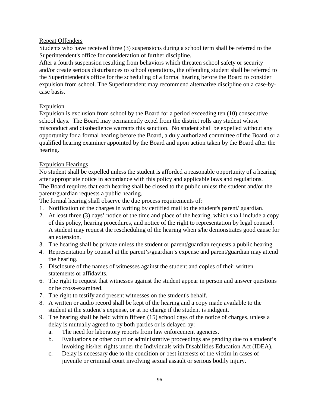### Repeat Offenders

Students who have received three (3) suspensions during a school term shall be referred to the Superintendent's office for consideration of further discipline.

After a fourth suspension resulting from behaviors which threaten school safety or security and/or create serious disturbances to school operations, the offending student shall be referred to the Superintendent's office for the scheduling of a formal hearing before the Board to consider expulsion from school. The Superintendent may recommend alternative discipline on a case-bycase basis.

## Expulsion

Expulsion is exclusion from school by the Board for a period exceeding ten (10) consecutive school days. The Board may permanently expel from the district rolls any student whose misconduct and disobedience warrants this sanction. No student shall be expelled without any opportunity for a formal hearing before the Board, a duly authorized committee of the Board, or a qualified hearing examiner appointed by the Board and upon action taken by the Board after the hearing.

## Expulsion Hearings

No student shall be expelled unless the student is afforded a reasonable opportunity of a hearing after appropriate notice in accordance with this policy and applicable laws and regulations. The Board requires that each hearing shall be closed to the public unless the student and/or the parent/guardian requests a public hearing.

The formal hearing shall observe the due process requirements of:

- 1. Notification of the charges in writing by certified mail to the student's parent/ guardian.
- 2. At least three (3) days' notice of the time and place of the hearing, which shall include a copy of this policy, hearing procedures, and notice of the right to representation by legal counsel. A student may request the rescheduling of the hearing when s/he demonstrates good cause for an extension.
- 3. The hearing shall be private unless the student or parent/guardian requests a public hearing.
- 4. Representation by counsel at the parent's/guardian's expense and parent/guardian may attend the hearing.
- 5. Disclosure of the names of witnesses against the student and copies of their written statements or affidavits.
- 6. The right to request that witnesses against the student appear in person and answer questions or be cross-examined.
- 7. The right to testify and present witnesses on the student's behalf.
- 8. A written or audio record shall be kept of the hearing and a copy made available to the student at the student's expense, or at no charge if the student is indigent.
- 9. The hearing shall be held within fifteen (15) school days of the notice of charges, unless a delay is mutually agreed to by both parties or is delayed by:
	- a. The need for laboratory reports from law enforcement agencies.
	- b. Evaluations or other court or administrative proceedings are pending due to a student's invoking his/her rights under the Individuals with Disabilities Education Act (IDEA).
	- c. Delay is necessary due to the condition or best interests of the victim in cases of juvenile or criminal court involving sexual assault or serious bodily injury.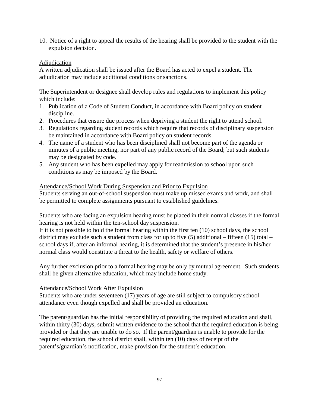10. Notice of a right to appeal the results of the hearing shall be provided to the student with the expulsion decision.

#### Adjudication

A written adjudication shall be issued after the Board has acted to expel a student. The adjudication may include additional conditions or sanctions.

The Superintendent or designee shall develop rules and regulations to implement this policy which include:

- 1. Publication of a Code of Student Conduct, in accordance with Board policy on student discipline.
- 2. Procedures that ensure due process when depriving a student the right to attend school.
- 3. Regulations regarding student records which require that records of disciplinary suspension be maintained in accordance with Board policy on student records.
- 4. The name of a student who has been disciplined shall not become part of the agenda or minutes of a public meeting, nor part of any public record of the Board; but such students may be designated by code.
- 5. Any student who has been expelled may apply for readmission to school upon such conditions as may be imposed by the Board.

#### Attendance/School Work During Suspension and Prior to Expulsion

Students serving an out-of-school suspension must make up missed exams and work, and shall be permitted to complete assignments pursuant to established guidelines.

Students who are facing an expulsion hearing must be placed in their normal classes if the formal hearing is not held within the ten-school day suspension.

If it is not possible to hold the formal hearing within the first ten (10) school days, the school district may exclude such a student from class for up to five (5) additional – fifteen (15) total – school days if, after an informal hearing, it is determined that the student's presence in his/her normal class would constitute a threat to the health, safety or welfare of others.

Any further exclusion prior to a formal hearing may be only by mutual agreement. Such students shall be given alternative education, which may include home study.

#### Attendance/School Work After Expulsion

Students who are under seventeen (17) years of age are still subject to compulsory school attendance even though expelled and shall be provided an education.

The parent/guardian has the initial responsibility of providing the required education and shall, within thirty (30) days, submit written evidence to the school that the required education is being provided or that they are unable to do so. If the parent/guardian is unable to provide for the required education, the school district shall, within ten (10) days of receipt of the parent's/guardian's notification, make provision for the student's education.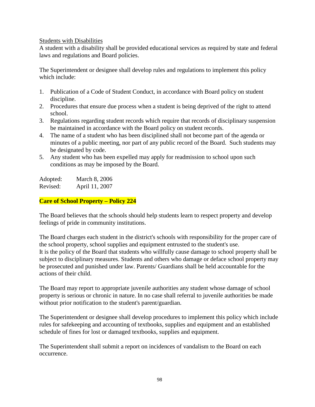#### Students with Disabilities

A student with a disability shall be provided educational services as required by state and federal laws and regulations and Board policies.

The Superintendent or designee shall develop rules and regulations to implement this policy which include:

- 1. Publication of a Code of Student Conduct, in accordance with Board policy on student discipline.
- 2. Procedures that ensure due process when a student is being deprived of the right to attend school.
- 3. Regulations regarding student records which require that records of disciplinary suspension be maintained in accordance with the Board policy on student records.
- 4. The name of a student who has been disciplined shall not become part of the agenda or minutes of a public meeting, nor part of any public record of the Board. Such students may be designated by code.
- 5. Any student who has been expelled may apply for readmission to school upon such conditions as may be imposed by the Board.

Adopted: March 8, 2006 Revised: April 11, 2007

# **Care of School Property – Policy 224**

The Board believes that the schools should help students learn to respect property and develop feelings of pride in community institutions.

The Board charges each student in the district's schools with responsibility for the proper care of the school property, school supplies and equipment entrusted to the student's use. It is the policy of the Board that students who willfully cause damage to school property shall be subject to disciplinary measures. Students and others who damage or deface school property may be prosecuted and punished under law. Parents/ Guardians shall be held accountable for the actions of their child.

The Board may report to appropriate juvenile authorities any student whose damage of school property is serious or chronic in nature. In no case shall referral to juvenile authorities be made without prior notification to the student's parent/guardian.

The Superintendent or designee shall develop procedures to implement this policy which include rules for safekeeping and accounting of textbooks, supplies and equipment and an established schedule of fines for lost or damaged textbooks, supplies and equipment.

The Superintendent shall submit a report on incidences of vandalism to the Board on each occurrence.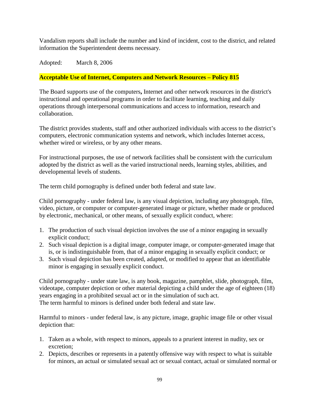Vandalism reports shall include the number and kind of incident, cost to the district, and related information the Superintendent deems necessary.

Adopted: March 8, 2006

## **Acceptable Use of Internet, Computers and Network Resources – Policy 815**

The Board supports use of the computers**,** Internet and other network resources in the district's instructional and operational programs in order to facilitate learning, teaching and daily operations through interpersonal communications and access to information, research and collaboration.

The district provides students, staff and other authorized individuals with access to the district's computers, electronic communication systems and network, which includes Internet access, whether wired or wireless, or by any other means.

For instructional purposes, the use of network facilities shall be consistent with the curriculum adopted by the district as well as the varied instructional needs, learning styles, abilities, and developmental levels of students.

The term child pornography is defined under both federal and state law.

Child pornography - under federal law, is any visual depiction, including any photograph, film, video, picture, or computer or computer-generated image or picture, whether made or produced by electronic, mechanical, or other means, of sexually explicit conduct, where:

- 1. The production of such visual depiction involves the use of a minor engaging in sexually explicit conduct;
- 2. Such visual depiction is a digital image, computer image, or computer-generated image that is, or is indistinguishable from, that of a minor engaging in sexually explicit conduct; or
- 3. Such visual depiction has been created, adapted, or modified to appear that an identifiable minor is engaging in sexually explicit conduct.

Child pornography - under state law, is any book, magazine, pamphlet, slide, photograph, film, videotape, computer depiction or other material depicting a child under the age of eighteen (18) years engaging in a prohibited sexual act or in the simulation of such act. The term harmful to minors is defined under both federal and state law.

Harmful to minors - under federal law, is any picture, image, graphic image file or other visual depiction that:

- 1. Taken as a whole, with respect to minors, appeals to a prurient interest in nudity, sex or excretion;
- 2. Depicts, describes or represents in a patently offensive way with respect to what is suitable for minors, an actual or simulated sexual act or sexual contact, actual or simulated normal or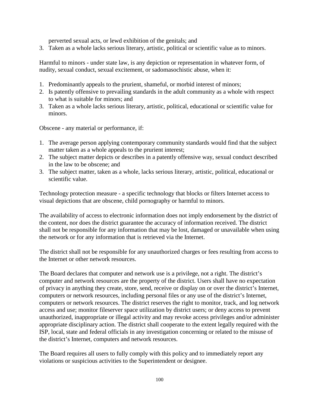perverted sexual acts, or lewd exhibition of the genitals; and

3. Taken as a whole lacks serious literary, artistic, political or scientific value as to minors.

Harmful to minors - under state law, is any depiction or representation in whatever form, of nudity, sexual conduct, sexual excitement, or sadomasochistic abuse, when it:

- 1. Predominantly appeals to the prurient, shameful, or morbid interest of minors;
- 2. Is patently offensive to prevailing standards in the adult community as a whole with respect to what is suitable for minors; and
- 3. Taken as a whole lacks serious literary, artistic, political, educational or scientific value for minors.

Obscene - any material or performance, if:

- 1. The average person applying contemporary community standards would find that the subject matter taken as a whole appeals to the prurient interest;
- 2. The subject matter depicts or describes in a patently offensive way, sexual conduct described in the law to be obscene; and
- 3. The subject matter, taken as a whole, lacks serious literary, artistic, political, educational or scientific value.

Technology protection measure - a specific technology that blocks or filters Internet access to visual depictions that are obscene, child pornography or harmful to minors.

The availability of access to electronic information does not imply endorsement by the district of the content, nor does the district guarantee the accuracy of information received. The district shall not be responsible for any information that may be lost, damaged or unavailable when using the network or for any information that is retrieved via the Internet.

The district shall not be responsible for any unauthorized charges or fees resulting from access to the Internet or other network resources.

The Board declares that computer and network use is a privilege, not a right. The district's computer and network resources are the property of the district. Users shall have no expectation of privacy in anything they create, store, send, receive or display on or over the district's Internet, computers or network resources, including personal files or any use of the district's Internet, computers or network resources. The district reserves the right to monitor, track, and log network access and use; monitor fileserver space utilization by district users; or deny access to prevent unauthorized, inappropriate or illegal activity and may revoke access privileges and/or administer appropriate disciplinary action. The district shall cooperate to the extent legally required with the ISP, local, state and federal officials in any investigation concerning or related to the misuse of the district's Internet, computers and network resources.

The Board requires all users to fully comply with this policy and to immediately report any violations or suspicious activities to the Superintendent or designee.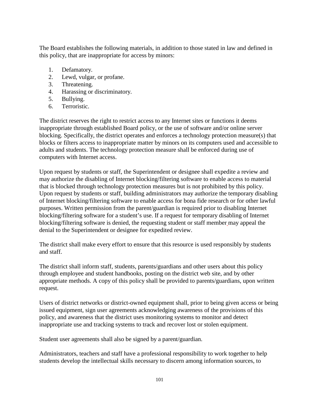The Board establishes the following materials, in addition to those stated in law and defined in this policy, that are inappropriate for access by minors:

- 1. Defamatory.
- 2. Lewd, vulgar, or profane.
- 3. Threatening.
- 4. Harassing or discriminatory.
- 5. Bullying.
- 6. Terroristic.

The district reserves the right to restrict access to any Internet sites or functions it deems inappropriate through established Board policy, or the use of software and/or online server blocking. Specifically, the district operates and enforces a technology protection measure(s) that blocks or filters access to inappropriate matter by minors on its computers used and accessible to adults and students. The technology protection measure shall be enforced during use of computers with Internet access.

Upon request by students or staff, the Superintendent or designee shall expedite a review and may authorize the disabling of Internet blocking/filtering software to enable access to material that is blocked through technology protection measures but is not prohibited by this policy. Upon request by students or staff, building administrators may authorize the temporary disabling of Internet blocking/filtering software to enable access for bona fide research or for other lawful purposes. Written permission from the parent/guardian is required prior to disabling Internet blocking/filtering software for a student's use. If a request for temporary disabling of Internet blocking/filtering software is denied, the requesting student or staff member may appeal the denial to the Superintendent or designee for expedited review.

The district shall make every effort to ensure that this resource is used responsibly by students and staff.

The district shall inform staff, students, parents/guardians and other users about this policy through employee and student handbooks, posting on the district web site, and by other appropriate methods. A copy of this policy shall be provided to parents/guardians, upon written request.

Users of district networks or district-owned equipment shall, prior to being given access or being issued equipment, sign user agreements acknowledging awareness of the provisions of this policy, and awareness that the district uses monitoring systems to monitor and detect inappropriate use and tracking systems to track and recover lost or stolen equipment.

Student user agreements shall also be signed by a parent/guardian.

Administrators, teachers and staff have a professional responsibility to work together to help students develop the intellectual skills necessary to discern among information sources, to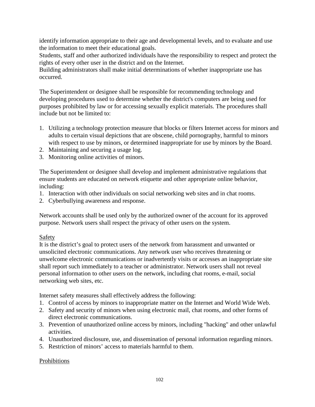identify information appropriate to their age and developmental levels, and to evaluate and use the information to meet their educational goals.

Students, staff and other authorized individuals have the responsibility to respect and protect the rights of every other user in the district and on the Internet.

Building administrators shall make initial determinations of whether inappropriate use has occurred.

The Superintendent or designee shall be responsible for recommending technology and developing procedures used to determine whether the district's computers are being used for purposes prohibited by law or for accessing sexually explicit materials. The procedures shall include but not be limited to:

- 1. Utilizing a technology protection measure that blocks or filters Internet access for minors and adults to certain visual depictions that are obscene, child pornography, harmful to minors with respect to use by minors, or determined inappropriate for use by minors by the Board.
- 2. Maintaining and securing a usage log.
- 3. Monitoring online activities of minors.

The Superintendent or designee shall develop and implement administrative regulations that ensure students are educated on network etiquette and other appropriate online behavior, including:

- 1. Interaction with other individuals on social networking web sites and in chat rooms.
- 2. Cyberbullying awareness and response.

Network accounts shall be used only by the authorized owner of the account for its approved purpose. Network users shall respect the privacy of other users on the system.

## **Safety**

It is the district's goal to protect users of the network from harassment and unwanted or unsolicited electronic communications. Any network user who receives threatening or unwelcome electronic communications or inadvertently visits or accesses an inappropriate site shall report such immediately to a teacher or administrator. Network users shall not reveal personal information to other users on the network, including chat rooms, e-mail, social networking web sites, etc.

Internet safety measures shall effectively address the following:

- 1. Control of access by minors to inappropriate matter on the Internet and World Wide Web.
- 2. Safety and security of minors when using electronic mail, chat rooms, and other forms of direct electronic communications.
- 3. Prevention of unauthorized online access by minors, including "hacking" and other unlawful activities.
- 4. Unauthorized disclosure, use, and dissemination of personal information regarding minors.
- 5. Restriction of minors' access to materials harmful to them.

Prohibitions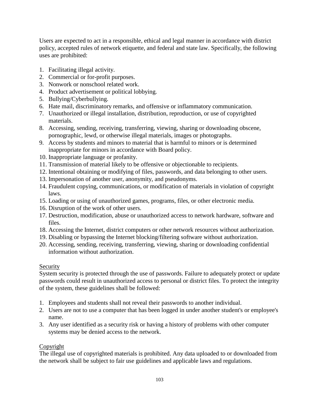Users are expected to act in a responsible, ethical and legal manner in accordance with district policy, accepted rules of network etiquette, and federal and state law. Specifically, the following uses are prohibited:

- 1. Facilitating illegal activity.
- 2. Commercial or for-profit purposes.
- 3. Nonwork or nonschool related work.
- 4. Product advertisement or political lobbying.
- 5. Bullying/Cyberbullying.
- 6. Hate mail, discriminatory remarks, and offensive or inflammatory communication.
- 7. Unauthorized or illegal installation, distribution, reproduction, or use of copyrighted materials.
- 8. Accessing, sending, receiving, transferring, viewing, sharing or downloading obscene, pornographic, lewd, or otherwise illegal materials, images or photographs.
- 9. Access by students and minors to material that is harmful to minors or is determined inappropriate for minors in accordance with Board policy.
- 10. Inappropriate language or profanity.
- 11. Transmission of material likely to be offensive or objectionable to recipients.
- 12. Intentional obtaining or modifying of files, passwords, and data belonging to other users.
- 13. Impersonation of another user, anonymity, and pseudonyms.
- 14. Fraudulent copying, communications, or modification of materials in violation of copyright laws.
- 15. Loading or using of unauthorized games, programs, files, or other electronic media.
- 16. Disruption of the work of other users.
- 17. Destruction, modification, abuse or unauthorized access to network hardware, software and files.
- 18. Accessing the Internet, district computers or other network resources without authorization.
- 19. Disabling or bypassing the Internet blocking/filtering software without authorization.
- 20. Accessing, sending, receiving, transferring, viewing, sharing or downloading confidential information without authorization.

## Security

System security is protected through the use of passwords. Failure to adequately protect or update passwords could result in unauthorized access to personal or district files. To protect the integrity of the system, these guidelines shall be followed:

- 1. Employees and students shall not reveal their passwords to another individual.
- 2. Users are not to use a computer that has been logged in under another student's or employee's name.
- 3. Any user identified as a security risk or having a history of problems with other computer systems may be denied access to the network.

# **Copyright**

The illegal use of copyrighted materials is prohibited. Any data uploaded to or downloaded from the network shall be subject to fair use guidelines and applicable laws and regulations.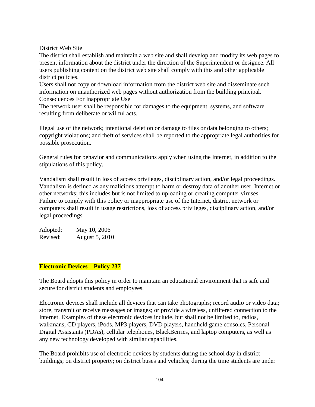### District Web Site

The district shall establish and maintain a web site and shall develop and modify its web pages to present information about the district under the direction of the Superintendent or designee. All users publishing content on the district web site shall comply with this and other applicable district policies.

Users shall not copy or download information from the district web site and disseminate such information on unauthorized web pages without authorization from the building principal. Consequences For Inappropriate Use

The network user shall be responsible for damages to the equipment, systems, and software resulting from deliberate or willful acts.

Illegal use of the network; intentional deletion or damage to files or data belonging to others; copyright violations; and theft of services shall be reported to the appropriate legal authorities for possible prosecution.

General rules for behavior and communications apply when using the Internet, in addition to the stipulations of this policy.

Vandalism shall result in loss of access privileges, disciplinary action, and/or legal proceedings. Vandalism is defined as any malicious attempt to harm or destroy data of another user, Internet or other networks; this includes but is not limited to uploading or creating computer viruses. Failure to comply with this policy or inappropriate use of the Internet, district network or computers shall result in usage restrictions, loss of access privileges, disciplinary action, and/or legal proceedings.

Adopted: May 10, 2006 Revised: August 5, 2010

## **Electronic Devices – Policy 237**

The Board adopts this policy in order to maintain an educational environment that is safe and secure for district students and employees.

Electronic devices shall include all devices that can take photographs; record audio or video data; store, transmit or receive messages or images; or provide a wireless, unfiltered connection to the Internet. Examples of these electronic devices include, but shall not be limited to, radios, walkmans, CD players, iPods, MP3 players, DVD players, handheld game consoles, Personal Digital Assistants (PDAs), cellular telephones, BlackBerries, and laptop computers, as well as any new technology developed with similar capabilities.

The Board prohibits use of electronic devices by students during the school day in district buildings; on district property; on district buses and vehicles; during the time students are under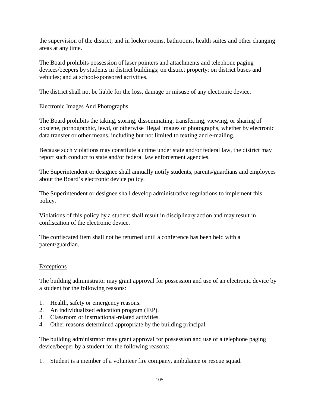the supervision of the district; and in locker rooms, bathrooms, health suites and other changing areas at any time.

The Board prohibits possession of laser pointers and attachments and telephone paging devices/beepers by students in district buildings; on district property; on district buses and vehicles; and at school-sponsored activities.

The district shall not be liable for the loss, damage or misuse of any electronic device.

#### Electronic Images And Photographs

The Board prohibits the taking, storing, disseminating, transferring, viewing, or sharing of obscene, pornographic, lewd, or otherwise illegal images or photographs, whether by electronic data transfer or other means, including but not limited to texting and e-mailing.

Because such violations may constitute a crime under state and/or federal law, the district may report such conduct to state and/or federal law enforcement agencies.

The Superintendent or designee shall annually notify students, parents/guardians and employees about the Board's electronic device policy.

The Superintendent or designee shall develop administrative regulations to implement this policy.

Violations of this policy by a student shall result in disciplinary action and may result in confiscation of the electronic device.

The confiscated item shall not be returned until a conference has been held with a parent/guardian.

#### Exceptions

The building administrator may grant approval for possession and use of an electronic device by a student for the following reasons:

- 1. Health, safety or emergency reasons.
- 2. An individualized education program (IEP).
- 3. Classroom or instructional-related activities.
- 4. Other reasons determined appropriate by the building principal.

The building administrator may grant approval for possession and use of a telephone paging device/beeper by a student for the following reasons:

1. Student is a member of a volunteer fire company, ambulance or rescue squad.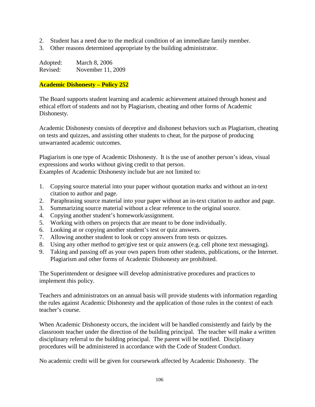- 2. Student has a need due to the medical condition of an immediate family member.
- 3. Other reasons determined appropriate by the building administrator.

Adopted: March 8, 2006 Revised: November 11, 2009

### **Academic Dishonesty – Policy 252**

The Board supports student learning and academic achievement attained through honest and ethical effort of students and not by Plagiarism, cheating and other forms of Academic Dishonesty.

Academic Dishonesty consists of deceptive and dishonest behaviors such as Plagiarism, cheating on tests and quizzes, and assisting other students to cheat, for the purpose of producing unwarranted academic outcomes.

Plagiarism is one type of Academic Dishonesty. It is the use of another person's ideas, visual expressions and works without giving credit to that person.

Examples of Academic Dishonesty include but are not limited to:

- 1. Copying source material into your paper without quotation marks and without an in-text citation to author and page.
- 2. Paraphrasing source material into your paper without an in-text citation to author and page.
- 3. Summarizing source material without a clear reference to the original source.
- 4. Copying another student's homework/assignment.
- 5. Working with others on projects that are meant to be done individually.
- 6. Looking at or copying another student's test or quiz answers.
- 7. Allowing another student to look or copy answers from tests or quizzes.
- 8. Using any other method to get/give test or quiz answers (e.g. cell phone text messaging).
- 9. Taking and passing off as your own papers from other students, publications, or the Internet. Plagiarism and other forms of Academic Dishonesty are prohibited.

The Superintendent or designee will develop administrative procedures and practices to implement this policy.

Teachers and administrators on an annual basis will provide students with information regarding the rules against Academic Dishonesty and the application of those rules in the context of each teacher's course.

When Academic Dishonesty occurs, the incident will be handled consistently and fairly by the classroom teacher under the direction of the building principal. The teacher will make a written disciplinary referral to the building principal. The parent will be notified. Disciplinary procedures will be administered in accordance with the Code of Student Conduct.

No academic credit will be given for coursework affected by Academic Dishonesty. The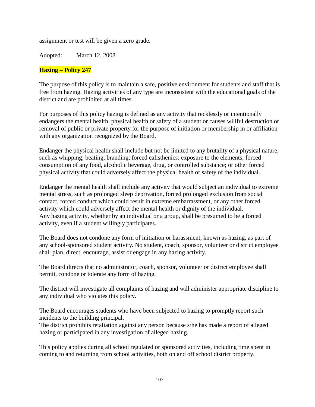assignment or test will be given a zero grade.

Adopted: March 12, 2008

#### **Hazing – Policy 247**

The purpose of this policy is to maintain a safe, positive environment for students and staff that is free from hazing. Hazing activities of any type are inconsistent with the educational goals of the district and are prohibited at all times.

For purposes of this policy hazing is defined as any activity that recklessly or intentionally endangers the mental health, physical health or safety of a student or causes willful destruction or removal of public or private property for the purpose of initiation or membership in or affiliation with any organization recognized by the Board.

Endanger the physical health shall include but not be limited to any brutality of a physical nature, such as whipping; beating; branding; forced calisthenics; exposure to the elements; forced consumption of any food, alcoholic beverage, drug, or controlled substance; or other forced physical activity that could adversely affect the physical health or safety of the individual.

Endanger the mental health shall include any activity that would subject an individual to extreme mental stress, such as prolonged sleep deprivation, forced prolonged exclusion from social contact, forced conduct which could result in extreme embarrassment, or any other forced activity which could adversely affect the mental health or dignity of the individual. Any hazing activity, whether by an individual or a group, shall be presumed to be a forced activity, even if a student willingly participates.

The Board does not condone any form of initiation or harassment, known as hazing, as part of any school-sponsored student activity. No student, coach, sponsor, volunteer or district employee shall plan, direct, encourage, assist or engage in any hazing activity.

The Board directs that no administrator, coach, sponsor, volunteer or district employee shall permit, condone or tolerate any form of hazing.

The district will investigate all complaints of hazing and will administer appropriate discipline to any individual who violates this policy.

The Board encourages students who have been subjected to hazing to promptly report such incidents to the building principal.

The district prohibits retaliation against any person because s/he has made a report of alleged hazing or participated in any investigation of alleged hazing.

This policy applies during all school regulated or sponsored activities, including time spent in coming to and returning from school activities, both on and off school district property.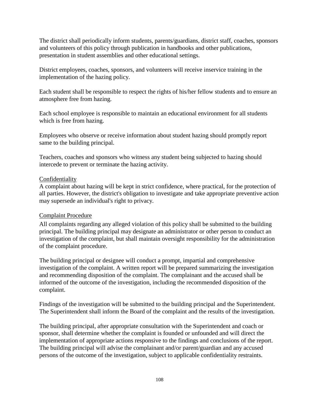The district shall periodically inform students, parents/guardians, district staff, coaches, sponsors and volunteers of this policy through publication in handbooks and other publications, presentation in student assemblies and other educational settings.

District employees, coaches, sponsors, and volunteers will receive inservice training in the implementation of the hazing policy.

Each student shall be responsible to respect the rights of his/her fellow students and to ensure an atmosphere free from hazing.

Each school employee is responsible to maintain an educational environment for all students which is free from hazing.

Employees who observe or receive information about student hazing should promptly report same to the building principal.

Teachers, coaches and sponsors who witness any student being subjected to hazing should intercede to prevent or terminate the hazing activity.

#### Confidentiality

A complaint about hazing will be kept in strict confidence, where practical, for the protection of all parties. However, the district's obligation to investigate and take appropriate preventive action may supersede an individual's right to privacy.

## Complaint Procedure

All complaints regarding any alleged violation of this policy shall be submitted to the building principal. The building principal may designate an administrator or other person to conduct an investigation of the complaint, but shall maintain oversight responsibility for the administration of the complaint procedure.

The building principal or designee will conduct a prompt, impartial and comprehensive investigation of the complaint. A written report will be prepared summarizing the investigation and recommending disposition of the complaint. The complainant and the accused shall be informed of the outcome of the investigation, including the recommended disposition of the complaint.

Findings of the investigation will be submitted to the building principal and the Superintendent. The Superintendent shall inform the Board of the complaint and the results of the investigation.

The building principal, after appropriate consultation with the Superintendent and coach or sponsor, shall determine whether the complaint is founded or unfounded and will direct the implementation of appropriate actions responsive to the findings and conclusions of the report. The building principal will advise the complainant and/or parent/guardian and any accused persons of the outcome of the investigation, subject to applicable confidentiality restraints.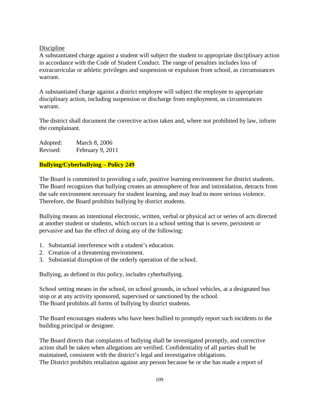## **Discipline**

A substantiated charge against a student will subject the student to appropriate disciplinary action in accordance with the Code of Student Conduct. The range of penalties includes loss of extracurricular or athletic privileges and suspension or expulsion from school, as circumstances warrant.

A substantiated charge against a district employee will subject the employee to appropriate disciplinary action, including suspension or discharge from employment, as circumstances warrant.

The district shall document the corrective action taken and, where not prohibited by law, inform the complainant.

Adopted: March 8, 2006 Revised: February 9, 2011

## **Bullying/Cyberbullying – Policy 249**

The Board is committed to providing a safe, positive learning environment for district students. The Board recognizes that bullying creates an atmosphere of fear and intimidation, detracts from the safe environment necessary for student learning, and may lead to more serious violence. Therefore, the Board prohibits bullying by district students.

Bullying means an intentional electronic, written, verbal or physical act or series of acts directed at another student or students, which occurs in a school setting that is severe, persistent or pervasive and has the effect of doing any of the following:

- 1. Substantial interference with a student's education.
- 2. Creation of a threatening environment.
- 3. Substantial disruption of the orderly operation of the school.

Bullying, as defined in this policy, includes cyberbullying.

School setting means in the school, on school grounds, in school vehicles, at a designated bus stop or at any activity sponsored, supervised or sanctioned by the school. The Board prohibits all forms of bullying by district students.

The Board encourages students who have been bullied to promptly report such incidents to the building principal or designee.

The Board directs that complaints of bullying shall be investigated promptly, and corrective action shall be taken when allegations are verified. Confidentiality of all parties shall be maintained, consistent with the district's legal and investigative obligations. The District prohibits retaliation against any person because he or she has made a report of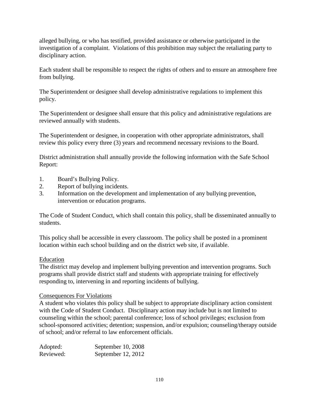alleged bullying, or who has testified, provided assistance or otherwise participated in the investigation of a complaint. Violations of this prohibition may subject the retaliating party to disciplinary action.

Each student shall be responsible to respect the rights of others and to ensure an atmosphere free from bullying.

The Superintendent or designee shall develop administrative regulations to implement this policy.

The Superintendent or designee shall ensure that this policy and administrative regulations are reviewed annually with students.

The Superintendent or designee, in cooperation with other appropriate administrators, shall review this policy every three (3) years and recommend necessary revisions to the Board.

District administration shall annually provide the following information with the Safe School Report:

- 1. Board's Bullying Policy.
- 2. Report of bullying incidents.
- 3. Information on the development and implementation of any bullying prevention, intervention or education programs.

The Code of Student Conduct, which shall contain this policy, shall be disseminated annually to students.

This policy shall be accessible in every classroom. The policy shall be posted in a prominent location within each school building and on the district web site, if available.

# Education

The district may develop and implement bullying prevention and intervention programs. Such programs shall provide district staff and students with appropriate training for effectively responding to, intervening in and reporting incidents of bullying.

# Consequences For Violations

A student who violates this policy shall be subject to appropriate disciplinary action consistent with the Code of Student Conduct. Disciplinary action may include but is not limited to counseling within the school; parental conference; loss of school privileges; exclusion from school-sponsored activities; detention; suspension, and/or expulsion; counseling/therapy outside of school; and/or referral to law enforcement officials.

| Adopted:  | September 10, 2008 |
|-----------|--------------------|
| Reviewed: | September 12, 2012 |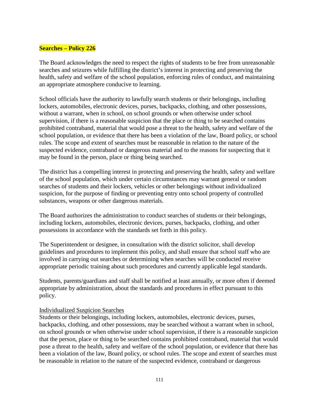### **Searches – Policy 226**

The Board acknowledges the need to respect the rights of students to be free from unreasonable searches and seizures while fulfilling the district's interest in protecting and preserving the health, safety and welfare of the school population, enforcing rules of conduct, and maintaining an appropriate atmosphere conducive to learning.

School officials have the authority to lawfully search students or their belongings, including lockers, automobiles, electronic devices, purses, backpacks, clothing, and other possessions, without a warrant, when in school, on school grounds or when otherwise under school supervision, if there is a reasonable suspicion that the place or thing to be searched contains prohibited contraband, material that would pose a threat to the health, safety and welfare of the school population, or evidence that there has been a violation of the law, Board policy, or school rules. The scope and extent of searches must be reasonable in relation to the nature of the suspected evidence, contraband or dangerous material and to the reasons for suspecting that it may be found in the person, place or thing being searched.

The district has a compelling interest in protecting and preserving the health, safety and welfare of the school population, which under certain circumstances may warrant general or random searches of students and their lockers, vehicles or other belongings without individualized suspicion, for the purpose of finding or preventing entry onto school property of controlled substances, weapons or other dangerous materials.

The Board authorizes the administration to conduct searches of students or their belongings, including lockers, automobiles, electronic devices, purses, backpacks, clothing, and other possessions in accordance with the standards set forth in this policy.

The Superintendent or designee, in consultation with the district solicitor, shall develop guidelines and procedures to implement this policy, and shall ensure that school staff who are involved in carrying out searches or determining when searches will be conducted receive appropriate periodic training about such procedures and currently applicable legal standards.

Students, parents/guardians and staff shall be notified at least annually, or more often if deemed appropriate by administration, about the standards and procedures in effect pursuant to this policy.

## Individualized Suspicion Searches

Students or their belongings, including lockers, automobiles, electronic devices, purses, backpacks, clothing, and other possessions, may be searched without a warrant when in school, on school grounds or when otherwise under school supervision, if there is a reasonable suspicion that the person, place or thing to be searched contains prohibited contraband, material that would pose a threat to the health, safety and welfare of the school population, or evidence that there has been a violation of the law, Board policy, or school rules. The scope and extent of searches must be reasonable in relation to the nature of the suspected evidence, contraband or dangerous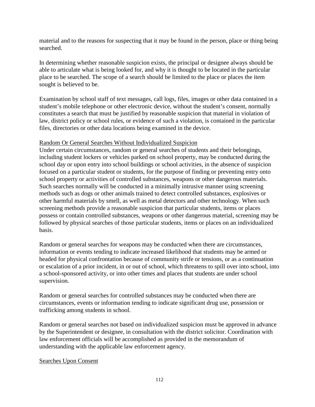material and to the reasons for suspecting that it may be found in the person, place or thing being searched.

In determining whether reasonable suspicion exists, the principal or designee always should be able to articulate what is being looked for, and why it is thought to be located in the particular place to be searched. The scope of a search should be limited to the place or places the item sought is believed to be.

Examination by school staff of text messages, call logs, files, images or other data contained in a student's mobile telephone or other electronic device, without the student's consent, normally constitutes a search that must be justified by reasonable suspicion that material in violation of law, district policy or school rules, or evidence of such a violation, is contained in the particular files, directories or other data locations being examined in the device.

## Random Or General Searches Without Individualized Suspicion

Under certain circumstances, random or general searches of students and their belongings, including student lockers or vehicles parked on school property, may be conducted during the school day or upon entry into school buildings or school activities, in the absence of suspicion focused on a particular student or students, for the purpose of finding or preventing entry onto school property or activities of controlled substances, weapons or other dangerous materials. Such searches normally will be conducted in a minimally intrusive manner using screening methods such as dogs or other animals trained to detect controlled substances, explosives or other harmful materials by smell, as well as metal detectors and other technology. When such screening methods provide a reasonable suspicion that particular students, items or places possess or contain controlled substances, weapons or other dangerous material, screening may be followed by physical searches of those particular students, items or places on an individualized basis.

Random or general searches for weapons may be conducted when there are circumstances, information or events tending to indicate increased likelihood that students may be armed or headed for physical confrontation because of community strife or tensions, or as a continuation or escalation of a prior incident, in or out of school, which threatens to spill over into school, into a school-sponsored activity, or into other times and places that students are under school supervision.

Random or general searches for controlled substances may be conducted when there are circumstances, events or information tending to indicate significant drug use, possession or trafficking among students in school.

Random or general searches not based on individualized suspicion must be approved in advance by the Superintendent or designee, in consultation with the district solicitor. Coordination with law enforcement officials will be accomplished as provided in the memorandum of understanding with the applicable law enforcement agency.

## Searches Upon Consent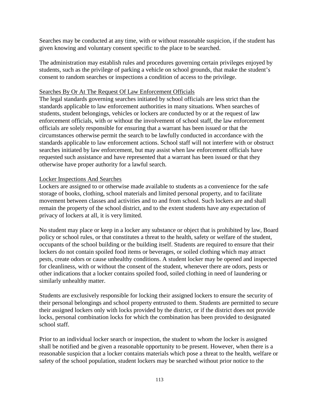Searches may be conducted at any time, with or without reasonable suspicion, if the student has given knowing and voluntary consent specific to the place to be searched.

The administration may establish rules and procedures governing certain privileges enjoyed by students, such as the privilege of parking a vehicle on school grounds, that make the student's consent to random searches or inspections a condition of access to the privilege.

## Searches By Or At The Request Of Law Enforcement Officials

The legal standards governing searches initiated by school officials are less strict than the standards applicable to law enforcement authorities in many situations. When searches of students, student belongings, vehicles or lockers are conducted by or at the request of law enforcement officials, with or without the involvement of school staff, the law enforcement officials are solely responsible for ensuring that a warrant has been issued or that the circumstances otherwise permit the search to be lawfully conducted in accordance with the standards applicable to law enforcement actions. School staff will not interfere with or obstruct searches initiated by law enforcement, but may assist when law enforcement officials have requested such assistance and have represented that a warrant has been issued or that they otherwise have proper authority for a lawful search.

## Locker Inspections And Searches

Lockers are assigned to or otherwise made available to students as a convenience for the safe storage of books, clothing, school materials and limited personal property, and to facilitate movement between classes and activities and to and from school. Such lockers are and shall remain the property of the school district, and to the extent students have any expectation of privacy of lockers at all, it is very limited.

No student may place or keep in a locker any substance or object that is prohibited by law, Board policy or school rules, or that constitutes a threat to the health, safety or welfare of the student, occupants of the school building or the building itself. Students are required to ensure that their lockers do not contain spoiled food items or beverages, or soiled clothing which may attract pests, create odors or cause unhealthy conditions. A student locker may be opened and inspected for cleanliness, with or without the consent of the student, whenever there are odors, pests or other indications that a locker contains spoiled food, soiled clothing in need of laundering or similarly unhealthy matter.

Students are exclusively responsible for locking their assigned lockers to ensure the security of their personal belongings and school property entrusted to them. Students are permitted to secure their assigned lockers only with locks provided by the district, or if the district does not provide locks, personal combination locks for which the combination has been provided to designated school staff.

Prior to an individual locker search or inspection, the student to whom the locker is assigned shall be notified and be given a reasonable opportunity to be present. However, when there is a reasonable suspicion that a locker contains materials which pose a threat to the health, welfare or safety of the school population, student lockers may be searched without prior notice to the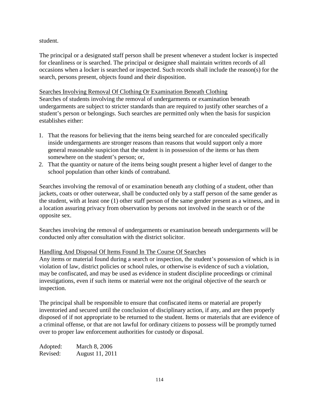## student.

The principal or a designated staff person shall be present whenever a student locker is inspected for cleanliness or is searched. The principal or designee shall maintain written records of all occasions when a locker is searched or inspected. Such records shall include the reason(s) for the search, persons present, objects found and their disposition.

Searches Involving Removal Of Clothing Or Examination Beneath Clothing Searches of students involving the removal of undergarments or examination beneath undergarments are subject to stricter standards than are required to justify other searches of a student's person or belongings. Such searches are permitted only when the basis for suspicion establishes either:

- 1. That the reasons for believing that the items being searched for are concealed specifically inside undergarments are stronger reasons than reasons that would support only a more general reasonable suspicion that the student is in possession of the items or has them somewhere on the student's person; or,
- 2. That the quantity or nature of the items being sought present a higher level of danger to the school population than other kinds of contraband.

Searches involving the removal of or examination beneath any clothing of a student, other than jackets, coats or other outerwear, shall be conducted only by a staff person of the same gender as the student, with at least one (1) other staff person of the same gender present as a witness, and in a location assuring privacy from observation by persons not involved in the search or of the opposite sex.

Searches involving the removal of undergarments or examination beneath undergarments will be conducted only after consultation with the district solicitor.

# Handling And Disposal Of Items Found In The Course Of Searches

Any items or material found during a search or inspection, the student's possession of which is in violation of law, district policies or school rules, or otherwise is evidence of such a violation, may be confiscated, and may be used as evidence in student discipline proceedings or criminal investigations, even if such items or material were not the original objective of the search or inspection.

The principal shall be responsible to ensure that confiscated items or material are properly inventoried and secured until the conclusion of disciplinary action, if any, and are then properly disposed of if not appropriate to be returned to the student. Items or materials that are evidence of a criminal offense, or that are not lawful for ordinary citizens to possess will be promptly turned over to proper law enforcement authorities for custody or disposal.

Adopted: March 8, 2006 Revised: August 11, 2011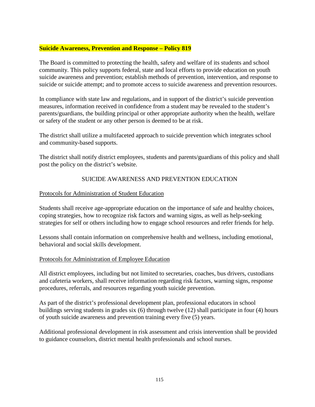## **Suicide Awareness, Prevention and Response – Policy 819**

The Board is committed to protecting the health, safety and welfare of its students and school community. This policy supports federal, state and local efforts to provide education on youth suicide awareness and prevention; establish methods of prevention, intervention, and response to suicide or suicide attempt; and to promote access to suicide awareness and prevention resources.

In compliance with state law and regulations, and in support of the district's suicide prevention measures, information received in confidence from a student may be revealed to the student's parents/guardians, the building principal or other appropriate authority when the health, welfare or safety of the student or any other person is deemed to be at risk.

The district shall utilize a multifaceted approach to suicide prevention which integrates school and community-based supports.

The district shall notify district employees, students and parents/guardians of this policy and shall post the policy on the district's website.

# SUICIDE AWARENESS AND PREVENTION EDUCATION

## Protocols for Administration of Student Education

Students shall receive age-appropriate education on the importance of safe and healthy choices, coping strategies, how to recognize risk factors and warning signs, as well as help-seeking strategies for self or others including how to engage school resources and refer friends for help.

Lessons shall contain information on comprehensive health and wellness, including emotional, behavioral and social skills development.

## Protocols for Administration of Employee Education

All district employees, including but not limited to secretaries, coaches, bus drivers, custodians and cafeteria workers, shall receive information regarding risk factors, warning signs, response procedures, referrals, and resources regarding youth suicide prevention.

As part of the district's professional development plan, professional educators in school buildings serving students in grades six (6) through twelve (12) shall participate in four (4) hours of youth suicide awareness and prevention training every five (5) years.

Additional professional development in risk assessment and crisis intervention shall be provided to guidance counselors, district mental health professionals and school nurses.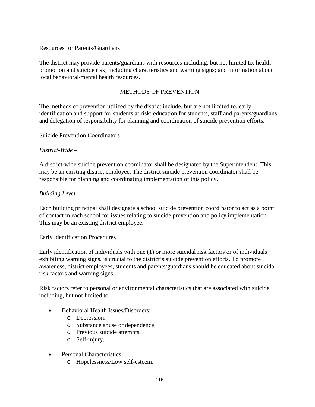## Resources for Parents/Guardians

The district may provide parents/guardians with resources including, but not limited to, health promotion and suicide risk, including characteristics and warning signs; and information about local behavioral/mental health resources.

## METHODS OF PREVENTION

The methods of prevention utilized by the district include, but are not limited to, early identification and support for students at risk; education for students, staff and parents/guardians; and delegation of responsibility for planning and coordination of suicide prevention efforts.

## Suicide Prevention Coordinators

## *District-Wide –*

A district-wide suicide prevention coordinator shall be designated by the Superintendent. This may be an existing district employee. The district suicide prevention coordinator shall be responsible for planning and coordinating implementation of this policy.

## *Building Level –*

Each building principal shall designate a school suicide prevention coordinator to act as a point of contact in each school for issues relating to suicide prevention and policy implementation. This may be an existing district employee.

### Early Identification Procedures

Early identification of individuals with one (1) or more suicidal risk factors or of individuals exhibiting warning signs, is crucial to the district's suicide prevention efforts. To promote awareness, district employees, students and parents/guardians should be educated about suicidal risk factors and warning signs.

Risk factors refer to personal or environmental characteristics that are associated with suicide including, but not limited to:

- Behavioral Health Issues/Disorders:
	- o Depression.
	- o Substance abuse or dependence.
	- o Previous suicide attempts.
	- o Self-injury.
- Personal Characteristics:
	- o Hopelessness/Low self-esteem.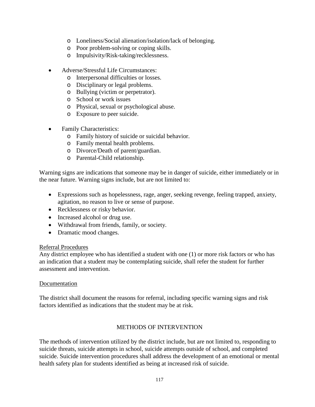- o Loneliness/Social alienation/isolation/lack of belonging.
- o Poor problem-solving or coping skills.
- o Impulsivity/Risk-taking/recklessness.
- Adverse/Stressful Life Circumstances:
	- o Interpersonal difficulties or losses.
	- o Disciplinary or legal problems.
	- o Bullying (victim or perpetrator).
	- o School or work issues
	- o Physical, sexual or psychological abuse.
	- o Exposure to peer suicide.
- Family Characteristics:
	- o Family history of suicide or suicidal behavior.
	- o Family mental health problems.
	- o Divorce/Death of parent/guardian.
	- o Parental-Child relationship.

Warning signs are indications that someone may be in danger of suicide, either immediately or in the near future. Warning signs include, but are not limited to:

- Expressions such as hopelessness, rage, anger, seeking revenge, feeling trapped, anxiety, agitation, no reason to live or sense of purpose.
- Recklessness or risky behavior.
- Increased alcohol or drug use.
- Withdrawal from friends, family, or society.
- Dramatic mood changes.

## Referral Procedures

Any district employee who has identified a student with one (1) or more risk factors or who has an indication that a student may be contemplating suicide, shall refer the student for further assessment and intervention.

## Documentation

The district shall document the reasons for referral, including specific warning signs and risk factors identified as indications that the student may be at risk.

## METHODS OF INTERVENTION

The methods of intervention utilized by the district include, but are not limited to, responding to suicide threats, suicide attempts in school, suicide attempts outside of school, and completed suicide. Suicide intervention procedures shall address the development of an emotional or mental health safety plan for students identified as being at increased risk of suicide.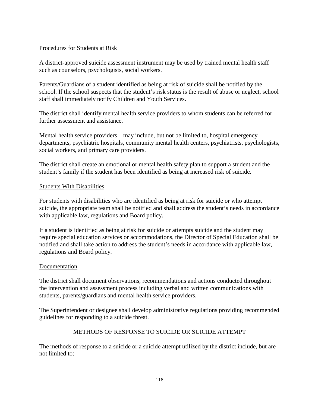## Procedures for Students at Risk

A district-approved suicide assessment instrument may be used by trained mental health staff such as counselors, psychologists, social workers.

Parents/Guardians of a student identified as being at risk of suicide shall be notified by the school. If the school suspects that the student's risk status is the result of abuse or neglect, school staff shall immediately notify Children and Youth Services.

The district shall identify mental health service providers to whom students can be referred for further assessment and assistance.

Mental health service providers – may include, but not be limited to, hospital emergency departments, psychiatric hospitals, community mental health centers, psychiatrists, psychologists, social workers, and primary care providers.

The district shall create an emotional or mental health safety plan to support a student and the student's family if the student has been identified as being at increased risk of suicide.

## Students With Disabilities

For students with disabilities who are identified as being at risk for suicide or who attempt suicide, the appropriate team shall be notified and shall address the student's needs in accordance with applicable law, regulations and Board policy.

If a student is identified as being at risk for suicide or attempts suicide and the student may require special education services or accommodations, the Director of Special Education shall be notified and shall take action to address the student's needs in accordance with applicable law, regulations and Board policy.

## Documentation

The district shall document observations, recommendations and actions conducted throughout the intervention and assessment process including verbal and written communications with students, parents/guardians and mental health service providers.

The Superintendent or designee shall develop administrative regulations providing recommended guidelines for responding to a suicide threat.

# METHODS OF RESPONSE TO SUICIDE OR SUICIDE ATTEMPT

The methods of response to a suicide or a suicide attempt utilized by the district include, but are not limited to: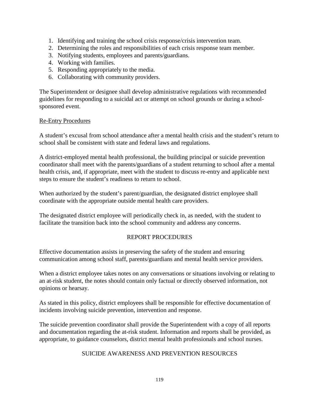- 1. Identifying and training the school crisis response/crisis intervention team.
- 2. Determining the roles and responsibilities of each crisis response team member.
- 3. Notifying students, employees and parents/guardians.
- 4. Working with families.
- 5. Responding appropriately to the media.
- 6. Collaborating with community providers.

The Superintendent or designee shall develop administrative regulations with recommended guidelines for responding to a suicidal act or attempt on school grounds or during a schoolsponsored event.

## Re-Entry Procedures

A student's excusal from school attendance after a mental health crisis and the student's return to school shall be consistent with state and federal laws and regulations.

A district-employed mental health professional, the building principal or suicide prevention coordinator shall meet with the parents/guardians of a student returning to school after a mental health crisis, and, if appropriate, meet with the student to discuss re-entry and applicable next steps to ensure the student's readiness to return to school.

When authorized by the student's parent/guardian, the designated district employee shall coordinate with the appropriate outside mental health care providers.

The designated district employee will periodically check in, as needed, with the student to facilitate the transition back into the school community and address any concerns.

# REPORT PROCEDURES

Effective documentation assists in preserving the safety of the student and ensuring communication among school staff, parents/guardians and mental health service providers.

When a district employee takes notes on any conversations or situations involving or relating to an at-risk student, the notes should contain only factual or directly observed information, not opinions or hearsay.

As stated in this policy, district employees shall be responsible for effective documentation of incidents involving suicide prevention, intervention and response.

The suicide prevention coordinator shall provide the Superintendent with a copy of all reports and documentation regarding the at-risk student. Information and reports shall be provided, as appropriate, to guidance counselors, district mental health professionals and school nurses.

## SUICIDE AWARENESS AND PREVENTION RESOURCES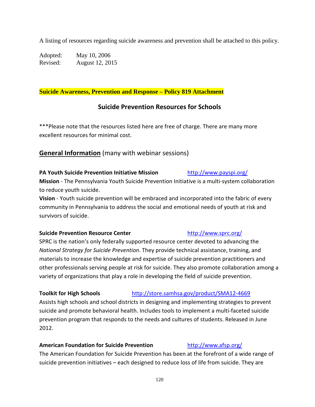A listing of resources regarding suicide awareness and prevention shall be attached to this policy.

Adopted: May 10, 2006 Revised: August 12, 2015

# **Suicide Awareness, Prevention and Response – Policy 819 Attachment**

# **Suicide Prevention Resources for Schools**

\*\*\*Please note that the resources listed here are free of charge. There are many more excellent resources for minimal cost.

# **General Information** (many with webinar sessions)

## **PA Youth Suicide Prevention Initiative Mission** <http://www.payspi.org/>

**Mission** - The Pennsylvania Youth Suicide Prevention Initiative is a multi-system collaboration to reduce youth suicide.

**Vision** - Youth suicide prevention will be embraced and incorporated into the fabric of every community in Pennsylvania to address the social and emotional needs of youth at risk and survivors of suicide.

# **Suicide Prevention Resource Center** <http://www.sprc.org/>

SPRC is the nation's only federally supported resource center devoted to advancing the *National Strategy for Suicide Prevention*. They provide technical assistance, training, and materials to increase the knowledge and expertise of suicide prevention practitioners and other professionals serving people at risk for suicide. They also promote collaboration among a variety of organizations that play a role in developing the field of suicide prevention.

# **Toolkit for High Schools** <http://store.samhsa.gov/product/SMA12-4669>

Assists high schools and school districts in designing and implementing strategies to prevent suicide and promote behavioral health. Includes tools to implement a multi-faceted suicide prevention program that responds to the needs and cultures of students. Released in June 2012.

# **American Foundation for Suicide Prevention** <http://www.afsp.org/>

The American Foundation for Suicide Prevention has been at the forefront of a wide range of suicide prevention initiatives – each designed to reduce loss of life from suicide. They are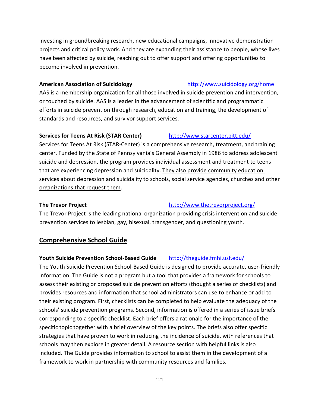**American Association of Suicidology <http://www.suicidology.org/home>** AAS is a membership organization for all those involved in suicide prevention and intervention,

or touched by suicide. AAS is a leader in the advancement of scientific and programmatic efforts in suicide prevention through research, education and training, the development of standards and resources, and survivor support services.

investing in groundbreaking research, new educational campaigns, innovative demonstration projects and critical policy work. And they are expanding their assistance to people, whose lives

have been affected by suicide, reaching out to offer support and offering opportunities to

## **Services for Teens At Risk (STAR Center)** <http://www.starcenter.pitt.edu/>

Services for Teens At Risk (STAR-Center) is a comprehensive research, treatment, and training center. Funded by the State of Pennsylvania's General Assembly in 1986 to address adolescent suicide and depression, the program provides individual assessment and treatment to teens that are experiencing depression and suicidality. They also provide community education services about depression and suicidality to schools, social service agencies, churches and other organizations that request them.

## **The Trevor Project <http://www.thetrevorproject.org/>**

The Trevor Project is the leading national organization providing crisis intervention and suicide prevention services to lesbian, gay, bisexual, transgender, and questioning youth.

# **Comprehensive School Guide**

## **Youth Suicide Prevention School-Based Guide** <http://theguide.fmhi.usf.edu/>

The Youth Suicide Prevention School-Based Guide is designed to provide accurate, user-friendly information. The Guide is not a program but a tool that provides a framework for schools to assess their existing or proposed suicide prevention efforts (thought a series of checklists) and provides resources and information that school administrators can use to enhance or add to their existing program. First, checklists can be completed to help evaluate the adequacy of the schools' suicide prevention programs. Second, information is offered in a series of issue briefs corresponding to a specific checklist. Each brief offers a rationale for the importance of the specific topic together with a brief overview of the key points. The briefs also offer specific strategies that have proven to work in reducing the incidence of suicide, with references that schools may then explore in greater detail. A resource section with helpful links is also included. The Guide provides information to school to assist them in the development of a framework to work in partnership with community resources and families.

become involved in prevention.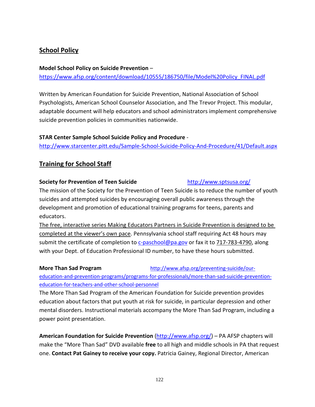# **School Policy**

## **Model School Policy on Suicide Prevention** –

[https://www.afsp.org/content/download/10555/186750/file/Model%20Policy\\_FINAL.pdf](https://www.afsp.org/content/download/10555/186750/file/Model%20Policy_FINAL.pdf)

Written by American Foundation for Suicide Prevention, National Association of School Psychologists, American School Counselor Association, and The Trevor Project. This modular, adaptable document will help educators and school administrators implement comprehensive suicide prevention policies in communities nationwide.

## **STAR Center Sample School Suicide Policy and Procedure** -

<http://www.starcenter.pitt.edu/Sample-School-Suicide-Policy-And-Procedure/41/Default.aspx>

# **Training for School Staff**

## **Society for Prevention of Teen Suicide <http://www.sptsusa.org/>**

The mission of the Society for the Prevention of Teen Suicide is to reduce the number of youth suicides and attempted suicides by encouraging overall public awareness through the development and promotion of educational training programs for teens, parents and educators.

The free, interactive series Making Educators Partners in Suicide Prevention is designed to be completed at the viewer's own pace. Pennsylvania school staff requiring Act 48 hours may submit the certificate of completion to [c-paschool@pa.gov](mailto:c-paschool@pa.gov) or fax it to 717-783-4790, along with your Dept. of Education Professional ID number, to have these hours submitted.

## **More Than Sad Program** [http://www.afsp.org/preventing-suicide/our-](http://www.afsp.org/preventing-suicide/our-education-and-prevention-programs/programs-for-professionals/more-than-sad-suicide-prevention-education-for-teachers-and-other-school-personnel)

[education-and-prevention-programs/programs-for-professionals/more-than-sad-suicide-prevention](http://www.afsp.org/preventing-suicide/our-education-and-prevention-programs/programs-for-professionals/more-than-sad-suicide-prevention-education-for-teachers-and-other-school-personnel)[education-for-teachers-and-other-school-personnel](http://www.afsp.org/preventing-suicide/our-education-and-prevention-programs/programs-for-professionals/more-than-sad-suicide-prevention-education-for-teachers-and-other-school-personnel)

The More Than Sad Program of the American Foundation for Suicide prevention provides education about factors that put youth at risk for suicide, in particular depression and other mental disorders. Instructional materials accompany the More Than Sad Program, including a power point presentation.

**American Foundation for Suicide Prevention** [\(http://www.afsp.org/\)](http://www.afsp.org/) – PA AFSP chapters will make the "More Than Sad" DVD available **free** to all high and middle schools in PA that request one. **Contact Pat Gainey to receive your copy.** Patricia Gainey, Regional Director, American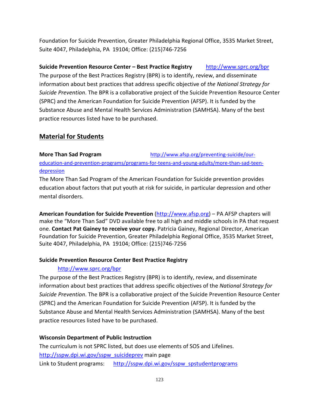Foundation for Suicide Prevention, Greater Philadelphia Regional Office, 3535 Market Street, Suite 4047, Philadelphia, PA 19104; Office: (215)746-7256

# **Suicide Prevention Resource Center – Best Practice Registry** <http://www.sprc.org/bpr>

The purpose of the Best Practices Registry (BPR) is to identify, review, and disseminate information about best practices that address specific objective of *the National Strategy for Suicide Prevention*. The BPR is a collaborative project of the Suicide Prevention Resource Center (SPRC) and the American Foundation for Suicide Prevention (AFSP). It is funded by the Substance Abuse and Mental Health Services Administration (SAMHSA). Many of the best practice resources listed have to be purchased.

# **Material for Students**

**More Than Sad Program [http://www.afsp.org/preventing-suicide/our](http://www.afsp.org/preventing-suicide/our-education-and-prevention-programs/programs-for-teens-and-young-adults/more-than-sad-teen-depression)**[education-and-prevention-programs/programs-for-teens-and-young-adults/more-than-sad-teen](http://www.afsp.org/preventing-suicide/our-education-and-prevention-programs/programs-for-teens-and-young-adults/more-than-sad-teen-depression)[depression](http://www.afsp.org/preventing-suicide/our-education-and-prevention-programs/programs-for-teens-and-young-adults/more-than-sad-teen-depression)

The More Than Sad Program of the American Foundation for Suicide prevention provides education about factors that put youth at risk for suicide, in particular depression and other mental disorders.

**American Foundation for Suicide Prevention** [\(http://www.afsp.org\)](http://www.afsp.org/) – PA AFSP chapters will make the "More Than Sad" DVD available free to all high and middle schools in PA that request one. **Contact Pat Gainey to receive your copy.** Patricia Gainey, Regional Director, American Foundation for Suicide Prevention, Greater Philadelphia Regional Office, 3535 Market Street, Suite 4047, Philadelphia, PA 19104; Office: (215)746-7256

# **Suicide Prevention Resource Center Best Practice Registry**

# <http://www.sprc.org/bpr>

The purpose of the Best Practices Registry (BPR) is to identify, review, and disseminate information about best practices that address specific objectives of the *National Strategy for Suicide Prevention*. The BPR is a collaborative project of the Suicide Prevention Resource Center (SPRC) and the American Foundation for Suicide Prevention (AFSP). It is funded by the Substance Abuse and Mental Health Services Administration (SAMHSA). Many of the best practice resources listed have to be purchased.

# **Wisconsin Department of Public Instruction**

The curriculum is not SPRC listed, but does use elements of SOS and Lifelines. [http://sspw.dpi.wi.gov/sspw\\_suicideprev](http://sspw.dpi.wi.gov/sspw_suicideprev) main page Link to Student programs: [http://sspw.dpi.wi.gov/sspw\\_spstudentprograms](http://sspw.dpi.wi.gov/sspw_spstudentprograms)